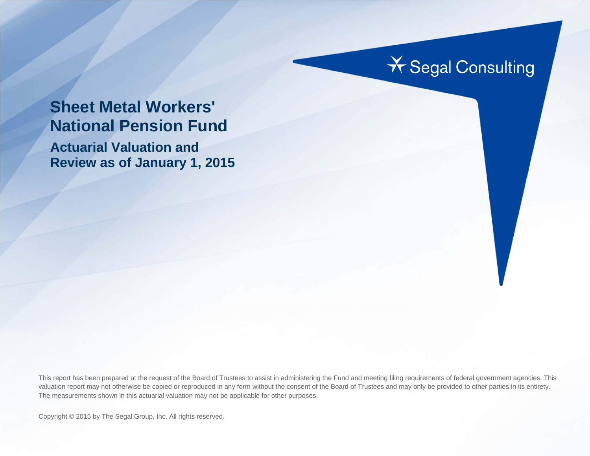## **X** Segal Consulting

## **Sheet Metal Workers' National Pension Fund**

**Actuarial Valuation and Review as of January 1, 2015** 

This report has been prepared at the request of the Board of Trustees to assist in administering the Fund and meeting filing requirements of federal government agencies. This valuation report may not otherwise be copied or reproduced in any form without the consent of the Board of Trustees and may only be provided to other parties in its entirety. The measurements shown in this actuarial valuation may not be applicable for other purposes.

Copyright © 2015 by The Segal Group, Inc. All rights reserved.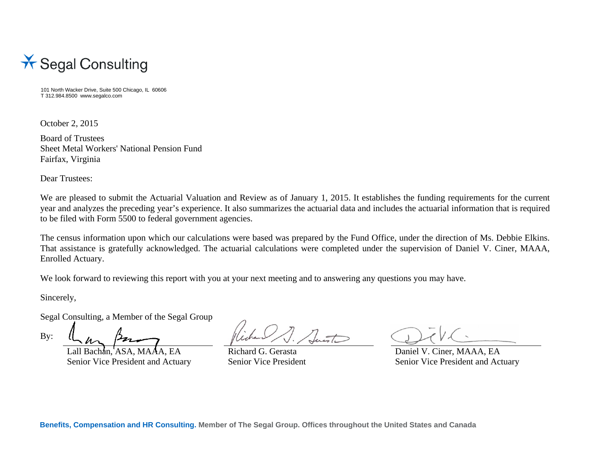

101 North Wacker Drive, Suite 500 Chicago, IL 60606 T 312.984.8500 www.segalco.com

October 2, 2015

Board of Trustees Sheet Metal Workers' National Pension Fund Fairfax, Virginia

Dear Trustees:

We are pleased to submit the Actuarial Valuation and Review as of January 1, 2015. It establishes the funding requirements for the current year and analyzes the preceding year's experience. It also summarizes the actuarial data and includes the actuarial information that is required to be filed with Form 5500 to federal government agencies.

The census information upon which our calculations were based was prepared by the Fund Office, under the direction of Ms. Debbie Elkins. That assistance is gratefully acknowledged. The actuarial calculations were completed under the supervision of Daniel V. Ciner, MAAA, Enrolled Actuary.

We look forward to reviewing this report with you at your next meeting and to answering any questions you may have.

Sincerely,

Segal Consulting, a Member of the Segal Group

By:

achan, ASA, MAAA, EA Richard G. Gerasta Daniel V. Ciner, MAAA, EA Senior Vice President and Actuary Senior Vice President Senior Vice President and Actuary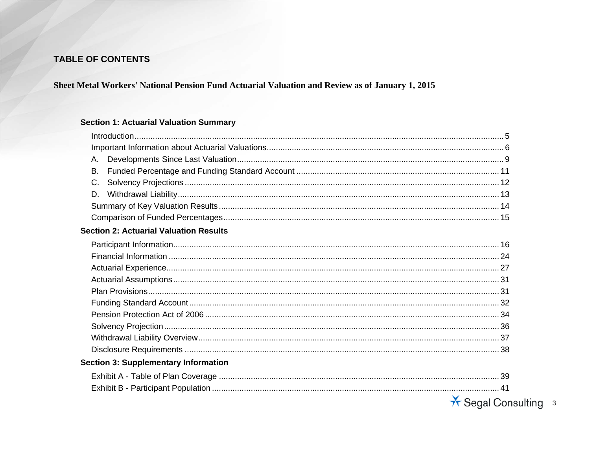## TABLE OF CONTENTS

#### Sheet Metal Workers' National Pension Fund Actuarial Valuation and Review as of January 1, 2015

#### **Section 1: Actuarial Valuation Summary**

| А.                                            |                      |
|-----------------------------------------------|----------------------|
| В.                                            |                      |
| C.                                            |                      |
| D.                                            |                      |
|                                               |                      |
|                                               |                      |
| <b>Section 2: Actuarial Valuation Results</b> |                      |
|                                               |                      |
|                                               |                      |
|                                               |                      |
|                                               |                      |
|                                               |                      |
|                                               |                      |
|                                               |                      |
|                                               |                      |
|                                               |                      |
|                                               |                      |
| <b>Section 3: Supplementary Information</b>   |                      |
|                                               |                      |
|                                               |                      |
|                                               | * Segal Consulting 3 |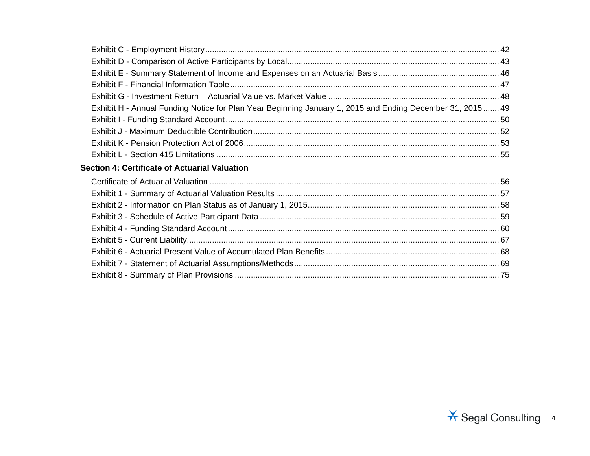| Exhibit H - Annual Funding Notice for Plan Year Beginning January 1, 2015 and Ending December 31, 2015 49 |  |
|-----------------------------------------------------------------------------------------------------------|--|
|                                                                                                           |  |
|                                                                                                           |  |
|                                                                                                           |  |
|                                                                                                           |  |
| Section 4: Certificate of Actuarial Valuation                                                             |  |
|                                                                                                           |  |
|                                                                                                           |  |
|                                                                                                           |  |
|                                                                                                           |  |
|                                                                                                           |  |
|                                                                                                           |  |
|                                                                                                           |  |
|                                                                                                           |  |
|                                                                                                           |  |
|                                                                                                           |  |

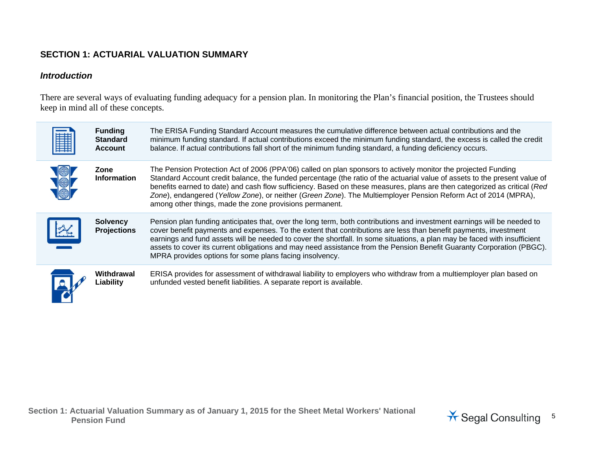## **SECTION 1: ACTUARIAL VALUATION SUMMARY**

#### *Introduction*

There are several ways of evaluating funding adequacy for a pension plan. In monitoring the Plan's financial position, the Trustees should keep in mind all of these concepts.

| 鼺 | <b>Funding</b><br><b>Standard</b><br><b>Account</b> | The ERISA Funding Standard Account measures the cumulative difference between actual contributions and the<br>minimum funding standard. If actual contributions exceed the minimum funding standard, the excess is called the credit<br>balance. If actual contributions fall short of the minimum funding standard, a funding deficiency occurs.                                                                                                                                                                                                            |
|---|-----------------------------------------------------|--------------------------------------------------------------------------------------------------------------------------------------------------------------------------------------------------------------------------------------------------------------------------------------------------------------------------------------------------------------------------------------------------------------------------------------------------------------------------------------------------------------------------------------------------------------|
|   | Zone<br><b>Information</b>                          | The Pension Protection Act of 2006 (PPA'06) called on plan sponsors to actively monitor the projected Funding<br>Standard Account credit balance, the funded percentage (the ratio of the actuarial value of assets to the present value of<br>benefits earned to date) and cash flow sufficiency. Based on these measures, plans are then categorized as critical (Red<br>Zone), endangered (Yellow Zone), or neither (Green Zone). The Multiemployer Pension Reform Act of 2014 (MPRA),<br>among other things, made the zone provisions permanent.         |
|   | <b>Solvency</b><br><b>Projections</b>               | Pension plan funding anticipates that, over the long term, both contributions and investment earnings will be needed to<br>cover benefit payments and expenses. To the extent that contributions are less than benefit payments, investment<br>earnings and fund assets will be needed to cover the shortfall. In some situations, a plan may be faced with insufficient<br>assets to cover its current obligations and may need assistance from the Pension Benefit Guaranty Corporation (PBGC).<br>MPRA provides options for some plans facing insolvency. |
|   | Withdrawal<br>Liability                             | ERISA provides for assessment of withdrawal liability to employers who withdraw from a multiemployer plan based on<br>unfunded vested benefit liabilities. A separate report is available.                                                                                                                                                                                                                                                                                                                                                                   |

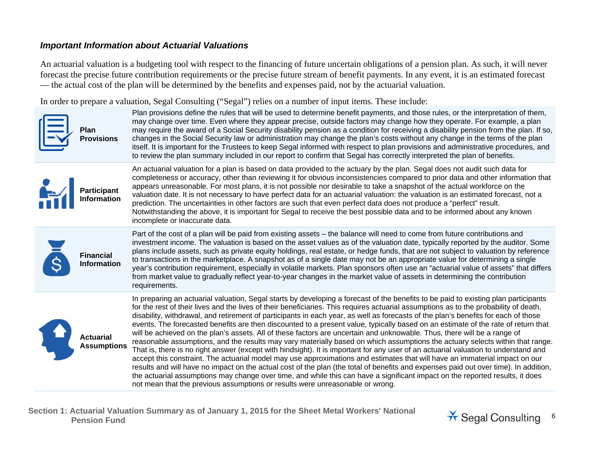#### *Important Information about Actuarial Valuations*

An actuarial valuation is a budgeting tool with respect to the financing of future uncertain obligations of a pension plan. As such, it will never forecast the precise future contribution requirements or the precise future stream of benefit payments. In any event, it is an estimated forecast — the actual cost of the plan will be determined by the benefits and expenses paid, not by the actuarial valuation.

In order to prepare a valuation, Segal Consulting ("Segal") relies on a number of input items. These include:



**Plan Provisions**  Plan provisions define the rules that will be used to determine benefit payments, and those rules, or the interpretation of them, may change over time. Even where they appear precise, outside factors may change how they operate. For example, a plan may require the award of a Social Security disability pension as a condition for receiving a disability pension from the plan. If so, changes in the Social Security law or administration may change the plan's costs without any change in the terms of the plan itself. It is important for the Trustees to keep Segal informed with respect to plan provisions and administrative procedures, and to review the plan summary included in our report to confirm that Segal has correctly interpreted the plan of benefits.



An actuarial valuation for a plan is based on data provided to the actuary by the plan. Segal does not audit such data for completeness or accuracy, other than reviewing it for obvious inconsistencies compared to prior data and other information that appears unreasonable. For most plans, it is not possible nor desirable to take a snapshot of the actual workforce on the valuation date. It is not necessary to have perfect data for an actuarial valuation: the valuation is an estimated forecast, not a prediction. The uncertainties in other factors are such that even perfect data does not produce a "perfect" result. Notwithstanding the above, it is important for Segal to receive the best possible data and to be informed about any known incomplete or inaccurate data.



Part of the cost of a plan will be paid from existing assets – the balance will need to come from future contributions and investment income. The valuation is based on the asset values as of the valuation date, typically reported by the auditor. Some plans include assets, such as private equity holdings, real estate, or hedge funds, that are not subject to valuation by reference to transactions in the marketplace. A snapshot as of a single date may not be an appropriate value for determining a single year's contribution requirement, especially in volatile markets. Plan sponsors often use an "actuarial value of assets" that differs from market value to gradually reflect year-to-year changes in the market value of assets in determining the contribution requirements.



In preparing an actuarial valuation, Segal starts by developing a forecast of the benefits to be paid to existing plan participants for the rest of their lives and the lives of their beneficiaries. This requires actuarial assumptions as to the probability of death, disability, withdrawal, and retirement of participants in each year, as well as forecasts of the plan's benefits for each of those events. The forecasted benefits are then discounted to a present value, typically based on an estimate of the rate of return that will be achieved on the plan's assets. All of these factors are uncertain and unknowable. Thus, there will be a range of reasonable assumptions, and the results may vary materially based on which assumptions the actuary selects within that range. That is, there is no right answer (except with hindsight). It is important for any user of an actuarial valuation to understand and accept this constraint. The actuarial model may use approximations and estimates that will have an immaterial impact on our results and will have no impact on the actual cost of the plan (the total of benefits and expenses paid out over time). In addition, the actuarial assumptions may change over time, and while this can have a significant impact on the reported results, it does not mean that the previous assumptions or results were unreasonable or wrong.

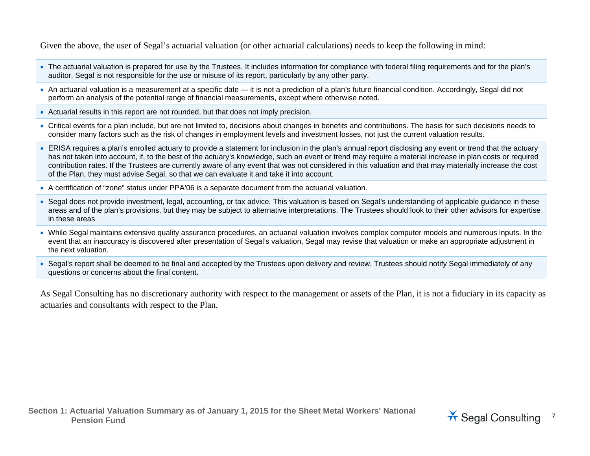Given the above, the user of Segal's actuarial valuation (or other actuarial calculations) needs to keep the following in mind:

- The actuarial valuation is prepared for use by the Trustees. It includes information for compliance with federal filing requirements and for the plan's auditor. Segal is not responsible for the use or misuse of its report, particularly by any other party.
- An actuarial valuation is a measurement at a specific date it is not a prediction of a plan's future financial condition. Accordingly, Segal did not perform an analysis of the potential range of financial measurements, except where otherwise noted.
- Actuarial results in this report are not rounded, but that does not imply precision.
- Critical events for a plan include, but are not limited to, decisions about changes in benefits and contributions. The basis for such decisions needs to consider many factors such as the risk of changes in employment levels and investment losses, not just the current valuation results.
- ERISA requires a plan's enrolled actuary to provide a statement for inclusion in the plan's annual report disclosing any event or trend that the actuary has not taken into account, if, to the best of the actuary's knowledge, such an event or trend may require a material increase in plan costs or required contribution rates. If the Trustees are currently aware of any event that was not considered in this valuation and that may materially increase the cost of the Plan, they must advise Segal, so that we can evaluate it and take it into account.
- A certification of "zone" status under PPA'06 is a separate document from the actuarial valuation.
- Segal does not provide investment, legal, accounting, or tax advice. This valuation is based on Segal's understanding of applicable guidance in these areas and of the plan's provisions, but they may be subject to alternative interpretations. The Trustees should look to their other advisors for expertise in these areas.
- While Segal maintains extensive quality assurance procedures, an actuarial valuation involves complex computer models and numerous inputs. In the event that an inaccuracy is discovered after presentation of Segal's valuation, Segal may revise that valuation or make an appropriate adjustment in the next valuation.
- Segal's report shall be deemed to be final and accepted by the Trustees upon delivery and review. Trustees should notify Segal immediately of any questions or concerns about the final content.

As Segal Consulting has no discretionary authority with respect to the management or assets of the Plan, it is not a fiduciary in its capacity as actuaries and consultants with respect to the Plan.

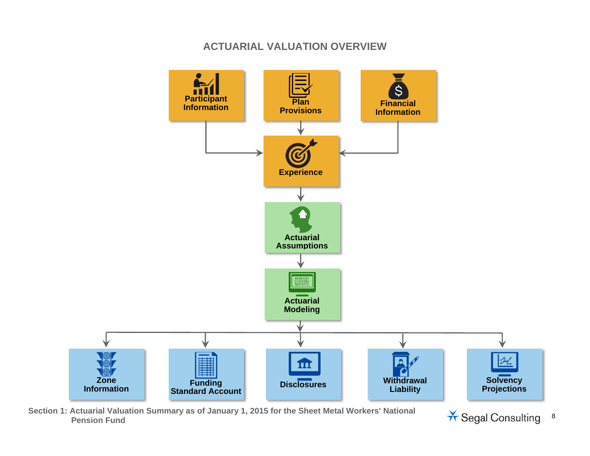## **ACTUARIAL VALUATION OVERVIEW**



**Section 1: Actuarial Valuation Summary as of January 1, 2015 for the Sheet Metal Workers' National**   $\star$  Segal Consulting 8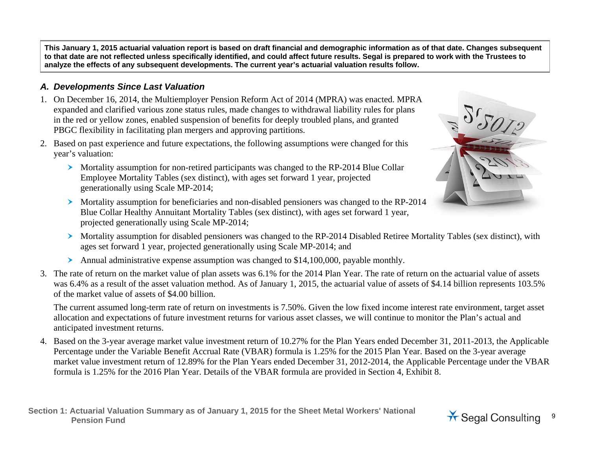**This January 1, 2015 actuarial valuation report is based on draft financial and demographic information as of that date. Changes subsequent to that date are not reflected unless specifically identified, and could affect future results. Segal is prepared to work with the Trustees to analyze the effects of any subsequent developments. The current year's actuarial valuation results follow.** 

## *A. Developments Since Last Valuation*

- 1. On December 16, 2014, the Multiemployer Pension Reform Act of 2014 (MPRA) was enacted. MPRA expanded and clarified various zone status rules, made changes to withdrawal liability rules for plans in the red or yellow zones, enabled suspension of benefits for deeply troubled plans, and granted PBGC flexibility in facilitating plan mergers and approving partitions.
- 2. Based on past experience and future expectations, the following assumptions were changed for this year's valuation:
	- Mortality assumption for non-retired participants was changed to the RP-2014 Blue Collar Employee Mortality Tables (sex distinct), with ages set forward 1 year, projected generationally using Scale MP-2014;
- 
- Mortality assumption for beneficiaries and non-disabled pensioners was changed to the RP-2014 Blue Collar Healthy Annuitant Mortality Tables (sex distinct), with ages set forward 1 year, projected generationally using Scale MP-2014;
- Mortality assumption for disabled pensioners was changed to the RP-2014 Disabled Retiree Mortality Tables (sex distinct), with ages set forward 1 year, projected generationally using Scale MP-2014; and
- Annual administrative expense assumption was changed to \$14,100,000, payable monthly.
- 3. The rate of return on the market value of plan assets was 6.1% for the 2014 Plan Year. The rate of return on the actuarial value of assets was 6.4% as a result of the asset valuation method. As of January 1, 2015, the actuarial value of assets of \$4.14 billion represents 103.5% of the market value of assets of \$4.00 billion.

The current assumed long-term rate of return on investments is 7.50%. Given the low fixed income interest rate environment, target asset allocation and expectations of future investment returns for various asset classes, we will continue to monitor the Plan's actual and anticipated investment returns.

4. Based on the 3-year average market value investment return of 10.27% for the Plan Years ended December 31, 2011-2013, the Applicable Percentage under the Variable Benefit Accrual Rate (VBAR) formula is 1.25% for the 2015 Plan Year. Based on the 3-year average market value investment return of 12.89% for the Plan Years ended December 31, 2012-2014, the Applicable Percentage under the VBAR formula is 1.25% for the 2016 Plan Year. Details of the VBAR formula are provided in Section 4, Exhibit 8.

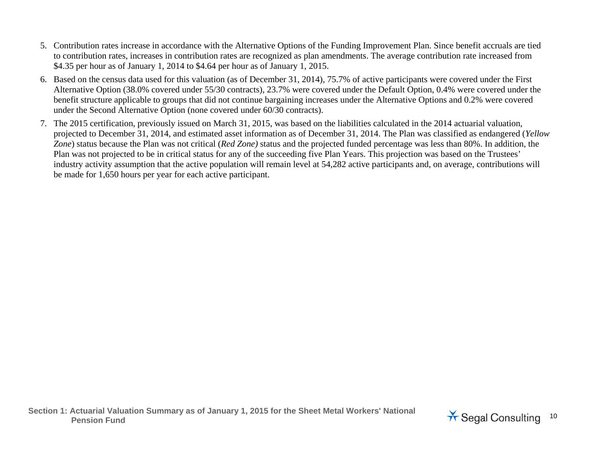- 5. Contribution rates increase in accordance with the Alternative Options of the Funding Improvement Plan. Since benefit accruals are tied to contribution rates, increases in contribution rates are recognized as plan amendments. The average contribution rate increased from \$4.35 per hour as of January 1, 2014 to \$4.64 per hour as of January 1, 2015.
- 6. Based on the census data used for this valuation (as of December 31, 2014), 75.7% of active participants were covered under the First Alternative Option (38.0% covered under 55/30 contracts), 23.7% were covered under the Default Option, 0.4% were covered under the benefit structure applicable to groups that did not continue bargaining increases under the Alternative Options and 0.2% were covered under the Second Alternative Option (none covered under 60/30 contracts).
- 7. The 2015 certification, previously issued on March 31, 2015, was based on the liabilities calculated in the 2014 actuarial valuation, projected to December 31, 2014, and estimated asset information as of December 31, 2014. The Plan was classified as endangered (*Yellow Zone*) status because the Plan was not critical (*Red Zone)* status and the projected funded percentage was less than 80%. In addition, the Plan was not projected to be in critical status for any of the succeeding five Plan Years. This projection was based on the Trustees' industry activity assumption that the active population will remain level at 54,282 active participants and, on average, contributions will be made for 1,650 hours per year for each active participant.

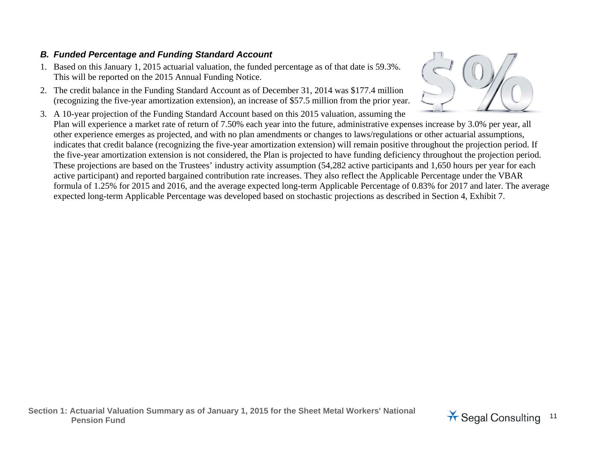## *B. Funded Percentage and Funding Standard Account*

- 1. Based on this January 1, 2015 actuarial valuation, the funded percentage as of that date is 59.3%. This will be reported on the 2015 Annual Funding Notice.
- 2. The credit balance in the Funding Standard Account as of December 31, 2014 was \$177.4 million (recognizing the five-year amortization extension), an increase of \$57.5 million from the prior year.
- 3. A 10-year projection of the Funding Standard Account based on this 2015 valuation, assuming the Plan will experience a market rate of return of 7.50% each year into the future, administrative expenses increase by 3.0% per year, all other experience emerges as projected, and with no plan amendments or changes to laws/regulations or other actuarial assumptions, indicates that credit balance (recognizing the five-year amortization extension) will remain positive throughout the projection period. If the five-year amortization extension is not considered, the Plan is projected to have funding deficiency throughout the projection period. These projections are based on the Trustees' industry activity assumption (54,282 active participants and 1,650 hours per year for each active participant) and reported bargained contribution rate increases. They also reflect the Applicable Percentage under the VBAR formula of 1.25% for 2015 and 2016, and the average expected long-term Applicable Percentage of 0.83% for 2017 and later. The average expected long-term Applicable Percentage was developed based on stochastic projections as described in Section 4, Exhibit 7.



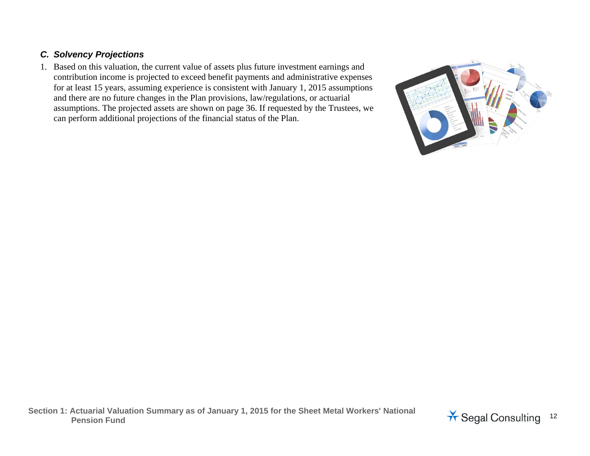## *C. Solvency Projections*

1. Based on this valuation, the current value of assets plus future investment earnings and contribution income is projected to exceed benefit payments and administrative expenses for at least 15 years, assuming experience is consistent with January 1, 2015 assumptions and there are no future changes in the Plan provisions, law/regulations, or actuarial assumptions. The projected assets are shown on page 36. If requested by the Trustees, we can perform additional projections of the financial status of the Plan.



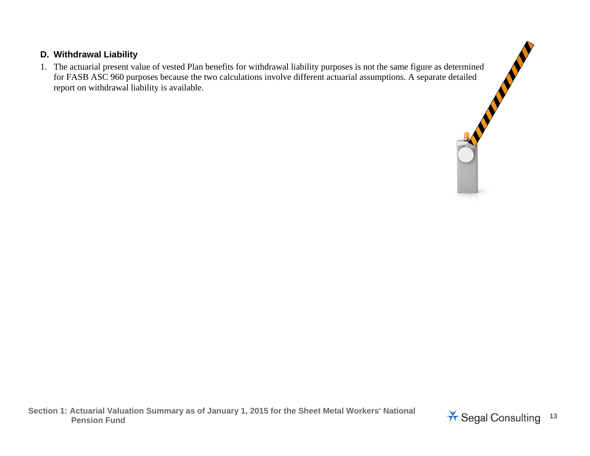## **D. Withdrawal Liability**

1. The actuarial present value of vested Plan benefits for withdrawal liability purposes is not the same figure as determined Withdrawal Liability<br>The actuarial present value of vested Plan benefits for withdrawal liability purposes is not the same figure as determined<br>for FASB ASC 960 purposes because the two calculations involve different actua report on withdrawal liability is available.

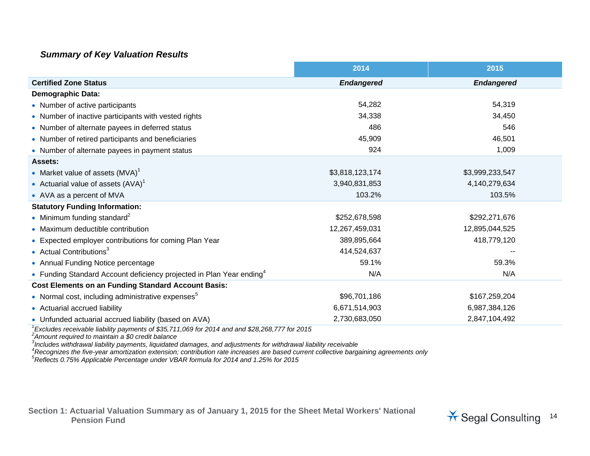#### *Summary of Key Valuation Results*

|                                                                                                    | 2014              | 2015              |
|----------------------------------------------------------------------------------------------------|-------------------|-------------------|
| <b>Certified Zone Status</b>                                                                       | <b>Endangered</b> | <b>Endangered</b> |
| <b>Demographic Data:</b>                                                                           |                   |                   |
| • Number of active participants                                                                    | 54,282            | 54,319            |
| • Number of inactive participants with vested rights                                               | 34,338            | 34,450            |
| • Number of alternate payees in deferred status                                                    | 486               | 546               |
| • Number of retired participants and beneficiaries                                                 | 45,909            | 46,501            |
| • Number of alternate payees in payment status                                                     | 924               | 1,009             |
| <b>Assets:</b>                                                                                     |                   |                   |
| • Market value of assets $(MVA)^T$                                                                 | \$3,818,123,174   | \$3,999,233,547   |
| • Actuarial value of assets $(AVA)^T$                                                              | 3,940,831,853     | 4,140,279,634     |
| • AVA as a percent of MVA                                                                          | 103.2%            | 103.5%            |
| <b>Statutory Funding Information:</b>                                                              |                   |                   |
| • Minimum funding standard <sup>2</sup>                                                            | \$252,678,598     | \$292,271,676     |
| • Maximum deductible contribution                                                                  | 12,267,459,031    | 12,895,044,525    |
| • Expected employer contributions for coming Plan Year                                             | 389,895,664       | 418,779,120       |
| • Actual Contributions <sup>3</sup>                                                                | 414,524,637       |                   |
| • Annual Funding Notice percentage                                                                 | 59.1%             | 59.3%             |
| • Funding Standard Account deficiency projected in Plan Year ending <sup>4</sup>                   | N/A               | N/A               |
| <b>Cost Elements on an Funding Standard Account Basis:</b>                                         |                   |                   |
| • Normal cost, including administrative expenses <sup>5</sup>                                      | \$96,701,186      | \$167,259,204     |
| • Actuarial accrued liability                                                                      | 6,671,514,903     | 6,987,384,126     |
| • Unfunded actuarial accrued liability (based on AVA)                                              | 2,730,683,050     | 2,847,104,492     |
| $^1$ Excludes receivable liability payments of \$35,711,069 for 2014 and and \$28,268,777 for 2015 |                   |                   |

*2Amount required to maintain a \$0 credit balance* 

<sup>3</sup>Includes withdrawal liability payments, liquidated damages, and adjustments for withdrawal liability receivable<br><sup>4</sup>Recognizes the five-year amortization extension; contribution rate increases are based current collecti

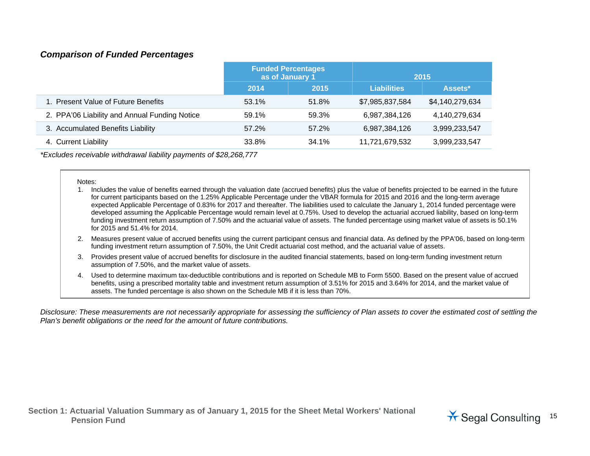#### *Comparison of Funded Percentages*

|                                               | <b>Funded Percentages</b><br>as of January 1 |       |                    | 2015            |
|-----------------------------------------------|----------------------------------------------|-------|--------------------|-----------------|
|                                               | 2015<br>2014                                 |       | <b>Liabilities</b> | Assets*         |
| 1. Present Value of Future Benefits           | 53.1%                                        | 51.8% | \$7,985,837,584    | \$4,140,279,634 |
| 2. PPA'06 Liability and Annual Funding Notice | 59.1%                                        | 59.3% | 6,987,384,126      | 4,140,279,634   |
| 3. Accumulated Benefits Liability             | 57.2%                                        | 57.2% | 6,987,384,126      | 3,999,233,547   |
| 4. Current Liability                          | 33.8%                                        | 34.1% | 11,721,679,532     | 3,999,233,547   |

*\*Excludes receivable withdrawal liability payments of \$28,268,777* 

#### Notes:

- 1. Includes the value of benefits earned through the valuation date (accrued benefits) plus the value of benefits projected to be earned in the future for current participants based on the 1.25% Applicable Percentage under the VBAR formula for 2015 and 2016 and the long-term average expected Applicable Percentage of 0.83% for 2017 and thereafter. The liabilities used to calculate the January 1, 2014 funded percentage were developed assuming the Applicable Percentage would remain level at 0.75%. Used to develop the actuarial accrued liability, based on long-term funding investment return assumption of 7.50% and the actuarial value of assets. The funded percentage using market value of assets is 50.1% for 2015 and 51.4% for 2014.
- 2. Measures present value of accrued benefits using the current participant census and financial data. As defined by the PPA'06, based on long-term funding investment return assumption of 7.50%, the Unit Credit actuarial cost method, and the actuarial value of assets.
- 3. Provides present value of accrued benefits for disclosure in the audited financial statements, based on long-term funding investment return assumption of 7.50%, and the market value of assets.
- 4. Used to determine maximum tax-deductible contributions and is reported on Schedule MB to Form 5500. Based on the present value of accrued benefits, using a prescribed mortality table and investment return assumption of 3.51% for 2015 and 3.64% for 2014, and the market value of assets. The funded percentage is also shown on the Schedule MB if it is less than 70%.

*Disclosure: These measurements are not necessarily appropriate for assessing the sufficiency of Plan assets to cover the estimated cost of settling the Plan's benefit obligations or the need for the amount of future contributions.* 

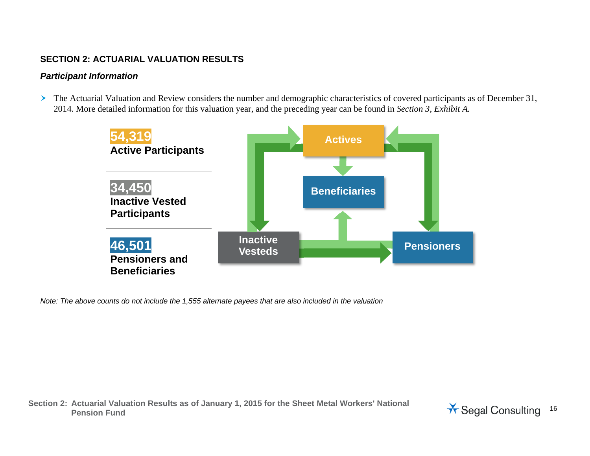#### **SECTION 2: ACTUARIAL VALUATION RESULTS**

#### *Participant Information*

The Actuarial Valuation and Review considers the number and demographic characteristics of covered participants as of December 31, 2014. More detailed information for this valuation year, and the preceding year can be found in *Section 3, Exhibit A.*



*Note: The above counts do not include the 1,555 alternate payees that are also included in the valuation* 

**Section 2: Actuarial Valuation Results as of January 1, 2015 for the Sheet Metal Workers' National Pension Fund** Consulting 16

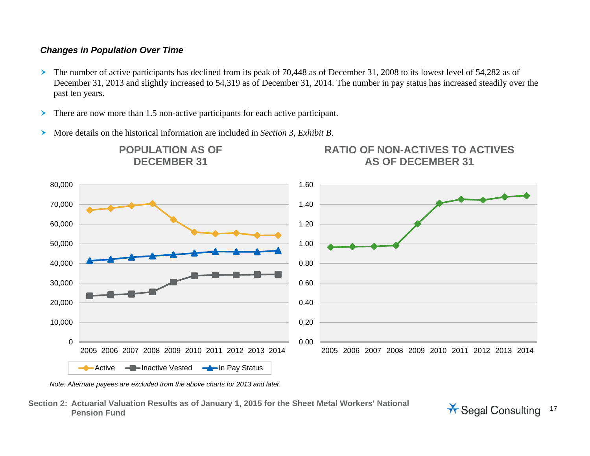#### *Changes in Population Over Time*

- $\blacktriangleright$  The number of active participants has declined from its peak of 70,448 as of December 31, 2008 to its lowest level of 54,282 as of December 31, 2013 and slightly increased to 54,319 as of December 31, 2014. The number in pay status has increased steadily over the past ten years.
- ➤ There are now more than 1.5 non-active participants for each active participant.
- $\blacktriangleright$ More details on the historical information are included in *Section 3, Exhibit B*.



*Note: Alternate payees are excluded from the above charts for 2013 and later.* 

**Section 2: Actuarial Valuation Results as of January 1, 2015 for the Sheet Metal Workers' National**  Pension Fund<br>Pension Fund

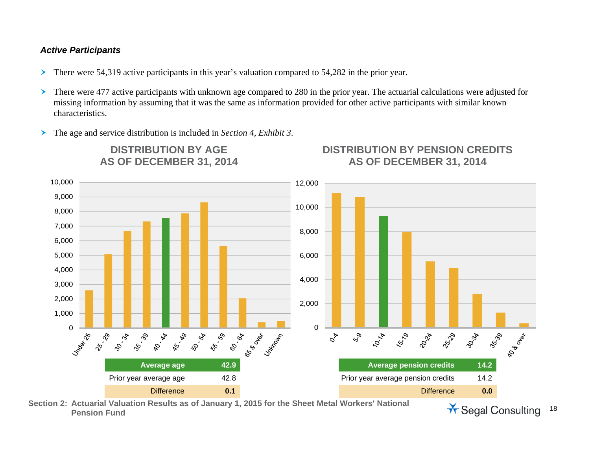#### *Active Participants*

- ➤ There were 54,319 active participants in this year's valuation compared to 54,282 in the prior year.
- $\blacktriangleright$  There were 477 active participants with unknown age compared to 280 in the prior year. The actuarial calculations were adjusted for missing information by assuming that it was the same as information provided for other active participants with similar known characteristics.
- ➤ The age and service distribution is included in *Section 4, Exhibit 3*.

**DISTRIBUTION BY AGE AS OF DECEMBER 31, 2014** 



**Section 2: Actuarial Valuation Results as of January 1, 2015 for the Sheet Metal Workers' National**  Actuarial valuation Results as of January 1, 2015 for the Sheet Metal Workers National **Actual Pension Fund** Consulting 18

**DISTRIBUTION BY PENSION CREDITS AS OF DECEMBER 31, 2014**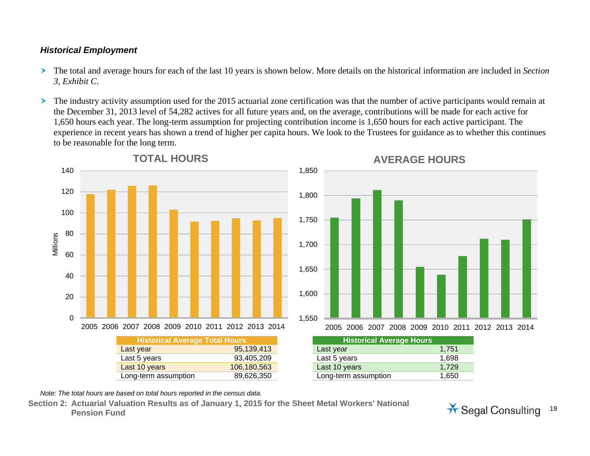## *Historical Employment*

- $\blacktriangleright$  The total and average hours for each of the last 10 years is shown below. More details on the historical information are included in *Section 3, Exhibit C*.
- $\blacktriangleright$  The industry activity assumption used for the 2015 actuarial zone certification was that the number of active participants would remain at the December 31, 2013 level of 54,282 actives for all future years and, on the average, contributions will be made for each active for 1,650 hours each year. The long-term assumption for projecting contribution income is 1,650 hours for each active participant. The experience in recent years has shown a trend of higher per capita hours. We look to the Trustees for guidance as to whether this continues to be reasonable for the long term.



*Note: The total hours are based on total hours reported in the census data.* 

**Section 2: Actuarial Valuation Results as of January 1, 2015 for the Sheet Metal Workers' National Pension Fund** Consulting 19

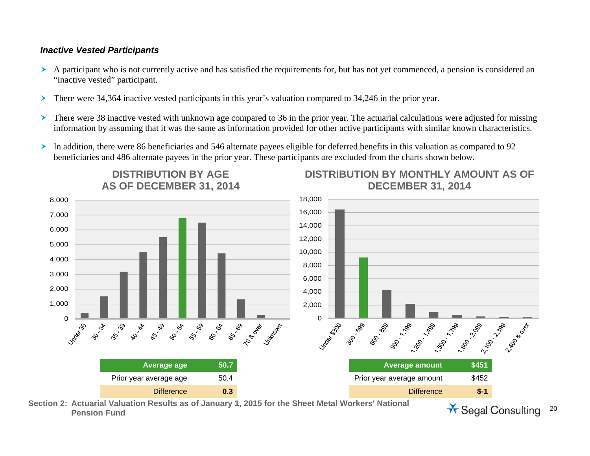#### *Inactive Vested Participants*

- A participant who is not currently active and has satisfied the requirements for, but has not yet commenced, a pension is considered an "inactive vested" participant.
- ▸ There were 34,364 inactive vested participants in this year's valuation compared to 34,246 in the prior year.

**DISTRIBUTION BY AGE** 

- $\blacktriangleright$  There were 38 inactive vested with unknown age compared to 36 in the prior year. The actuarial calculations were adjusted for missing information by assuming that it was the same as information provided for other active participants with similar known characteristics.
- $\blacktriangleright$  In addition, there were 86 beneficiaries and 546 alternate payees eligible for deferred benefits in this valuation as compared to 92 beneficiaries and 486 alternate payees in the prior year. These participants are excluded from the charts shown below.



**Section 2: Actuarial Valuation Results as of January 1, 2015 for the Sheet Metal Workers' National**  Actuarial valuation Results as of January 1, 2015 for the Sheet Metal Workers National **Article Segal Consulting** 20<br>Pension Fund

**DISTRIBUTION BY MONTHLY AMOUNT AS OF**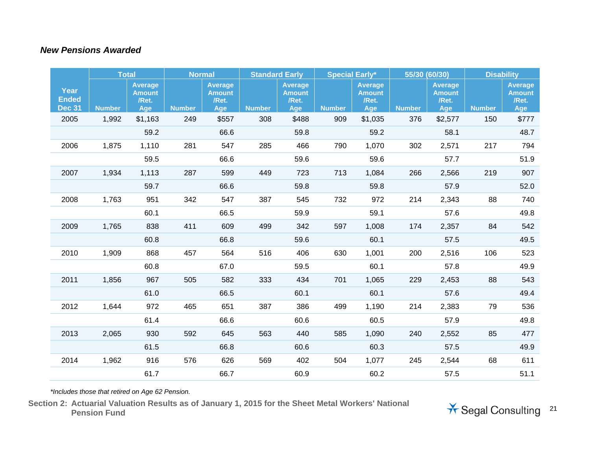#### *New Pensions Awarded*

|                                       |               | <b>Total</b>                                    |               | <b>Normal</b>                                   |               | <b>Standard Early</b>                           |               | <b>Special Early*</b>                           | 55/30 (60/30) |                                                 |               | <b>Disability</b>                               |
|---------------------------------------|---------------|-------------------------------------------------|---------------|-------------------------------------------------|---------------|-------------------------------------------------|---------------|-------------------------------------------------|---------------|-------------------------------------------------|---------------|-------------------------------------------------|
| Year<br><b>Ended</b><br><b>Dec 31</b> | <b>Number</b> | <b>Average</b><br><b>Amount</b><br>/Ret.<br>Age | <b>Number</b> | <b>Average</b><br><b>Amount</b><br>/Ret.<br>Age | <b>Number</b> | <b>Average</b><br><b>Amount</b><br>/Ret.<br>Age | <b>Number</b> | <b>Average</b><br><b>Amount</b><br>/Ret.<br>Age | <b>Number</b> | <b>Average</b><br><b>Amount</b><br>/Ret.<br>Age | <b>Number</b> | <b>Average</b><br><b>Amount</b><br>/Ret.<br>Age |
| 2005                                  | 1,992         | \$1,163                                         | 249           | \$557                                           | 308           | \$488                                           | 909           | \$1,035                                         | 376           | \$2,577                                         | 150           | \$777                                           |
|                                       |               | 59.2                                            |               | 66.6                                            |               | 59.8                                            |               | 59.2                                            |               | 58.1                                            |               | 48.7                                            |
| 2006                                  | 1,875         | 1,110                                           | 281           | 547                                             | 285           | 466                                             | 790           | 1,070                                           | 302           | 2,571                                           | 217           | 794                                             |
|                                       |               | 59.5                                            |               | 66.6                                            |               | 59.6                                            |               | 59.6                                            |               | 57.7                                            |               | 51.9                                            |
| 2007                                  | 1,934         | 1,113                                           | 287           | 599                                             | 449           | 723                                             | 713           | 1,084                                           | 266           | 2,566                                           | 219           | 907                                             |
|                                       |               | 59.7                                            |               | 66.6                                            |               | 59.8                                            |               | 59.8                                            |               | 57.9                                            |               | 52.0                                            |
| 2008                                  | 1,763         | 951                                             | 342           | 547                                             | 387           | 545                                             | 732           | 972                                             | 214           | 2,343                                           | 88            | 740                                             |
|                                       |               | 60.1                                            |               | 66.5                                            |               | 59.9                                            |               | 59.1                                            |               | 57.6                                            |               | 49.8                                            |
| 2009                                  | 1,765         | 838                                             | 411           | 609                                             | 499           | 342                                             | 597           | 1,008                                           | 174           | 2,357                                           | 84            | 542                                             |
|                                       |               | 60.8                                            |               | 66.8                                            |               | 59.6                                            |               | 60.1                                            |               | 57.5                                            |               | 49.5                                            |
| 2010                                  | 1,909         | 868                                             | 457           | 564                                             | 516           | 406                                             | 630           | 1,001                                           | 200           | 2,516                                           | 106           | 523                                             |
|                                       |               | 60.8                                            |               | 67.0                                            |               | 59.5                                            |               | 60.1                                            |               | 57.8                                            |               | 49.9                                            |
| 2011                                  | 1,856         | 967                                             | 505           | 582                                             | 333           | 434                                             | 701           | 1,065                                           | 229           | 2,453                                           | 88            | 543                                             |
|                                       |               | 61.0                                            |               | 66.5                                            |               | 60.1                                            |               | 60.1                                            |               | 57.6                                            |               | 49.4                                            |
| 2012                                  | 1,644         | 972                                             | 465           | 651                                             | 387           | 386                                             | 499           | 1,190                                           | 214           | 2,383                                           | 79            | 536                                             |
|                                       |               | 61.4                                            |               | 66.6                                            |               | 60.6                                            |               | 60.5                                            |               | 57.9                                            |               | 49.8                                            |
| 2013                                  | 2,065         | 930                                             | 592           | 645                                             | 563           | 440                                             | 585           | 1,090                                           | 240           | 2,552                                           | 85            | 477                                             |
|                                       |               | 61.5                                            |               | 66.8                                            |               | 60.6                                            |               | 60.3                                            |               | 57.5                                            |               | 49.9                                            |
| 2014                                  | 1,962         | 916                                             | 576           | 626                                             | 569           | 402                                             | 504           | 1,077                                           | 245           | 2,544                                           | 68            | 611                                             |
|                                       |               | 61.7                                            |               | 66.7                                            |               | 60.9                                            |               | 60.2                                            |               | 57.5                                            |               | 51.1                                            |

*\*Includes those that retired on Age 62 Pension.* 

**Section 2: Actuarial Valuation Results as of January 1, 2015 for the Sheet Metal Workers' National** 

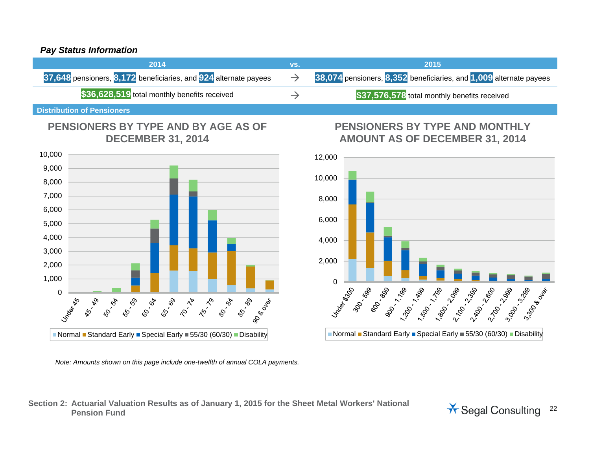#### *Pay Status Information*

| 2014                                                             | VS.           | 2015                                                               |
|------------------------------------------------------------------|---------------|--------------------------------------------------------------------|
| 37,648 pensioners, 8,172 beneficiaries, and 924 alternate payees | $\rightarrow$ | 38,074 pensioners, 8,352 beneficiaries, and 1,009 alternate payees |
| \$36,628,519 total monthly benefits received                     |               | \$37,576,578 total monthly benefits received                       |
|                                                                  |               |                                                                    |

**Distribution of Pensioners** 

## **PENSIONERS BY TYPE AND BY AGE AS OF DECEMBER 31, 2014**



*Note: Amounts shown on this page include one-twelfth of annual COLA payments.* 

#### **Section 2: Actuarial Valuation Results as of January 1, 2015 for the Sheet Metal Workers' National Pension Fund** Consults as a January 1, 2015 for the Sheet Metal Workers National **Article Segal Consulting** 22

## **PENSIONERS BY TYPE AND MONTHLY AMOUNT AS OF DECEMBER 31, 2014**

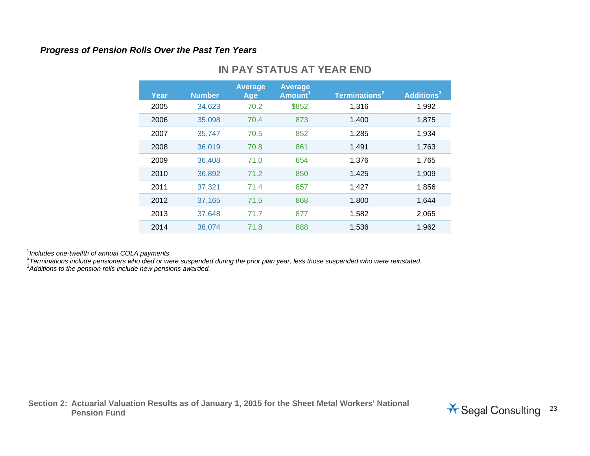#### *Progress of Pension Rolls Over the Past Ten Years*

| Year | <b>Number</b> | <b>Average</b><br>Age | <b>Average</b><br>Amount <sup>1</sup> | Terminations <sup>2</sup> | Additions <sup>3</sup> |
|------|---------------|-----------------------|---------------------------------------|---------------------------|------------------------|
| 2005 | 34,623        | 70.2                  | \$852                                 | 1,316                     | 1,992                  |
| 2006 | 35,098        | 70.4                  | 873                                   | 1,400                     | 1,875                  |
| 2007 | 35,747        | 70.5                  | 852                                   | 1,285                     | 1,934                  |
| 2008 | 36,019        | 70.8                  | 861                                   | 1,491                     | 1,763                  |
| 2009 | 36,408        | 71.0                  | 854                                   | 1,376                     | 1,765                  |
| 2010 | 36,892        | 71.2                  | 850                                   | 1,425                     | 1,909                  |
| 2011 | 37,321        | 71.4                  | 857                                   | 1,427                     | 1,856                  |
| 2012 | 37,165        | 71.5                  | 868                                   | 1,800                     | 1,644                  |
| 2013 | 37,648        | 71.7                  | 877                                   | 1,582                     | 2,065                  |
| 2014 | 38,074        | 71.8                  | 888                                   | 1,536                     | 1,962                  |
|      |               |                       |                                       |                           |                        |

## **IN PAY STATUS AT YEAR END**

<sup>1</sup>*Includes one-twelfth of annual COLA payments*

<sup>2</sup>Terminations include pensioners who died or were suspended during the prior plan year, less those suspended who were reinstated.<br><sup>3</sup>Additions to the pension rolls include new pensions awarded.

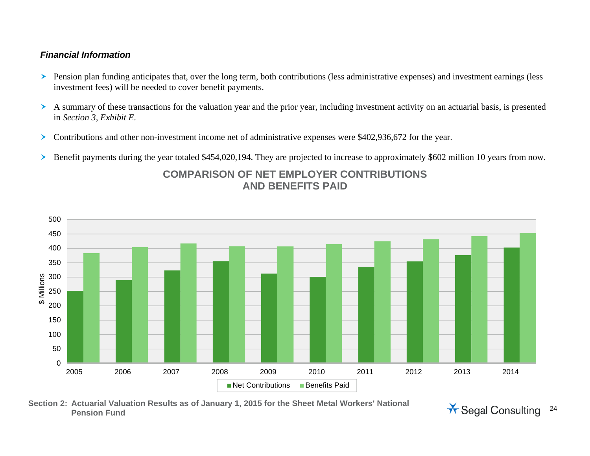#### *Financial Information*

- **>** Pension plan funding anticipates that, over the long term, both contributions (less administrative expenses) and investment earnings (less investment fees) will be needed to cover benefit payments.
- A summary of these transactions for the valuation year and the prior year, including investment activity on an actuarial basis, is presented in *Section 3, Exhibit E*.
- $\blacktriangleright$ Contributions and other non-investment income net of administrative expenses were \$402,936,672 for the year.
- ➤ Benefit payments during the year totaled \$454,020,194. They are projected to increase to approximately \$602 million 10 years from now.



## **COMPARISON OF NET EMPLOYER CONTRIBUTIONS AND BENEFITS PAID**

**Section 2: Actuarial Valuation Results as of January 1, 2015 for the Sheet Metal Workers' National Pension Fund** Consulting 24

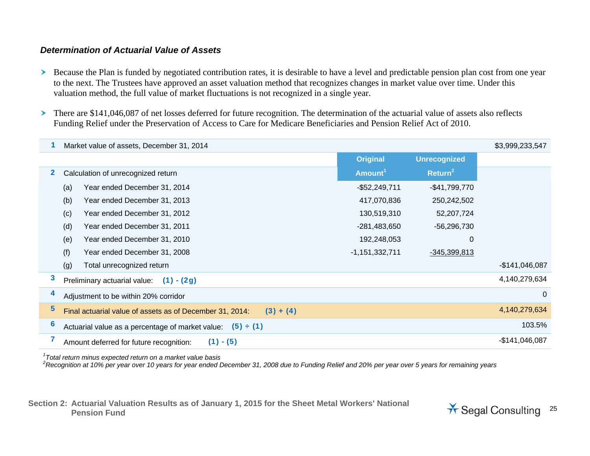#### *Determination of Actuarial Value of Assets*

- Because the Plan is funded by negotiated contribution rates, it is desirable to have a level and predictable pension plan cost from one year to the next. The Trustees have approved an asset valuation method that recognizes changes in market value over time. Under this valuation method, the full value of market fluctuations is not recognized in a single year.
- There are \$141,046,087 of net losses deferred for future recognition. The determination of the actuarial value of assets also reflects Funding Relief under the Preservation of Access to Care for Medicare Beneficiaries and Pension Relief Act of 2010.

|   | Market value of assets, December 31, 2014                               |                     |                     | \$3,999,233,547 |
|---|-------------------------------------------------------------------------|---------------------|---------------------|-----------------|
|   |                                                                         | <b>Original</b>     | <b>Unrecognized</b> |                 |
| 2 | Calculation of unrecognized return                                      | Amount <sup>1</sup> | Return <sup>2</sup> |                 |
|   | Year ended December 31, 2014<br>(a)                                     | $-$52,249,711$      | $-$41,799,770$      |                 |
|   | (b)<br>Year ended December 31, 2013                                     | 417,070,836         | 250,242,502         |                 |
|   | Year ended December 31, 2012<br>(c)                                     | 130,519,310         | 52,207,724          |                 |
|   | (d)<br>Year ended December 31, 2011                                     | $-281,483,650$      | $-56,296,730$       |                 |
|   | Year ended December 31, 2010<br>(e)                                     | 192,248,053         | 0                   |                 |
|   | (f)<br>Year ended December 31, 2008                                     | $-1,151,332,711$    | $-345,399,813$      |                 |
|   | Total unrecognized return<br>(g)                                        |                     |                     | $-$141,046,087$ |
| 3 | $(1) - (2g)$<br>Preliminary actuarial value:                            |                     |                     | 4,140,279,634   |
| 4 | Adjustment to be within 20% corridor                                    |                     |                     | $\Omega$        |
| 5 | Final actuarial value of assets as of December 31, 2014:<br>$(3) + (4)$ |                     |                     | 4,140,279,634   |
| 6 | Actuarial value as a percentage of market value:<br>(5) ÷ (1)           |                     |                     | 103.5%          |
|   | $(1) - (5)$<br>Amount deferred for future recognition:                  |                     |                     | $-$141,046,087$ |

*1Total return minus expected return on a market value basis* 

*2Recognition at 10% per year over 10 years for year ended December 31, 2008 due to Funding Relief and 20% per year over 5 years for remaining years* 

**Section 2: Actuarial Valuation Results as of January 1, 2015 for the Sheet Metal Workers' National**  Pension Fund<br>Pension Fund<br>**Pension Fund** 25

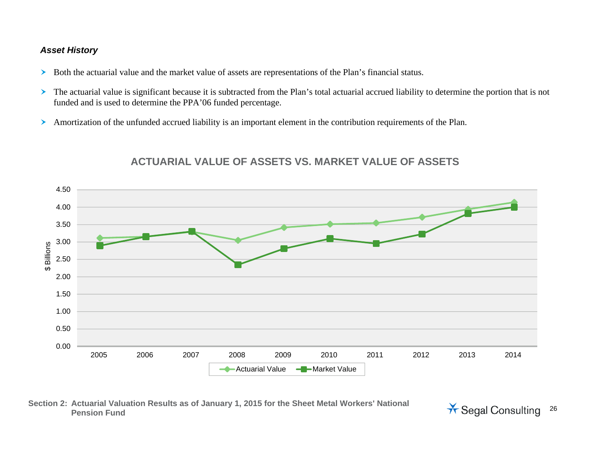#### *Asset History*

- Both the actuarial value and the market value of assets are representations of the Plan's financial status.
- $\blacktriangleright$  The actuarial value is significant because it is subtracted from the Plan's total actuarial accrued liability to determine the portion that is not funded and is used to determine the PPA'06 funded percentage.
- $\blacktriangleright$ Amortization of the unfunded accrued liability is an important element in the contribution requirements of the Plan.



## **ACTUARIAL VALUE OF ASSETS VS. MARKET VALUE OF ASSETS**

#### **Section 2: Actuarial Valuation Results as of January 1, 2015 for the Sheet Metal Workers' National Pension Fund** Consults as a January 1, 2015 for the Sheet Metal Workers National **Article Segal Consulting** 26

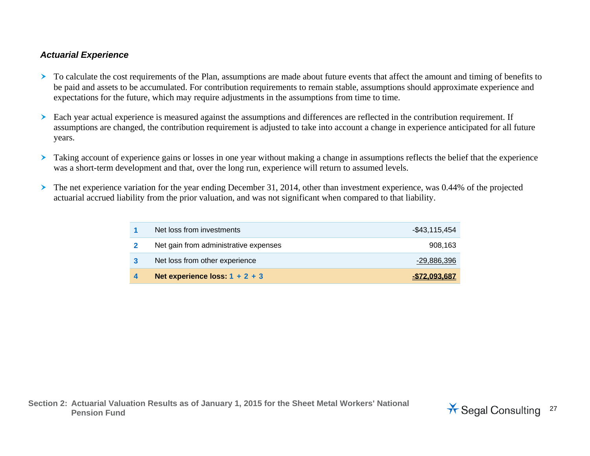#### *Actuarial Experience*

- To calculate the cost requirements of the Plan, assumptions are made about future events that affect the amount and timing of benefits to be paid and assets to be accumulated. For contribution requirements to remain stable, assumptions should approximate experience and expectations for the future, which may require adjustments in the assumptions from time to time.
- Each year actual experience is measured against the assumptions and differences are reflected in the contribution requirement. If assumptions are changed, the contribution requirement is adjusted to take into account a change in experience anticipated for all future years.
- Taking account of experience gains or losses in one year without making a change in assumptions reflects the belief that the experience was a short-term development and that, over the long run, experience will return to assumed levels.
- ≻ The net experience variation for the year ending December 31, 2014, other than investment experience, was 0.44% of the projected actuarial accrued liability from the prior valuation, and was not significant when compared to that liability.

| Net loss from investments             | $-$43,115,454$ |
|---------------------------------------|----------------|
| Net gain from administrative expenses | 908.163        |
| Net loss from other experience        | -29,886,396    |
| Net experience loss: $1 + 2 + 3$      | -\$72.093.687  |

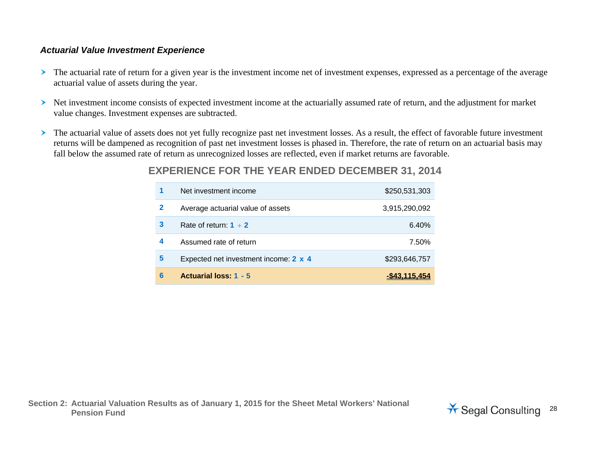#### *Actuarial Value Investment Experience*

- $\blacktriangleright$  The actuarial rate of return for a given year is the investment income net of investment expenses, expressed as a percentage of the average actuarial value of assets during the year.
- Net investment income consists of expected investment income at the actuarially assumed rate of return, and the adjustment for market value changes. Investment expenses are subtracted.
- $\blacktriangleright$  The actuarial value of assets does not yet fully recognize past net investment losses. As a result, the effect of favorable future investment returns will be dampened as recognition of past net investment losses is phased in. Therefore, the rate of return on an actuarial basis may fall below the assumed rate of return as unrecognized losses are reflected, even if market returns are favorable.

## **EXPERIENCE FOR THE YEAR ENDED DECEMBER 31, 2014**

| 1 | Net investment income                 | \$250,531,303 |
|---|---------------------------------------|---------------|
| 2 | Average actuarial value of assets     | 3,915,290,092 |
| 3 | Rate of return: $1 \div 2$            | 6.40%         |
| 4 | Assumed rate of return                | 7.50%         |
| 5 | Expected net investment income: 2 x 4 | \$293,646,757 |
| 6 | <b>Actuarial loss: 1 - 5</b>          |               |

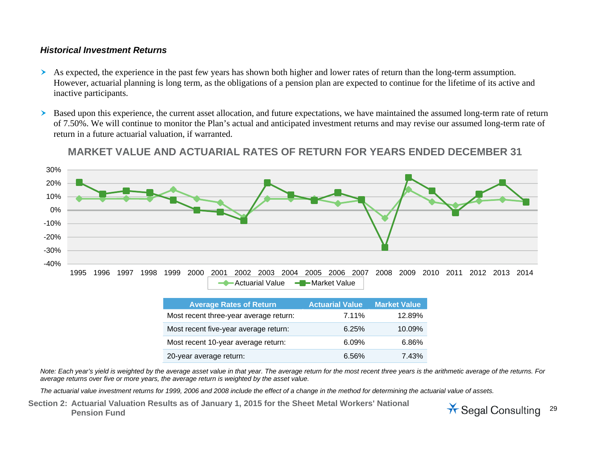#### *Historical Investment Returns*

- As expected, the experience in the past few years has shown both higher and lower rates of return than the long-term assumption. However, actuarial planning is long term, as the obligations of a pension plan are expected to continue for the lifetime of its active and inactive participants.
- ➤ Based upon this experience, the current asset allocation, and future expectations, we have maintained the assumed long-term rate of return of 7.50%. We will continue to monitor the Plan's actual and anticipated investment returns and may revise our assumed long-term rate of return in a future actuarial valuation, if warranted.



**MARKET VALUE AND ACTUARIAL RATES OF RETURN FOR YEARS ENDED DECEMBER 31** 

| <b>Average Rates of Return</b>         | <b>Actuarial Value</b> | <b>Market Value</b> |
|----------------------------------------|------------------------|---------------------|
| Most recent three-year average return: | 7.11%                  | 12.89%              |
| Most recent five-year average return:  | 6.25%                  | 10.09%              |
| Most recent 10-year average return:    | 6.09%                  | 6.86%               |
| 20-year average return:                | 6.56%                  | 7.43%               |

*Note: Each year's yield is weighted by the average asset value in that year. The average return for the most recent three years is the arithmetic average of the returns. For average returns over five or more years, the average return is weighted by the asset value.* 

*The actuarial value investment returns for 1999, 2006 and 2008 include the effect of a change in the method for determining the actuarial value of assets.*

**Section 2: Actuarial Valuation Results as of January 1, 2015 for the Sheet Metal Workers' National**  Pension Fund<br>Pension Fund

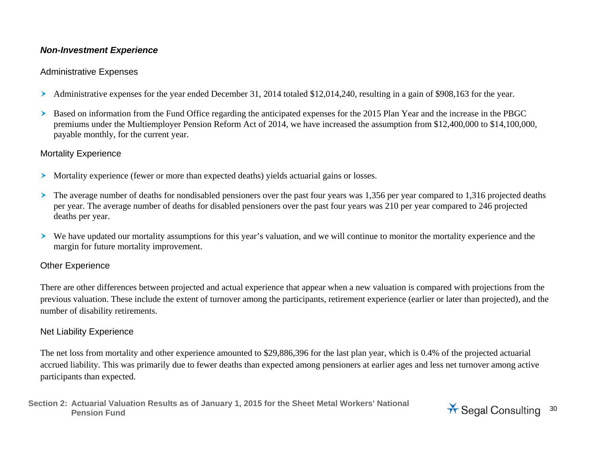#### *Non-Investment Experience*

#### Administrative Expenses

- Administrative expenses for the year ended December 31, 2014 totaled \$12,014,240, resulting in a gain of \$908,163 for the year.
- ≻ Based on information from the Fund Office regarding the anticipated expenses for the 2015 Plan Year and the increase in the PBGC premiums under the Multiemployer Pension Reform Act of 2014, we have increased the assumption from \$12,400,000 to \$14,100,000, payable monthly, for the current year.

### Mortality Experience

- Mortality experience (fewer or more than expected deaths) yields actuarial gains or losses.
- $\blacktriangleright$  The average number of deaths for nondisabled pensioners over the past four years was 1,356 per year compared to 1,316 projected deaths per year. The average number of deaths for disabled pensioners over the past four years was 210 per year compared to 246 projected deaths per year.
- We have updated our mortality assumptions for this year's valuation, and we will continue to monitor the mortality experience and the margin for future mortality improvement.

## Other Experience

There are other differences between projected and actual experience that appear when a new valuation is compared with projections from the previous valuation. These include the extent of turnover among the participants, retirement experience (earlier or later than projected), and the number of disability retirements.

## Net Liability Experience

The net loss from mortality and other experience amounted to \$29,886,396 for the last plan year, which is 0.4% of the projected actuarial accrued liability. This was primarily due to fewer deaths than expected among pensioners at earlier ages and less net turnover among active participants than expected.

```
Section 2: Actuarial Valuation Results as of January 1, 2015 for the Sheet Metal Workers' National 
Pension Fund<br>Pension Fund
```
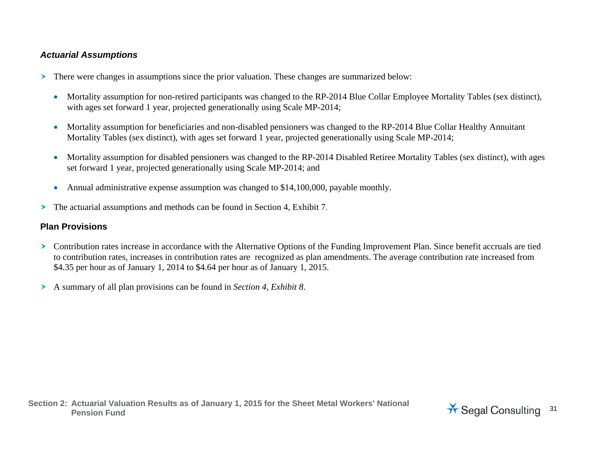#### *Actuarial Assumptions*

- There were changes in assumptions since the prior valuation. These changes are summarized below:
	- Mortality assumption for non-retired participants was changed to the RP-2014 Blue Collar Employee Mortality Tables (sex distinct), with ages set forward 1 year, projected generationally using Scale MP-2014;
	- Mortality assumption for beneficiaries and non-disabled pensioners was changed to the RP-2014 Blue Collar Healthy Annuitant Mortality Tables (sex distinct), with ages set forward 1 year, projected generationally using Scale MP-2014;
	- $\bullet$  Mortality assumption for disabled pensioners was changed to the RP-2014 Disabled Retiree Mortality Tables (sex distinct), with ages set forward 1 year, projected generationally using Scale MP-2014; and
	- $\bullet$ Annual administrative expense assumption was changed to \$14,100,000, payable monthly.
- $\blacktriangleright$ The actuarial assumptions and methods can be found in Section 4, Exhibit 7.

#### **Plan Provisions**

- $\blacktriangleright$  Contribution rates increase in accordance with the Alternative Options of the Funding Improvement Plan. Since benefit accruals are tied to contribution rates, increases in contribution rates are recognized as plan amendments. The average contribution rate increased from \$4.35 per hour as of January 1, 2014 to \$4.64 per hour as of January 1, 2015.
- A summary of all plan provisions can be found in *Section 4, Exhibit 8*.

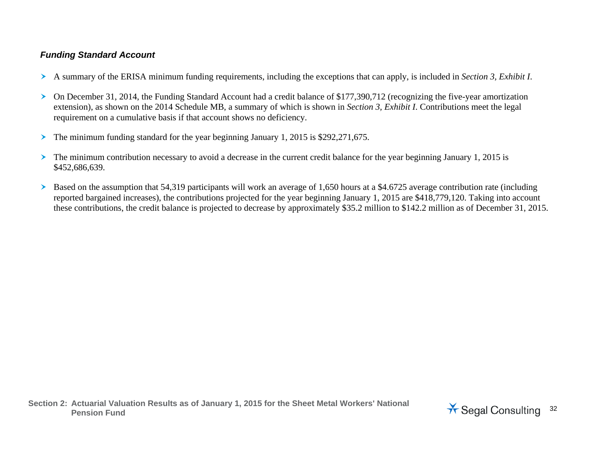## *Funding Standard Account*

- A summary of the ERISA minimum funding requirements, including the exceptions that can apply, is included in *Section 3, Exhibit I*.
- $\blacktriangleright$  On December 31, 2014, the Funding Standard Account had a credit balance of \$177,390,712 (recognizing the five-year amortization extension), as shown on the 2014 Schedule MB, a summary of which is shown in *Section 3, Exhibit I*. Contributions meet the legal requirement on a cumulative basis if that account shows no deficiency.
- The minimum funding standard for the year beginning January 1, 2015 is \$292,271,675.
- The minimum contribution necessary to avoid a decrease in the current credit balance for the year beginning January 1, 2015 is \$452,686,639.
- $\blacktriangleright$  Based on the assumption that 54,319 participants will work an average of 1,650 hours at a \$4.6725 average contribution rate (including reported bargained increases), the contributions projected for the year beginning January 1, 2015 are \$418,779,120. Taking into account these contributions, the credit balance is projected to decrease by approximately \$35.2 million to \$142.2 million as of December 31, 2015.

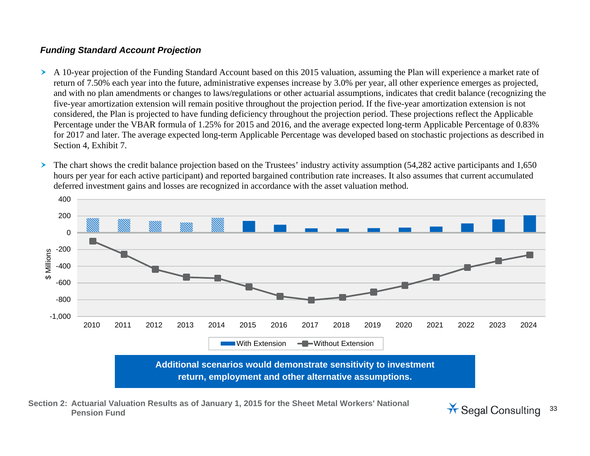### *Funding Standard Account Projection*

- A 10-year projection of the Funding Standard Account based on this 2015 valuation, assuming the Plan will experience a market rate of return of 7.50% each year into the future, administrative expenses increase by 3.0% per year, all other experience emerges as projected, and with no plan amendments or changes to laws/regulations or other actuarial assumptions, indicates that credit balance (recognizing the five-year amortization extension will remain positive throughout the projection period. If the five-year amortization extension is not considered, the Plan is projected to have funding deficiency throughout the projection period. These projections reflect the Applicable Percentage under the VBAR formula of 1.25% for 2015 and 2016, and the average expected long-term Applicable Percentage of 0.83% for 2017 and later. The average expected long-term Applicable Percentage was developed based on stochastic projections as described in Section 4, Exhibit 7.
- ➤ The chart shows the credit balance projection based on the Trustees' industry activity assumption (54,282 active participants and 1,650 hours per year for each active participant) and reported bargained contribution rate increases. It also assumes that current accumulated deferred investment gains and losses are recognized in accordance with the asset valuation method.



**Section 2: Actuarial Valuation Results as of January 1, 2015 for the Sheet Metal Workers' National**  Pension Fund<br>Pension Fund

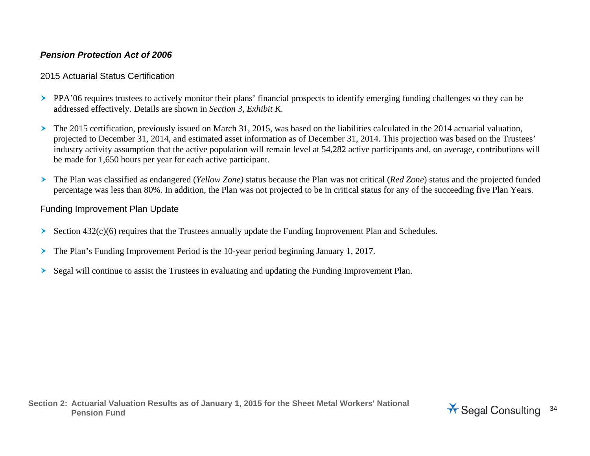## *Pension Protection Act of 2006*

#### 2015 Actuarial Status Certification

- PPA'06 requires trustees to actively monitor their plans' financial prospects to identify emerging funding challenges so they can be addressed effectively. Details are shown in *Section 3, Exhibit K*.
- $\blacktriangleright$  The 2015 certification, previously issued on March 31, 2015, was based on the liabilities calculated in the 2014 actuarial valuation, projected to December 31, 2014, and estimated asset information as of December 31, 2014. This projection was based on the Trustees' industry activity assumption that the active population will remain level at 54,282 active participants and, on average, contributions will be made for 1,650 hours per year for each active participant.
- The Plan was classified as endangered (*Yellow Zone)* status because the Plan was not critical (*Red Zone*) status and the projected funded percentage was less than 80%. In addition, the Plan was not projected to be in critical status for any of the succeeding five Plan Years.

### Funding Improvement Plan Update

- ≻ Section 432(c)(6) requires that the Trustees annually update the Funding Improvement Plan and Schedules.
- ≻ The Plan's Funding Improvement Period is the 10-year period beginning January 1, 2017.
- ➤ Segal will continue to assist the Trustees in evaluating and updating the Funding Improvement Plan.

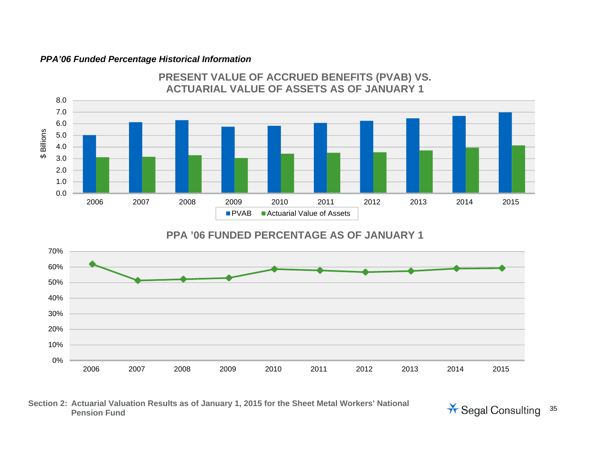#### *PPA'06 Funded Percentage Historical Information*



# **PRESENT VALUE OF ACCRUED BENEFITS (PVAB) VS.**

## **PPA '06 FUNDED PERCENTAGE AS OF JANUARY 1**



#### **Section 2: Actuarial Valuation Results as of January 1, 2015 for the Sheet Metal Workers' National**  Actuarial valuation Results as of January 1, 2015 for the Sheet Metal Workers National **Actuary 1968** Segal Consulting 35

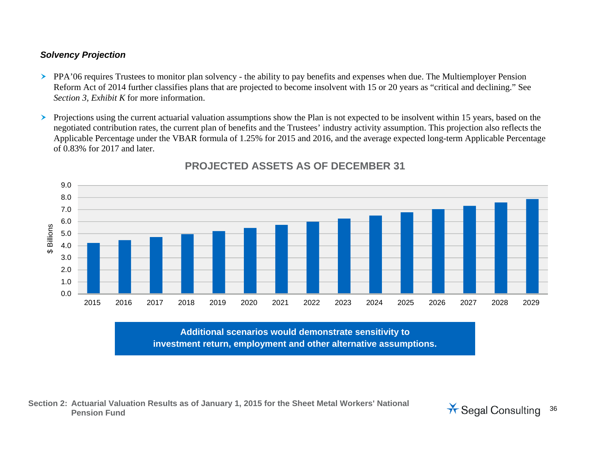## *Solvency Projection*

- PPA'06 requires Trustees to monitor plan solvency the ability to pay benefits and expenses when due. The Multiemployer Pension Reform Act of 2014 further classifies plans that are projected to become insolvent with 15 or 20 years as "critical and declining." See *Section 3, Exhibit K* for more information.
- $\blacktriangleright$  Projections using the current actuarial valuation assumptions show the Plan is not expected to be insolvent within 15 years, based on the negotiated contribution rates, the current plan of benefits and the Trustees' industry activity assumption. This projection also reflects the Applicable Percentage under the VBAR formula of 1.25% for 2015 and 2016, and the average expected long-term Applicable Percentage of 0.83% for 2017 and later.



## **PROJECTED ASSETS AS OF DECEMBER 31**

**Additional scenarios would demonstrate sensitivity to investment return, employment and other alternative assumptions.** 

**Section 2: Actuarial Valuation Results as of January 1, 2015 for the Sheet Metal Workers' National**  Pension Fund<br>Pension Fund

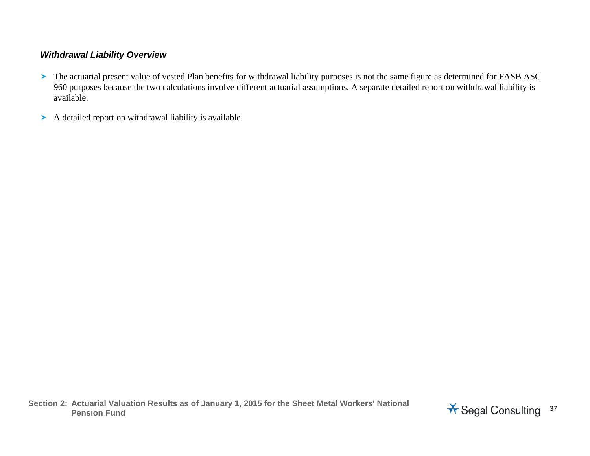#### *Withdrawal Liability Overview*

- The actuarial present value of vested Plan benefits for withdrawal liability purposes is not the same figure as determined for FASB ASC 960 purposes because the two calculations involve different actuarial assumptions. A separate detailed report on withdrawal liability is available.
- A detailed report on withdrawal liability is available.

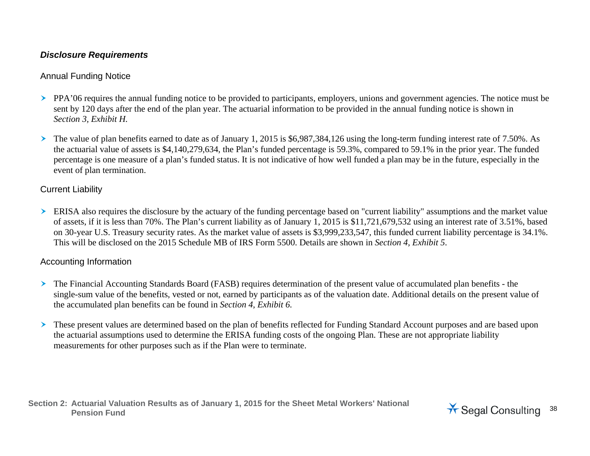#### *Disclosure Requirements*

#### Annual Funding Notice

- PPA'06 requires the annual funding notice to be provided to participants, employers, unions and government agencies. The notice must be sent by 120 days after the end of the plan year. The actuarial information to be provided in the annual funding notice is shown in *Section 3, Exhibit H.*
- $\blacktriangleright$  The value of plan benefits earned to date as of January 1, 2015 is \$6,987,384,126 using the long-term funding interest rate of 7.50%. As the actuarial value of assets is \$4,140,279,634, the Plan's funded percentage is 59.3%, compared to 59.1% in the prior year. The funded percentage is one measure of a plan's funded status. It is not indicative of how well funded a plan may be in the future, especially in the event of plan termination.

#### Current Liability

ERISA also requires the disclosure by the actuary of the funding percentage based on "current liability" assumptions and the market value of assets, if it is less than 70%. The Plan's current liability as of January 1, 2015 is \$11,721,679,532 using an interest rate of 3.51%, based on 30-year U.S. Treasury security rates. As the market value of assets is \$3,999,233,547, this funded current liability percentage is 34.1%. This will be disclosed on the 2015 Schedule MB of IRS Form 5500. Details are shown in *Section 4, Exhibit 5*.

#### Accounting Information

- The Financial Accounting Standards Board (FASB) requires determination of the present value of accumulated plan benefits the single-sum value of the benefits, vested or not, earned by participants as of the valuation date. Additional details on the present value of the accumulated plan benefits can be found in *Section 4, Exhibit 6.*
- These present values are determined based on the plan of benefits reflected for Funding Standard Account purposes and are based upon the actuarial assumptions used to determine the ERISA funding costs of the ongoing Plan. These are not appropriate liability measurements for other purposes such as if the Plan were to terminate.

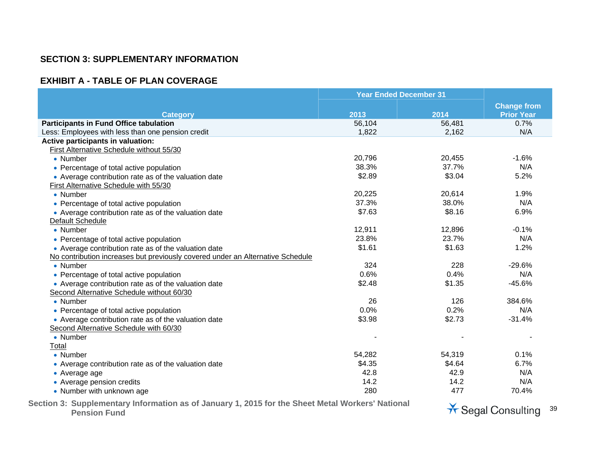#### **SECTION 3: SUPPLEMENTARY INFORMATION**

#### **EXHIBIT A - TABLE OF PLAN COVERAGE**

|                                                                                | <b>Year Ended December 31</b> |        |                    |
|--------------------------------------------------------------------------------|-------------------------------|--------|--------------------|
|                                                                                |                               |        | <b>Change from</b> |
| <b>Category</b>                                                                | 2013                          | 2014   | <b>Prior Year</b>  |
| <b>Participants in Fund Office tabulation</b>                                  | 56,104                        | 56,481 | 0.7%               |
| Less: Employees with less than one pension credit                              | 1,822                         | 2,162  | N/A                |
| Active participants in valuation:                                              |                               |        |                    |
| First Alternative Schedule without 55/30                                       |                               |        |                    |
| • Number                                                                       | 20,796                        | 20,455 | $-1.6%$            |
| • Percentage of total active population                                        | 38.3%                         | 37.7%  | N/A                |
| • Average contribution rate as of the valuation date                           | \$2.89                        | \$3.04 | 5.2%               |
| First Alternative Schedule with 55/30                                          |                               |        |                    |
| • Number                                                                       | 20,225                        | 20,614 | 1.9%               |
| • Percentage of total active population                                        | 37.3%                         | 38.0%  | N/A                |
| • Average contribution rate as of the valuation date                           | \$7.63                        | \$8.16 | 6.9%               |
| Default Schedule                                                               |                               |        |                    |
| • Number                                                                       | 12,911                        | 12,896 | $-0.1%$            |
| • Percentage of total active population                                        | 23.8%                         | 23.7%  | N/A                |
| • Average contribution rate as of the valuation date                           | \$1.61                        | \$1.63 | 1.2%               |
| No contribution increases but previously covered under an Alternative Schedule |                               |        |                    |
| • Number                                                                       | 324                           | 228    | $-29.6%$           |
| • Percentage of total active population                                        | 0.6%                          | 0.4%   | N/A                |
| • Average contribution rate as of the valuation date                           | \$2.48                        | \$1.35 | $-45.6%$           |
| Second Alternative Schedule without 60/30                                      |                               |        |                    |
| • Number                                                                       | 26                            | 126    | 384.6%             |
| • Percentage of total active population                                        | 0.0%                          | 0.2%   | N/A                |
| • Average contribution rate as of the valuation date                           | \$3.98                        | \$2.73 | $-31.4%$           |
| Second Alternative Schedule with 60/30                                         |                               |        |                    |
| • Number                                                                       |                               |        |                    |
| Total                                                                          |                               |        |                    |
| • Number                                                                       | 54,282                        | 54,319 | 0.1%               |
| • Average contribution rate as of the valuation date                           | \$4.35                        | \$4.64 | 6.7%               |
| • Average age                                                                  | 42.8                          | 42.9   | N/A                |
| • Average pension credits                                                      | 14.2                          | 14.2   | N/A                |
| • Number with unknown age                                                      | 280                           | 477    | 70.4%              |

**Section 3: Supplementary Information as of January 1, 2015 for the Sheet Metal Workers' National**  Pension Fund **Publication Contracts** of the Consulting  $\frac{39}{1000}$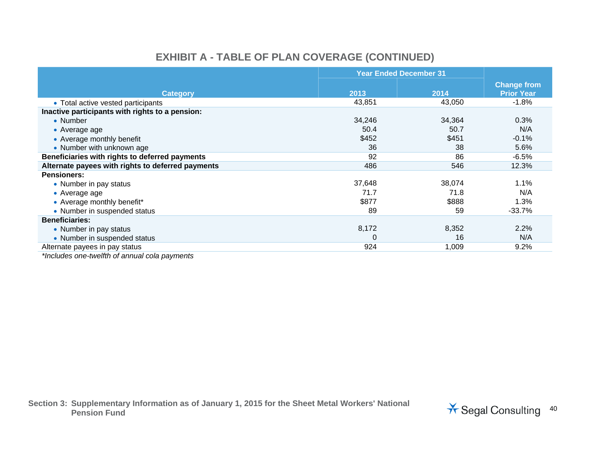# **EXHIBIT A - TABLE OF PLAN COVERAGE (CONTINUED)**

|                                                   | <b>Year Ended December 31</b> |        |                                         |
|---------------------------------------------------|-------------------------------|--------|-----------------------------------------|
| <b>Category</b>                                   | 2013                          | 2014   | <b>Change from</b><br><b>Prior Year</b> |
|                                                   |                               |        |                                         |
| • Total active vested participants                | 43,851                        | 43,050 | $-1.8%$                                 |
| Inactive participants with rights to a pension:   |                               |        |                                         |
| • Number                                          | 34,246                        | 34,364 | 0.3%                                    |
| • Average age                                     | 50.4                          | 50.7   | N/A                                     |
| • Average monthly benefit                         | \$452                         | \$451  | $-0.1%$                                 |
| • Number with unknown age                         | 36                            | 38     | 5.6%                                    |
| Beneficiaries with rights to deferred payments    | 92                            | 86     | $-6.5%$                                 |
| Alternate payees with rights to deferred payments | 486                           | 546    | 12.3%                                   |
| <b>Pensioners:</b>                                |                               |        |                                         |
| • Number in pay status                            | 37,648                        | 38,074 | 1.1%                                    |
| • Average age                                     | 71.7                          | 71.8   | N/A                                     |
| • Average monthly benefit*                        | \$877                         | \$888  | 1.3%                                    |
| • Number in suspended status                      | 89                            | 59     | $-33.7%$                                |
| <b>Beneficiaries:</b>                             |                               |        |                                         |
| • Number in pay status                            | 8,172                         | 8,352  | 2.2%                                    |
| • Number in suspended status                      | $\Omega$                      | 16     | N/A                                     |
| Alternate payees in pay status                    | 924                           | 1,009  | $9.2\%$                                 |

*\*Includes one-twelfth of annual cola payments*

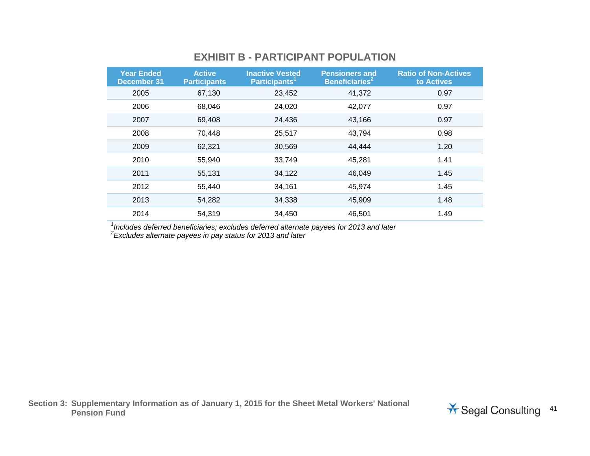## **EXHIBIT B - PARTICIPANT POPULATION**

| <b>Year Ended</b><br><b>December 31</b> | <b>Active</b><br><b>Participants</b> | <b>Inactive Vested</b><br>Participants <sup>1</sup> | <b>Pensioners and</b><br>Beneficiaries <sup>2</sup> | <b>Ratio of Non-Actives</b><br>to Actives |
|-----------------------------------------|--------------------------------------|-----------------------------------------------------|-----------------------------------------------------|-------------------------------------------|
| 2005                                    | 67,130                               | 23,452                                              | 41,372                                              | 0.97                                      |
| 2006                                    | 68,046                               | 24,020                                              | 42,077                                              | 0.97                                      |
| 2007                                    | 69,408                               | 24,436                                              | 43,166                                              | 0.97                                      |
| 2008                                    | 70,448                               | 25,517                                              | 43,794                                              | 0.98                                      |
| 2009                                    | 62,321                               | 30,569                                              | 44,444                                              | 1.20                                      |
| 2010                                    | 55,940                               | 33,749                                              | 45,281                                              | 1.41                                      |
| 2011                                    | 55,131                               | 34,122                                              | 46,049                                              | 1.45                                      |
| 2012                                    | 55,440                               | 34,161                                              | 45,974                                              | 1.45                                      |
| 2013                                    | 54,282                               | 34,338                                              | 45,909                                              | 1.48                                      |
| 2014                                    | 54,319                               | 34,450                                              | 46,501                                              | 1.49                                      |

*1Includes deferred beneficiaries; excludes deferred alternate payees for 2013 and later* 

*2Excludes alternate payees in pay status for 2013 and later*

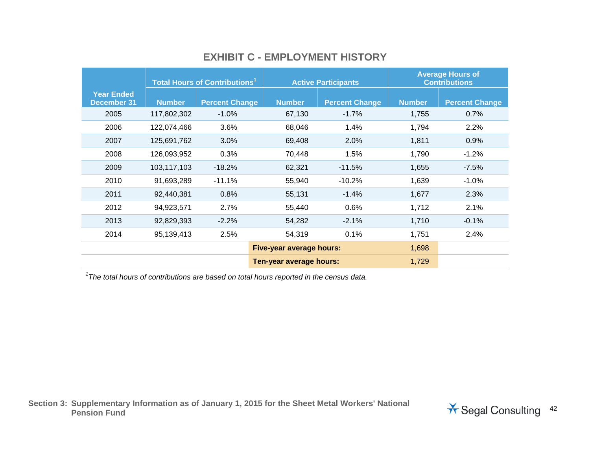|                                         | <b>Total Hours of Contributions<sup>1</sup></b> |                       |                          | <b>Active Participants</b> | <b>Average Hours of</b><br><b>Contributions</b> |                       |  |
|-----------------------------------------|-------------------------------------------------|-----------------------|--------------------------|----------------------------|-------------------------------------------------|-----------------------|--|
| <b>Year Ended</b><br><b>December 31</b> | <b>Number</b>                                   | <b>Percent Change</b> | <b>Number</b>            | <b>Percent Change</b>      | <b>Number</b>                                   | <b>Percent Change</b> |  |
| 2005                                    | 117,802,302                                     | $-1.0%$               | 67,130                   | $-1.7%$                    | 1,755                                           | 0.7%                  |  |
| 2006                                    | 122,074,466                                     | 3.6%                  | 68,046                   | 1.4%                       | 1,794                                           | 2.2%                  |  |
| 2007                                    | 125,691,762                                     | 3.0%                  | 69,408                   | 2.0%                       | 1,811                                           | 0.9%                  |  |
| 2008                                    | 126,093,952                                     | 0.3%                  | 70,448                   | 1.5%                       | 1,790                                           | $-1.2%$               |  |
| 2009                                    | 103,117,103                                     | $-18.2%$              | 62,321                   | $-11.5%$                   | 1,655                                           | $-7.5%$               |  |
| 2010                                    | 91,693,289                                      | $-11.1%$              | 55,940                   | $-10.2%$                   | 1,639                                           | $-1.0%$               |  |
| 2011                                    | 92,440,381                                      | 0.8%                  | 55,131                   | $-1.4%$                    | 1,677                                           | 2.3%                  |  |
| 2012                                    | 94,923,571                                      | 2.7%                  | 55,440                   | 0.6%                       | 1,712                                           | 2.1%                  |  |
| 2013                                    | 92,829,393                                      | $-2.2%$               | 54,282                   | $-2.1%$                    | 1,710                                           | $-0.1%$               |  |
| 2014                                    | 95,139,413                                      | 2.5%                  | 54,319                   | 0.1%                       | 1,751                                           | 2.4%                  |  |
|                                         |                                                 |                       | Five-year average hours: |                            | 1,698                                           |                       |  |
|                                         |                                                 |                       | Ten-year average hours:  |                            | 1,729                                           |                       |  |

## **EXHIBIT C - EMPLOYMENT HISTORY**

*1The total hours of contributions are based on total hours reported in the census data.*

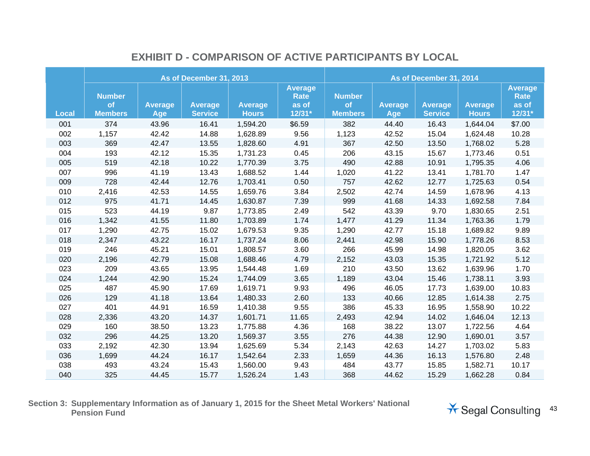|              |                                       |                       | As of December 31, 2013          |                                | As of December 31, 2014                            |                                       |                       |                                  |                                |                                                  |
|--------------|---------------------------------------|-----------------------|----------------------------------|--------------------------------|----------------------------------------------------|---------------------------------------|-----------------------|----------------------------------|--------------------------------|--------------------------------------------------|
| <b>Local</b> | <b>Number</b><br>of<br><b>Members</b> | <b>Average</b><br>Age | <b>Average</b><br><b>Service</b> | <b>Average</b><br><b>Hours</b> | <b>Average</b><br><b>Rate</b><br>as of<br>$12/31*$ | <b>Number</b><br>of<br><b>Members</b> | <b>Average</b><br>Age | <b>Average</b><br><b>Service</b> | <b>Average</b><br><b>Hours</b> | <b>Average</b><br><b>Rate</b><br>as of<br>12/31* |
| 001          | 374                                   | 43.96                 | 16.41                            | 1,594.20                       | \$6.59                                             | 382                                   | 44.40                 | 16.43                            | 1,644.04                       | \$7.00                                           |
| 002          | 1,157                                 | 42.42                 | 14.88                            | 1,628.89                       | 9.56                                               | 1,123                                 | 42.52                 | 15.04                            | 1,624.48                       | 10.28                                            |
| 003          | 369                                   | 42.47                 | 13.55                            | 1,828.60                       | 4.91                                               | 367                                   | 42.50                 | 13.50                            | 1,768.02                       | 5.28                                             |
| 004          | 193                                   | 42.12                 | 15.35                            | 1,731.23                       | 0.45                                               | 206                                   | 43.15                 | 15.67                            | 1,773.46                       | 0.51                                             |
| 005          | 519                                   | 42.18                 | 10.22                            | 1,770.39                       | 3.75                                               | 490                                   | 42.88                 | 10.91                            | 1,795.35                       | 4.06                                             |
| 007          | 996                                   | 41.19                 | 13.43                            | 1,688.52                       | 1.44                                               | 1,020                                 | 41.22                 | 13.41                            | 1,781.70                       | 1.47                                             |
| 009          | 728                                   | 42.44                 | 12.76                            | 1,703.41                       | 0.50                                               | 757                                   | 42.62                 | 12.77                            | 1,725.63                       | 0.54                                             |
| 010          | 2,416                                 | 42.53                 | 14.55                            | 1,659.76                       | 3.84                                               | 2,502                                 | 42.74                 | 14.59                            | 1,678.96                       | 4.13                                             |
| 012          | 975                                   | 41.71                 | 14.45                            | 1,630.87                       | 7.39                                               | 999                                   | 41.68                 | 14.33                            | 1,692.58                       | 7.84                                             |
| 015          | 523                                   | 44.19                 | 9.87                             | 1,773.85                       | 2.49                                               | 542                                   | 43.39                 | 9.70                             | 1,830.65                       | 2.51                                             |
| 016          | 1,342                                 | 41.55                 | 11.80                            | 1,703.89                       | 1.74                                               | 1,477                                 | 41.29                 | 11.34                            | 1,763.36                       | 1.79                                             |
| 017          | 1,290                                 | 42.75                 | 15.02                            | 1,679.53                       | 9.35                                               | 1,290                                 | 42.77                 | 15.18                            | 1,689.82                       | 9.89                                             |
| 018          | 2,347                                 | 43.22                 | 16.17                            | 1,737.24                       | 8.06                                               | 2,441                                 | 42.98                 | 15.90                            | 1,778.26                       | 8.53                                             |
| 019          | 246                                   | 45.21                 | 15.01                            | 1,808.57                       | 3.60                                               | 266                                   | 45.99                 | 14.98                            | 1,820.05                       | 3.62                                             |
| 020          | 2,196                                 | 42.79                 | 15.08                            | 1,688.46                       | 4.79                                               | 2,152                                 | 43.03                 | 15.35                            | 1,721.92                       | 5.12                                             |
| 023          | 209                                   | 43.65                 | 13.95                            | 1,544.48                       | 1.69                                               | 210                                   | 43.50                 | 13.62                            | 1,639.96                       | 1.70                                             |
| 024          | 1,244                                 | 42.90                 | 15.24                            | 1,744.09                       | 3.65                                               | 1,189                                 | 43.04                 | 15.46                            | 1,738.11                       | 3.93                                             |
| 025          | 487                                   | 45.90                 | 17.69                            | 1,619.71                       | 9.93                                               | 496                                   | 46.05                 | 17.73                            | 1,639.00                       | 10.83                                            |
| 026          | 129                                   | 41.18                 | 13.64                            | 1,480.33                       | 2.60                                               | 133                                   | 40.66                 | 12.85                            | 1,614.38                       | 2.75                                             |
| 027          | 401                                   | 44.91                 | 16.59                            | 1,410.38                       | 9.55                                               | 386                                   | 45.33                 | 16.95                            | 1,558.90                       | 10.22                                            |
| 028          | 2,336                                 | 43.20                 | 14.37                            | 1,601.71                       | 11.65                                              | 2,493                                 | 42.94                 | 14.02                            | 1,646.04                       | 12.13                                            |
| 029          | 160                                   | 38.50                 | 13.23                            | 1,775.88                       | 4.36                                               | 168                                   | 38.22                 | 13.07                            | 1,722.56                       | 4.64                                             |
| 032          | 296                                   | 44.25                 | 13.20                            | 1,569.37                       | 3.55                                               | 276                                   | 44.38                 | 12.90                            | 1,690.01                       | 3.57                                             |
| 033          | 2,192                                 | 42.30                 | 13.94                            | 1,625.69                       | 5.34                                               | 2,143                                 | 42.63                 | 14.27                            | 1,703.02                       | 5.83                                             |
| 036          | 1,699                                 | 44.24                 | 16.17                            | 1,542.64                       | 2.33                                               | 1,659                                 | 44.36                 | 16.13                            | 1,576.80                       | 2.48                                             |
| 038          | 493                                   | 43.24                 | 15.43                            | 1,560.00                       | 9.43                                               | 484                                   | 43.77                 | 15.85                            | 1,582.71                       | 10.17                                            |
| 040          | 325                                   | 44.45                 | 15.77                            | 1,526.24                       | 1.43                                               | 368                                   | 44.62                 | 15.29                            | 1,662.28                       | 0.84                                             |

## **EXHIBIT D - COMPARISON OF ACTIVE PARTICIPANTS BY LOCAL**

**Section 3: Supplementary Information as of January 1, 2015 for the Sheet Metal Workers' National**  Pension Fund **Pansion Fund and September 2018** Consulting 43

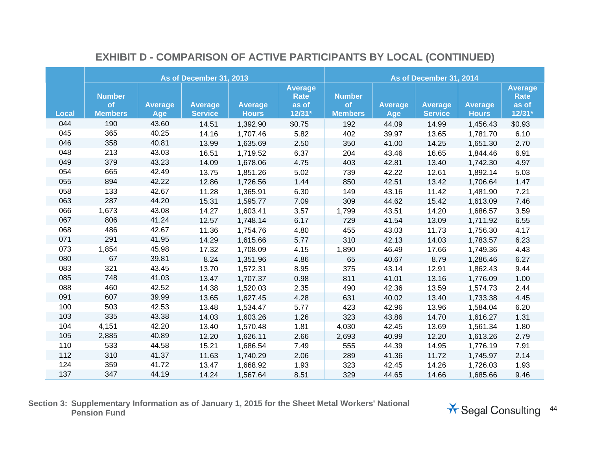|              |                                       |                       | As of December 31, 2013          |                                | As of December 31, 2014                          |                                       |                       |                                  |                                |                                                    |
|--------------|---------------------------------------|-----------------------|----------------------------------|--------------------------------|--------------------------------------------------|---------------------------------------|-----------------------|----------------------------------|--------------------------------|----------------------------------------------------|
| <b>Local</b> | <b>Number</b><br>of<br><b>Members</b> | <b>Average</b><br>Age | <b>Average</b><br><b>Service</b> | <b>Average</b><br><b>Hours</b> | <b>Average</b><br><b>Rate</b><br>as of<br>12/31* | <b>Number</b><br>of<br><b>Members</b> | <b>Average</b><br>Age | <b>Average</b><br><b>Service</b> | <b>Average</b><br><b>Hours</b> | <b>Average</b><br><b>Rate</b><br>as of<br>$12/31*$ |
| 044          | 190                                   | 43.60                 | 14.51                            | 1,392.90                       | \$0.75                                           | 192                                   | 44.09                 | 14.99                            | 1,456.43                       | \$0.93                                             |
| 045          | 365                                   | 40.25                 | 14.16                            | 1,707.46                       | 5.82                                             | 402                                   | 39.97                 | 13.65                            | 1,781.70                       | 6.10                                               |
| 046          | 358                                   | 40.81                 | 13.99                            | 1,635.69                       | 2.50                                             | 350                                   | 41.00                 | 14.25                            | 1,651.30                       | 2.70                                               |
| 048          | 213                                   | 43.03                 | 16.51                            | 1,719.52                       | 6.37                                             | 204                                   | 43.46                 | 16.65                            | 1,844.46                       | 6.91                                               |
| 049          | 379                                   | 43.23                 | 14.09                            | 1,678.06                       | 4.75                                             | 403                                   | 42.81                 | 13.40                            | 1,742.30                       | 4.97                                               |
| 054          | 665                                   | 42.49                 | 13.75                            | 1,851.26                       | 5.02                                             | 739                                   | 42.22                 | 12.61                            | 1,892.14                       | 5.03                                               |
| 055          | 894                                   | 42.22                 | 12.86                            | 1,726.56                       | 1.44                                             | 850                                   | 42.51                 | 13.42                            | 1,706.64                       | 1.47                                               |
| 058          | 133                                   | 42.67                 | 11.28                            | 1,365.91                       | 6.30                                             | 149                                   | 43.16                 | 11.42                            | 1,481.90                       | 7.21                                               |
| 063          | 287                                   | 44.20                 | 15.31                            | 1,595.77                       | 7.09                                             | 309                                   | 44.62                 | 15.42                            | 1,613.09                       | 7.46                                               |
| 066          | 1,673                                 | 43.08                 | 14.27                            | 1,603.41                       | 3.57                                             | 1,799                                 | 43.51                 | 14.20                            | 1,686.57                       | 3.59                                               |
| 067          | 806                                   | 41.24                 | 12.57                            | 1,748.14                       | 6.17                                             | 729                                   | 41.54                 | 13.09                            | 1,711.92                       | 6.55                                               |
| 068          | 486                                   | 42.67                 | 11.36                            | 1,754.76                       | 4.80                                             | 455                                   | 43.03                 | 11.73                            | 1,756.30                       | 4.17                                               |
| 071          | 291                                   | 41.95                 | 14.29                            | 1,615.66                       | 5.77                                             | 310                                   | 42.13                 | 14.03                            | 1,783.57                       | 6.23                                               |
| 073          | 1,854                                 | 45.98                 | 17.32                            | 1,708.09                       | 4.15                                             | 1,890                                 | 46.49                 | 17.66                            | 1,749.36                       | 4.43                                               |
| 080          | 67                                    | 39.81                 | 8.24                             | 1,351.96                       | 4.86                                             | 65                                    | 40.67                 | 8.79                             | 1,286.46                       | 6.27                                               |
| 083          | 321                                   | 43.45                 | 13.70                            | 1,572.31                       | 8.95                                             | 375                                   | 43.14                 | 12.91                            | 1,862.43                       | 9.44                                               |
| 085          | 748                                   | 41.03                 | 13.47                            | 1,707.37                       | 0.98                                             | 811                                   | 41.01                 | 13.16                            | 1,776.09                       | 1.00                                               |
| 088          | 460                                   | 42.52                 | 14.38                            | 1,520.03                       | 2.35                                             | 490                                   | 42.36                 | 13.59                            | 1,574.73                       | 2.44                                               |
| 091          | 607                                   | 39.99                 | 13.65                            | 1,627.45                       | 4.28                                             | 631                                   | 40.02                 | 13.40                            | 1,733.38                       | 4.45                                               |
| 100          | 503                                   | 42.53                 | 13.48                            | 1,534.47                       | 5.77                                             | 423                                   | 42.96                 | 13.96                            | 1,584.04                       | 6.20                                               |
| 103          | 335                                   | 43.38                 | 14.03                            | 1,603.26                       | 1.26                                             | 323                                   | 43.86                 | 14.70                            | 1,616.27                       | 1.31                                               |
| 104          | 4,151                                 | 42.20                 | 13.40                            | 1,570.48                       | 1.81                                             | 4,030                                 | 42.45                 | 13.69                            | 1,561.34                       | 1.80                                               |
| 105          | 2,885                                 | 40.89                 | 12.20                            | 1,626.11                       | 2.66                                             | 2,693                                 | 40.99                 | 12.20                            | 1,613.26                       | 2.79                                               |
| 110          | 533                                   | 44.58                 | 15.21                            | 1,686.54                       | 7.49                                             | 555                                   | 44.39                 | 14.95                            | 1,776.19                       | 7.91                                               |
| 112          | 310                                   | 41.37                 | 11.63                            | 1,740.29                       | 2.06                                             | 289                                   | 41.36                 | 11.72                            | 1,745.97                       | 2.14                                               |
| 124          | 359                                   | 41.72                 | 13.47                            | 1,668.92                       | 1.93                                             | 323                                   | 42.45                 | 14.26                            | 1,726.03                       | 1.93                                               |
| 137          | 347                                   | 44.19                 | 14.24                            | 1,567.64                       | 8.51                                             | 329                                   | 44.65                 | 14.66                            | 1,685.66                       | 9.46                                               |

# **EXHIBIT D - COMPARISON OF ACTIVE PARTICIPANTS BY LOCAL (CONTINUED)**

**Section 3: Supplementary Information as of January 1, 2015 for the Sheet Metal Workers' National**  Pension Fund **Consulting 44** Pension Fund **Consulting 44** 

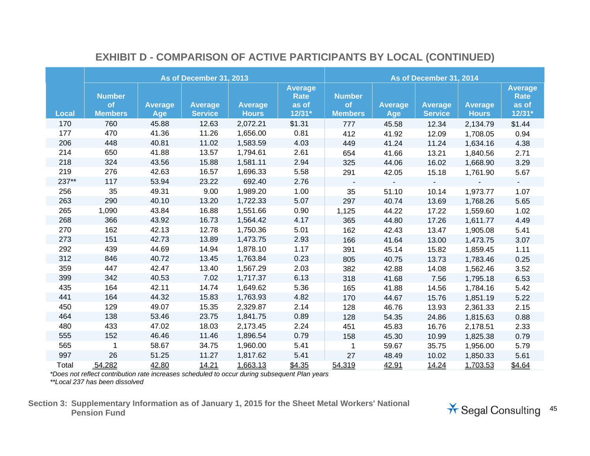|              |                                              |                       | As of December 31, 2013          |                                | As of December 31, 2014                     |                                       |                       |                                  |                                |                                             |
|--------------|----------------------------------------------|-----------------------|----------------------------------|--------------------------------|---------------------------------------------|---------------------------------------|-----------------------|----------------------------------|--------------------------------|---------------------------------------------|
| <b>Local</b> | <b>Number</b><br><b>of</b><br><b>Members</b> | <b>Average</b><br>Age | <b>Average</b><br><b>Service</b> | <b>Average</b><br><b>Hours</b> | <b>Average</b><br>Rate<br>as of<br>$12/31*$ | <b>Number</b><br>of<br><b>Members</b> | <b>Average</b><br>Age | <b>Average</b><br><b>Service</b> | <b>Average</b><br><b>Hours</b> | <b>Average</b><br>Rate<br>as of<br>$12/31*$ |
| 170          | 760                                          | 45.88                 | 12.63                            | 2,072.21                       | \$1.31                                      | 777                                   | 45.58                 | 12.34                            | 2,134.79                       | \$1.44                                      |
| 177          | 470                                          | 41.36                 | 11.26                            | 1,656.00                       | 0.81                                        | 412                                   | 41.92                 | 12.09                            | 1,708.05                       | 0.94                                        |
| 206          | 448                                          | 40.81                 | 11.02                            | 1,583.59                       | 4.03                                        | 449                                   | 41.24                 | 11.24                            | 1,634.16                       | 4.38                                        |
| 214          | 650                                          | 41.88                 | 13.57                            | 1,794.61                       | 2.61                                        | 654                                   | 41.66                 | 13.21                            | 1,840.56                       | 2.71                                        |
| 218          | 324                                          | 43.56                 | 15.88                            | 1,581.11                       | 2.94                                        | 325                                   | 44.06                 | 16.02                            | 1,668.90                       | 3.29                                        |
| 219          | 276                                          | 42.63                 | 16.57                            | 1,696.33                       | 5.58                                        | 291                                   | 42.05                 | 15.18                            | 1,761.90                       | 5.67                                        |
| 237**        | 117                                          | 53.94                 | 23.22                            | 692.40                         | 2.76                                        |                                       | $\sim$                |                                  |                                |                                             |
| 256          | 35                                           | 49.31                 | 9.00                             | 1,989.20                       | 1.00                                        | 35                                    | 51.10                 | 10.14                            | 1,973.77                       | 1.07                                        |
| 263          | 290                                          | 40.10                 | 13.20                            | 1,722.33                       | 5.07                                        | 297                                   | 40.74                 | 13.69                            | 1,768.26                       | 5.65                                        |
| 265          | 1,090                                        | 43.84                 | 16.88                            | 1,551.66                       | 0.90                                        | 1,125                                 | 44.22                 | 17.22                            | 1,559.60                       | 1.02                                        |
| 268          | 366                                          | 43.92                 | 16.73                            | 1,564.42                       | 4.17                                        | 365                                   | 44.80                 | 17.26                            | 1,611.77                       | 4.49                                        |
| 270          | 162                                          | 42.13                 | 12.78                            | 1,750.36                       | 5.01                                        | 162                                   | 42.43                 | 13.47                            | 1,905.08                       | 5.41                                        |
| 273          | 151                                          | 42.73                 | 13.89                            | 1,473.75                       | 2.93                                        | 166                                   | 41.64                 | 13.00                            | 1,473.75                       | 3.07                                        |
| 292          | 439                                          | 44.69                 | 14.94                            | 1,878.10                       | 1.17                                        | 391                                   | 45.14                 | 15.82                            | 1,859.45                       | 1.11                                        |
| 312          | 846                                          | 40.72                 | 13.45                            | 1,763.84                       | 0.23                                        | 805                                   | 40.75                 | 13.73                            | 1,783.46                       | 0.25                                        |
| 359          | 447                                          | 42.47                 | 13.40                            | 1,567.29                       | 2.03                                        | 382                                   | 42.88                 | 14.08                            | 1,562.46                       | 3.52                                        |
| 399          | 342                                          | 40.53                 | 7.02                             | 1,717.37                       | 6.13                                        | 318                                   | 41.68                 | 7.56                             | 1,795.18                       | 6.53                                        |
| 435          | 164                                          | 42.11                 | 14.74                            | 1,649.62                       | 5.36                                        | 165                                   | 41.88                 | 14.56                            | 1,784.16                       | 5.42                                        |
| 441          | 164                                          | 44.32                 | 15.83                            | 1,763.93                       | 4.82                                        | 170                                   | 44.67                 | 15.76                            | 1,851.19                       | 5.22                                        |
| 450          | 129                                          | 49.07                 | 15.35                            | 2,329.87                       | 2.14                                        | 128                                   | 46.76                 | 13.93                            | 2,361.33                       | 2.15                                        |
| 464          | 138                                          | 53.46                 | 23.75                            | 1,841.75                       | 0.89                                        | 128                                   | 54.35                 | 24.86                            | 1,815.63                       | 0.88                                        |
| 480          | 433                                          | 47.02                 | 18.03                            | 2,173.45                       | 2.24                                        | 451                                   | 45.83                 | 16.76                            | 2,178.51                       | 2.33                                        |
| 555          | 152                                          | 46.46                 | 11.46                            | 1,896.54                       | 0.79                                        | 158                                   | 45.30                 | 10.99                            | 1,825.38                       | 0.79                                        |
| 565          | $\mathbf 1$                                  | 58.67                 | 34.75                            | 1,960.00                       | 5.41                                        | $\mathbf{1}$                          | 59.67                 | 35.75                            | 1,956.00                       | 5.79                                        |
| 997          | 26                                           | 51.25                 | 11.27                            | 1,817.62                       | 5.41                                        | 27                                    | 48.49                 | 10.02                            | 1,850.33                       | 5.61                                        |
| Total        | 54,282                                       | 42.80                 | 14.21                            | 1,663.13                       | \$4.35                                      | 54,319                                | 42.91                 | 14.24                            | 1,703.53                       | \$4.64                                      |

## **EXHIBIT D - COMPARISON OF ACTIVE PARTICIPANTS BY LOCAL (CONTINUED)**

*\*Does not reflect contribution rate increases scheduled to occur during subsequent Plan years* 

*\*\*Local 237 has been dissolved*

**Section 3: Supplementary Information as of January 1, 2015 for the Sheet Metal Workers' National**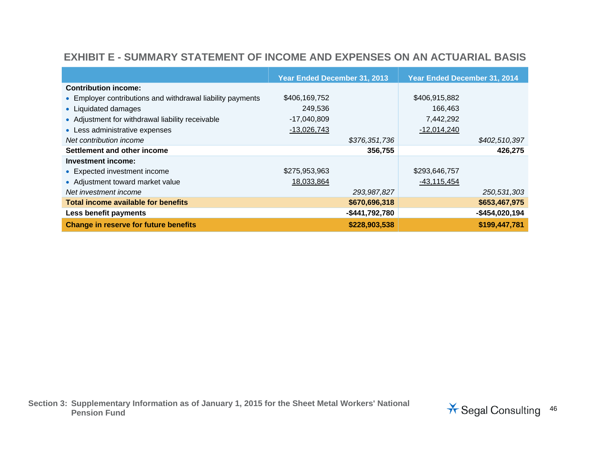### **EXHIBIT E - SUMMARY STATEMENT OF INCOME AND EXPENSES ON AN ACTUARIAL BASIS**

|                                                            | Year Ended December 31, 2013 |                | Year Ended December 31, 2014 |                 |
|------------------------------------------------------------|------------------------------|----------------|------------------------------|-----------------|
| <b>Contribution income:</b>                                |                              |                |                              |                 |
| • Employer contributions and withdrawal liability payments | \$406,169,752                |                | \$406,915,882                |                 |
| • Liquidated damages                                       | 249,536                      |                | 166,463                      |                 |
| • Adjustment for withdrawal liability receivable           | $-17,040,809$                |                | 7,442,292                    |                 |
| • Less administrative expenses                             | $-13,026,743$                |                | $-12,014,240$                |                 |
| Net contribution income                                    |                              | \$376,351,736  |                              | \$402,510,397   |
| Settlement and other income                                |                              | 356,755        |                              | 426,275         |
| Investment income:                                         |                              |                |                              |                 |
| • Expected investment income                               | \$275,953,963                |                | \$293,646,757                |                 |
| • Adjustment toward market value                           | 18,033,864                   |                | $-43,115,454$                |                 |
| Net investment income                                      |                              | 293,987,827    |                              | 250,531,303     |
| Total income available for benefits                        |                              | \$670,696,318  |                              | \$653,467,975   |
| Less benefit payments                                      |                              | -\$441,792,780 |                              | $-$454,020,194$ |
| <b>Change in reserve for future benefits</b>               |                              | \$228,903,538  |                              | \$199,447,781   |

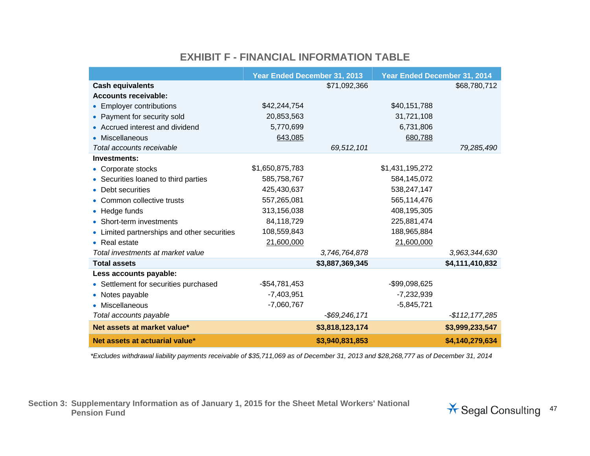#### **EXHIBIT F - FINANCIAL INFORMATION TABLE**

|                                             | Year Ended December 31, 2013 |                  | Year Ended December 31, 2014 |                 |
|---------------------------------------------|------------------------------|------------------|------------------------------|-----------------|
| <b>Cash equivalents</b>                     |                              | \$71,092,366     |                              | \$68,780,712    |
| <b>Accounts receivable:</b>                 |                              |                  |                              |                 |
| • Employer contributions                    | \$42,244,754                 |                  | \$40,151,788                 |                 |
| • Payment for security sold                 | 20,853,563                   |                  | 31,721,108                   |                 |
| • Accrued interest and dividend             | 5,770,699                    |                  | 6,731,806                    |                 |
| • Miscellaneous                             | 643,085                      |                  | 680,788                      |                 |
| Total accounts receivable                   |                              | 69,512,101       |                              | 79,285,490      |
| Investments:                                |                              |                  |                              |                 |
| • Corporate stocks                          | \$1,650,875,783              |                  | \$1,431,195,272              |                 |
| • Securities loaned to third parties        | 585,758,767                  |                  | 584,145,072                  |                 |
| • Debt securities                           | 425,430,637                  |                  | 538,247,147                  |                 |
| • Common collective trusts                  | 557,265,081                  |                  | 565,114,476                  |                 |
| • Hedge funds                               | 313,156,038                  |                  | 408,195,305                  |                 |
| • Short-term investments                    | 84,118,729                   |                  | 225,881,474                  |                 |
| • Limited partnerships and other securities | 108,559,843                  |                  | 188,965,884                  |                 |
| • Real estate                               | 21,600,000                   |                  | 21,600,000                   |                 |
| Total investments at market value           |                              | 3,746,764,878    |                              | 3,963,344,630   |
| <b>Total assets</b>                         |                              | \$3,887,369,345  |                              | \$4,111,410,832 |
| Less accounts payable:                      |                              |                  |                              |                 |
| • Settlement for securities purchased       | $-$54,781,453$               |                  | -\$99,098,625                |                 |
| • Notes payable                             | $-7,403,951$                 |                  | $-7,232,939$                 |                 |
| • Miscellaneous                             | $-7,060,767$                 |                  | $-5,845,721$                 |                 |
| Total accounts payable                      |                              | $-$ \$69,246,171 |                              | $-$112,177,285$ |
| Net assets at market value*                 |                              | \$3,818,123,174  |                              | \$3,999,233,547 |
| Net assets at actuarial value*              |                              | \$3,940,831,853  |                              | \$4,140,279,634 |

*\*Excludes withdrawal liability payments receivable of \$35,711,069 as of December 31, 2013 and \$28,268,777 as of December 31, 2014* 

**Section 3: Supplementary Information as of January 1, 2015 for the Sheet Metal Workers' National**  Pension Fund **Pansion Fund Account of the Contract of the Consulting Account of the Segal Consulting 47** 

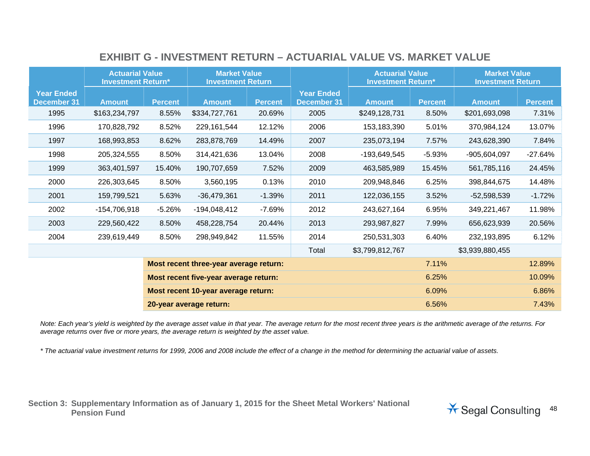|                                         | <b>Actuarial Value</b><br><b>Investment Return*</b> |                | <b>Market Value</b><br><b>Investment Return</b> |                |                                         | <b>Actuarial Value</b><br><b>Investment Return*</b> |                | <b>Market Value</b><br><b>Investment Return</b> |                |
|-----------------------------------------|-----------------------------------------------------|----------------|-------------------------------------------------|----------------|-----------------------------------------|-----------------------------------------------------|----------------|-------------------------------------------------|----------------|
| <b>Year Ended</b><br><b>December 31</b> | <b>Amount</b>                                       | <b>Percent</b> | <b>Amount</b>                                   | <b>Percent</b> | <b>Year Ended</b><br><b>December 31</b> | <b>Amount</b>                                       | <b>Percent</b> | <b>Amount</b>                                   | <b>Percent</b> |
| 1995                                    | \$163,234,797                                       | 8.55%          | \$334,727,761                                   | 20.69%         | 2005                                    | \$249,128,731                                       | 8.50%          | \$201,693,098                                   | 7.31%          |
| 1996                                    | 170,828,792                                         | 8.52%          | 229,161,544                                     | 12.12%         | 2006                                    | 153,183,390                                         | 5.01%          | 370,984,124                                     | 13.07%         |
| 1997                                    | 168,993,853                                         | 8.62%          | 283,878,769                                     | 14.49%         | 2007                                    | 235,073,194                                         | 7.57%          | 243,628,390                                     | 7.84%          |
| 1998                                    | 205,324,555                                         | 8.50%          | 314,421,636                                     | 13.04%         | 2008                                    | -193,649,545                                        | $-5.93%$       | $-905,604,097$                                  | $-27.64%$      |
| 1999                                    | 363,401,597                                         | 15.40%         | 190,707,659                                     | 7.52%          | 2009                                    | 463,585,989                                         | 15.45%         | 561,785,116                                     | 24.45%         |
| 2000                                    | 226,303,645                                         | 8.50%          | 3,560,195                                       | 0.13%          | 2010                                    | 209,948,846                                         | 6.25%          | 398,844,675                                     | 14.48%         |
| 2001                                    | 159,799,521                                         | 5.63%          | $-36,479,361$                                   | $-1.39%$       | 2011                                    | 122,036,155                                         | 3.52%          | $-52,598,539$                                   | $-1.72%$       |
| 2002                                    | $-154,706,918$                                      | $-5.26%$       | $-194,048,412$                                  | $-7.69%$       | 2012                                    | 243,627,164                                         | 6.95%          | 349,221,467                                     | 11.98%         |
| 2003                                    | 229,560,422                                         | 8.50%          | 458,228,754                                     | 20.44%         | 2013                                    | 293,987,827                                         | 7.99%          | 656,623,939                                     | 20.56%         |
| 2004                                    | 239,619,449                                         | 8.50%          | 298,949,842                                     | 11.55%         | 2014                                    | 250,531,303                                         | 6.40%          | 232,193,895                                     | 6.12%          |
|                                         |                                                     |                |                                                 |                | Total                                   | \$3,799,812,767                                     |                | \$3,939,880,455                                 |                |
|                                         |                                                     |                | Most recent three-year average return:          |                |                                         |                                                     | 7.11%          |                                                 | 12.89%         |
| Most recent five-year average return:   |                                                     |                |                                                 |                |                                         |                                                     | 6.25%          |                                                 | 10.09%         |
|                                         |                                                     |                | Most recent 10-year average return:             |                |                                         |                                                     | 6.09%          |                                                 | 6.86%          |
|                                         |                                                     |                | 20-year average return:                         |                |                                         |                                                     | 6.56%          |                                                 | 7.43%          |

## **EXHIBIT G - INVESTMENT RETURN – ACTUARIAL VALUE VS. MARKET VALUE**

*Note: Each year's yield is weighted by the average asset value in that year. The average return for the most recent three years is the arithmetic average of the returns. For average returns over five or more years, the average return is weighted by the asset value.* 

*\* The actuarial value investment returns for 1999, 2006 and 2008 include the effect of a change in the method for determining the actuarial value of assets.*

**Section 3: Supplementary Information as of January 1, 2015 for the Sheet Metal Workers' National** 

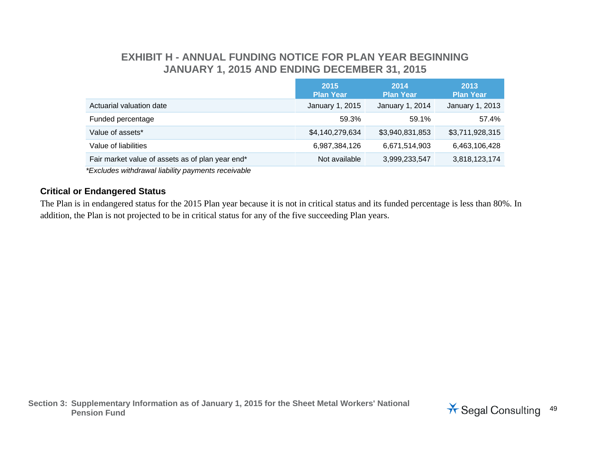### **EXHIBIT H - ANNUAL FUNDING NOTICE FOR PLAN YEAR BEGINNING JANUARY 1, 2015 AND ENDING DECEMBER 31, 2015**

| 2015<br><b>Plan Year</b> | 2014<br><b>Plan Year</b> | 2013<br><b>Plan Year</b> |
|--------------------------|--------------------------|--------------------------|
| January 1, 2015          | January 1, 2014          | January 1, 2013          |
| 59.3%                    | 59.1%                    | 57.4%                    |
| \$4,140,279,634          | \$3,940,831,853          | \$3,711,928,315          |
| 6,987,384,126            | 6,671,514,903            | 6,463,106,428            |
| Not available            | 3,999,233,547            | 3,818,123,174            |
|                          |                          |                          |

 *\*Excludes withdrawal liability payments receivable* 

#### **Critical or Endangered Status**

The Plan is in endangered status for the 2015 Plan year because it is not in critical status and its funded percentage is less than 80%. In addition, the Plan is not projected to be in critical status for any of the five succeeding Plan years.

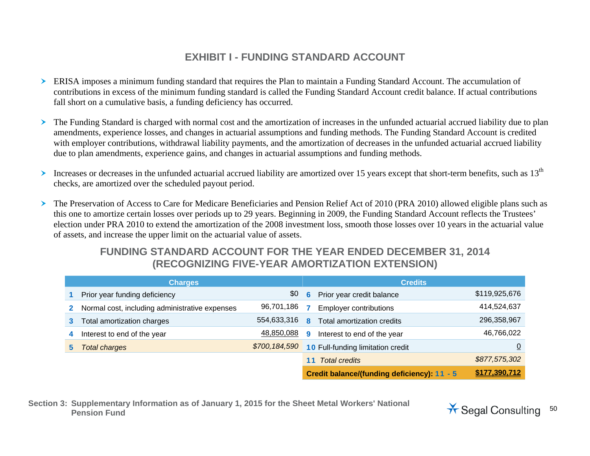## **EXHIBIT I - FUNDING STANDARD ACCOUNT**

- ERISA imposes a minimum funding standard that requires the Plan to maintain a Funding Standard Account. The accumulation of contributions in excess of the minimum funding standard is called the Funding Standard Account credit balance. If actual contributions fall short on a cumulative basis, a funding deficiency has occurred.
- $\blacktriangleright$  The Funding Standard is charged with normal cost and the amortization of increases in the unfunded actuarial accrued liability due to plan amendments, experience losses, and changes in actuarial assumptions and funding methods. The Funding Standard Account is credited with employer contributions, withdrawal liability payments, and the amortization of decreases in the unfunded actuarial accrued liability due to plan amendments, experience gains, and changes in actuarial assumptions and funding methods.
- ≻ Increases or decreases in the unfunded actuarial accrued liability are amortized over 15 years except that short-term benefits, such as 13<sup>th</sup> checks, are amortized over the scheduled payout period.
- The Preservation of Access to Care for Medicare Beneficiaries and Pension Relief Act of 2010 (PRA 2010) allowed eligible plans such as this one to amortize certain losses over periods up to 29 years. Beginning in 2009, the Funding Standard Account reflects the Trustees' election under PRA 2010 to extend the amortization of the 2008 investment loss, smooth those losses over 10 years in the actuarial value of assets, and increase the upper limit on the actuarial value of assets.

## **FUNDING STANDARD ACCOUNT FOR THE YEAR ENDED DECEMBER 31, 2014 (RECOGNIZING FIVE-YEAR AMORTIZATION EXTENSION)**

|   | <b>Charges</b>                                 |               | <b>Credits</b> |                                             |                |  |
|---|------------------------------------------------|---------------|----------------|---------------------------------------------|----------------|--|
|   | Prior year funding deficiency                  | \$0           | 6              | Prior year credit balance                   | \$119,925,676  |  |
| 2 | Normal cost, including administrative expenses | 96,701,186    |                | <b>Employer contributions</b>               | 414,524,637    |  |
| 3 | Total amortization charges                     | 554,633,316   | 8              | Total amortization credits                  | 296,358,967    |  |
| 4 | Interest to end of the year                    | 48,850,088    | q              | Interest to end of the year                 | 46,766,022     |  |
| 5 | Total charges                                  | \$700,184,590 |                | <b>10 Full-funding limitation credit</b>    | $\overline{0}$ |  |
|   |                                                |               |                | <b>Total credits</b>                        | \$877,575,302  |  |
|   |                                                |               |                | Credit balance/(funding deficiency): 11 - 5 | \$177,390,712  |  |

**Section 3: Supplementary Information as of January 1, 2015 for the Sheet Metal Workers' National**  Pension Fund<br>Pension Fund

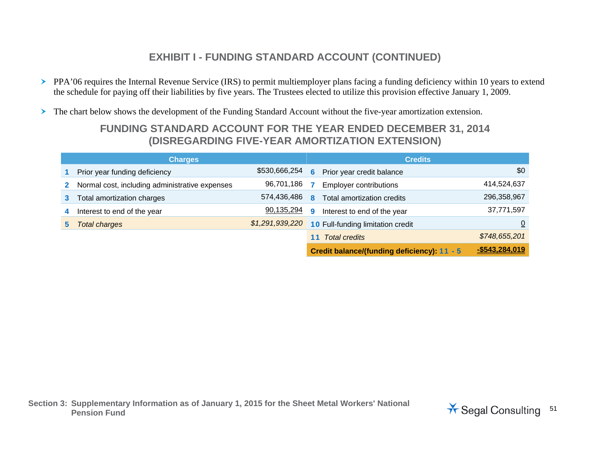- PPA'06 requires the Internal Revenue Service (IRS) to permit multiemployer plans facing a funding deficiency within 10 years to extend the schedule for paying off their liabilities by five years. The Trustees elected to utilize this provision effective January 1, 2009.
- The chart below shows the development of the Funding Standard Account without the five-year amortization extension.

## **FUNDING STANDARD ACCOUNT FOR THE YEAR ENDED DECEMBER 31, 2014 (DISREGARDING FIVE-YEAR AMORTIZATION EXTENSION)**

|                | <b>Charges</b>                                 | <b>Credits</b>  |   |                                             |                |
|----------------|------------------------------------------------|-----------------|---|---------------------------------------------|----------------|
|                | Prior year funding deficiency                  | \$530,666,254   |   | <b>6</b> Prior year credit balance          | \$0            |
| $\mathbf{2}^-$ | Normal cost, including administrative expenses | 96,701,186      |   | <b>Employer contributions</b>               | 414,524,637    |
| 3 <sup>1</sup> | Total amortization charges                     | 574,436,486     | 8 | Total amortization credits                  | 296,358,967    |
| 4              | Interest to end of the year                    | 90,135,294      | 9 | Interest to end of the year                 | 37,771,597     |
| 5.             | <b>Total charges</b>                           | \$1,291,939,220 |   | <b>10 Full-funding limitation credit</b>    |                |
|                |                                                |                 |   | <b>Total credits</b>                        | \$748,655,201  |
|                |                                                |                 |   | Credit balance/(funding deficiency): 11 - 5 | -\$543,284,019 |

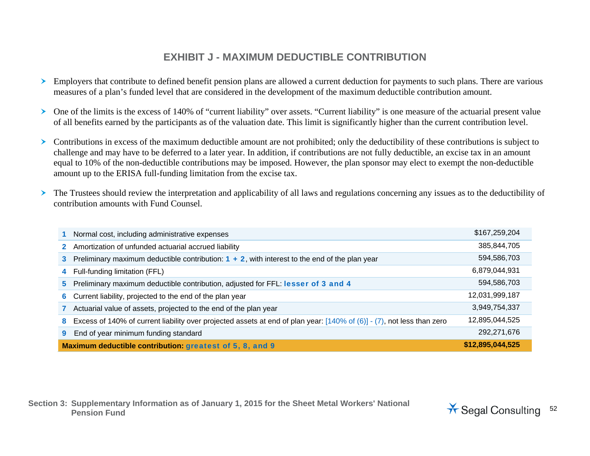## **EXHIBIT J - MAXIMUM DEDUCTIBLE CONTRIBUTION**

- $\blacktriangleright$  Employers that contribute to defined benefit pension plans are allowed a current deduction for payments to such plans. There are various measures of a plan's funded level that are considered in the development of the maximum deductible contribution amount.
- One of the limits is the excess of 140% of "current liability" over assets. "Current liability" is one measure of the actuarial present value of all benefits earned by the participants as of the valuation date. This limit is significantly higher than the current contribution level.
- Contributions in excess of the maximum deductible amount are not prohibited; only the deductibility of these contributions is subject to challenge and may have to be deferred to a later year. In addition, if contributions are not fully deductible, an excise tax in an amount equal to 10% of the non-deductible contributions may be imposed. However, the plan sponsor may elect to exempt the non-deductible amount up to the ERISA full-funding limitation from the excise tax.
- $\blacktriangleright$  The Trustees should review the interpretation and applicability of all laws and regulations concerning any issues as to the deductibility of contribution amounts with Fund Counsel.

| Normal cost, including administrative expenses                                                                                 | \$167,259,204    |
|--------------------------------------------------------------------------------------------------------------------------------|------------------|
| Amortization of unfunded actuarial accrued liability<br>$\mathbf{2}^-$                                                         | 385,844,705      |
| Preliminary maximum deductible contribution: $1 + 2$ , with interest to the end of the plan year<br>3                          | 594,586,703      |
| Full-funding limitation (FFL)<br>4                                                                                             | 6,879,044,931    |
| Preliminary maximum deductible contribution, adjusted for FFL: lesser of 3 and 4<br>5.                                         | 594,586,703      |
| Current liability, projected to the end of the plan year<br>6                                                                  | 12,031,999,187   |
| Actuarial value of assets, projected to the end of the plan year                                                               | 3,949,754,337    |
| Excess of 140% of current liability over projected assets at end of plan year: $[140\%$ of (6)] - (7), not less than zero<br>8 | 12,895,044,525   |
| End of year minimum funding standard                                                                                           | 292,271,676      |
| Maximum deductible contribution: greatest of 5, 8, and 9                                                                       | \$12,895,044,525 |

**Section 3: Supplementary Information as of January 1, 2015 for the Sheet Metal Workers' National**  Pension Fund<br>Pension Fund

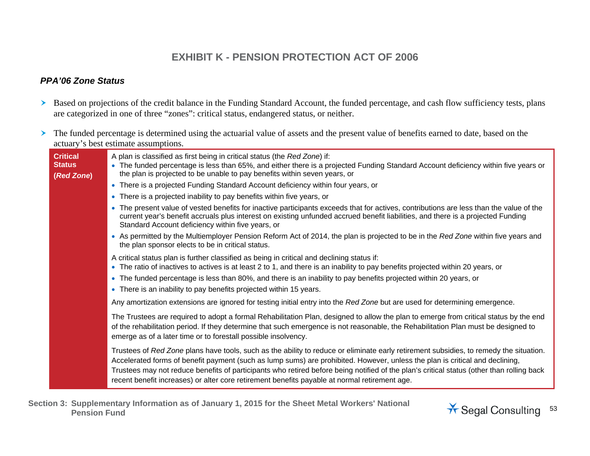## **EXHIBIT K - PENSION PROTECTION ACT OF 2006**

#### *PPA'06 Zone Status*

- Based on projections of the credit balance in the Funding Standard Account, the funded percentage, and cash flow sufficiency tests, plans are categorized in one of three "zones": critical status, endangered status, or neither.
- $\blacktriangleright$  The funded percentage is determined using the actuarial value of assets and the present value of benefits earned to date, based on the actuary's best estimate assumptions.

| <b>Critical</b><br><b>Status</b><br>(Red Zone) | A plan is classified as first being in critical status (the Red Zone) if:<br>• The funded percentage is less than 65%, and either there is a projected Funding Standard Account deficiency within five years or<br>the plan is projected to be unable to pay benefits within seven years, or<br>• There is a projected Funding Standard Account deficiency within four years, or                                                                                                                                     |
|------------------------------------------------|----------------------------------------------------------------------------------------------------------------------------------------------------------------------------------------------------------------------------------------------------------------------------------------------------------------------------------------------------------------------------------------------------------------------------------------------------------------------------------------------------------------------|
|                                                | • There is a projected inability to pay benefits within five years, or                                                                                                                                                                                                                                                                                                                                                                                                                                               |
|                                                | • The present value of vested benefits for inactive participants exceeds that for actives, contributions are less than the value of the<br>current year's benefit accruals plus interest on existing unfunded accrued benefit liabilities, and there is a projected Funding<br>Standard Account deficiency within five years, or                                                                                                                                                                                     |
|                                                | • As permitted by the Multiemployer Pension Reform Act of 2014, the plan is projected to be in the Red Zone within five years and<br>the plan sponsor elects to be in critical status.                                                                                                                                                                                                                                                                                                                               |
|                                                | A critical status plan is further classified as being in critical and declining status if:<br>• The ratio of inactives to actives is at least 2 to 1, and there is an inability to pay benefits projected within 20 years, or                                                                                                                                                                                                                                                                                        |
|                                                | • The funded percentage is less than 80%, and there is an inability to pay benefits projected within 20 years, or                                                                                                                                                                                                                                                                                                                                                                                                    |
|                                                | • There is an inability to pay benefits projected within 15 years.                                                                                                                                                                                                                                                                                                                                                                                                                                                   |
|                                                | Any amortization extensions are ignored for testing initial entry into the Red Zone but are used for determining emergence.                                                                                                                                                                                                                                                                                                                                                                                          |
|                                                | The Trustees are required to adopt a formal Rehabilitation Plan, designed to allow the plan to emerge from critical status by the end<br>of the rehabilitation period. If they determine that such emergence is not reasonable, the Rehabilitation Plan must be designed to<br>emerge as of a later time or to forestall possible insolvency.                                                                                                                                                                        |
|                                                | Trustees of Red Zone plans have tools, such as the ability to reduce or eliminate early retirement subsidies, to remedy the situation.<br>Accelerated forms of benefit payment (such as lump sums) are prohibited. However, unless the plan is critical and declining,<br>Trustees may not reduce benefits of participants who retired before being notified of the plan's critical status (other than rolling back<br>recent benefit increases) or alter core retirement benefits payable at normal retirement age. |

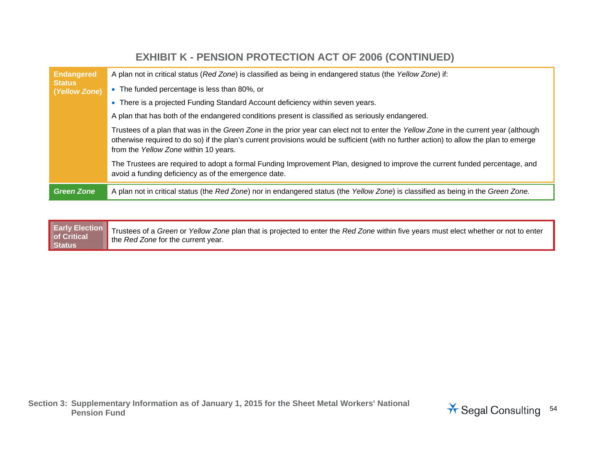#### **Endangered Status (***Yellow Zone***)**  A plan not in critical status (*Red Zone*) is classified as being in endangered status (the *Yellow Zone*) if: The funded percentage is less than 80%, or There is a projected Funding Standard Account deficiency within seven years. A plan that has both of the endangered conditions present is classified as seriously endangered. Trustees of a plan that was in the *Green Zone* in the prior year can elect not to enter the *Yellow Zone* in the current year (although otherwise required to do so) if the plan's current provisions would be sufficient (with no further action) to allow the plan to emerge from the *Yellow Zone* within 10 years. The Trustees are required to adopt a formal Funding Improvement Plan, designed to improve the current funded percentage, and avoid a funding deficiency as of the emergence date. *Green Zone* A plan not in critical status (the *Red Zone*) nor in endangered status (the *Yellow Zone*) is classified as being in the *Green Zone.*

**EXHIBIT K - PENSION PROTECTION ACT OF 2006 (CONTINUED)** 

**Early Election and Contact of Contact of Critical Action Status**  Trustees of a *Green* or *Yellow Zone* plan that is projected to enter the *Red Zone* within five years must elect whether or not to enter the *Red Zone* for the current year.

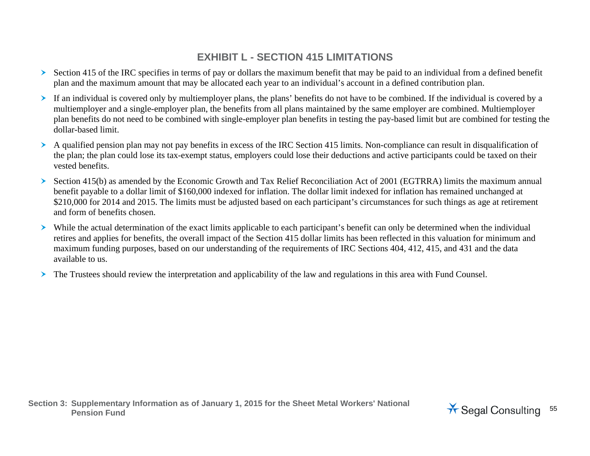## **EXHIBIT L - SECTION 415 LIMITATIONS**

- Section 415 of the IRC specifies in terms of pay or dollars the maximum benefit that may be paid to an individual from a defined benefit plan and the maximum amount that may be allocated each year to an individual's account in a defined contribution plan.
- If an individual is covered only by multiemployer plans, the plans' benefits do not have to be combined. If the individual is covered by a multiemployer and a single-employer plan, the benefits from all plans maintained by the same employer are combined. Multiemployer plan benefits do not need to be combined with single-employer plan benefits in testing the pay-based limit but are combined for testing the dollar-based limit.
- A qualified pension plan may not pay benefits in excess of the IRC Section 415 limits. Non-compliance can result in disqualification of the plan; the plan could lose its tax-exempt status, employers could lose their deductions and active participants could be taxed on their vested benefits.
- ≻ Section 415(b) as amended by the Economic Growth and Tax Relief Reconciliation Act of 2001 (EGTRRA) limits the maximum annual benefit payable to a dollar limit of \$160,000 indexed for inflation. The dollar limit indexed for inflation has remained unchanged at \$210,000 for 2014 and 2015. The limits must be adjusted based on each participant's circumstances for such things as age at retirement and form of benefits chosen.
- While the actual determination of the exact limits applicable to each participant's benefit can only be determined when the individual retires and applies for benefits, the overall impact of the Section 415 dollar limits has been reflected in this valuation for minimum and maximum funding purposes, based on our understanding of the requirements of IRC Sections 404, 412, 415, and 431 and the data available to us.
- $\blacktriangleright$ The Trustees should review the interpretation and applicability of the law and regulations in this area with Fund Counsel.

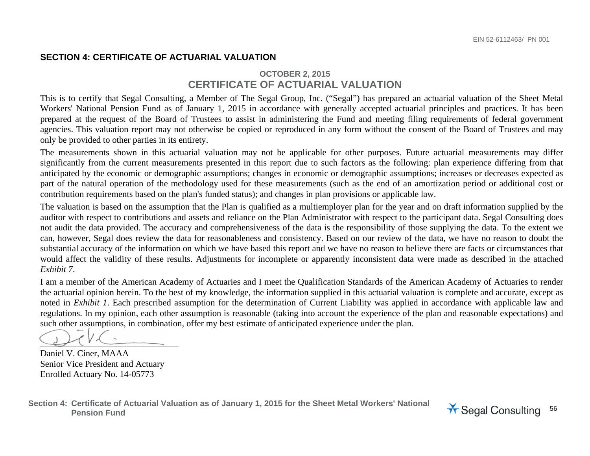#### **SECTION 4: CERTIFICATE OF ACTUARIAL VALUATION**

#### **OCTOBER 2, 2015 CERTIFICATE OF ACTUARIAL VALUATION**

This is to certify that Segal Consulting, a Member of The Segal Group, Inc. ("Segal") has prepared an actuarial valuation of the Sheet Metal Workers' National Pension Fund as of January 1, 2015 in accordance with generally accepted actuarial principles and practices. It has been prepared at the request of the Board of Trustees to assist in administering the Fund and meeting filing requirements of federal government agencies. This valuation report may not otherwise be copied or reproduced in any form without the consent of the Board of Trustees and may only be provided to other parties in its entirety.

The measurements shown in this actuarial valuation may not be applicable for other purposes. Future actuarial measurements may differ significantly from the current measurements presented in this report due to such factors as the following: plan experience differing from that anticipated by the economic or demographic assumptions; changes in economic or demographic assumptions; increases or decreases expected as part of the natural operation of the methodology used for these measurements (such as the end of an amortization period or additional cost or contribution requirements based on the plan's funded status); and changes in plan provisions or applicable law.

The valuation is based on the assumption that the Plan is qualified as a multiemployer plan for the year and on draft information supplied by the auditor with respect to contributions and assets and reliance on the Plan Administrator with respect to the participant data. Segal Consulting does not audit the data provided. The accuracy and comprehensiveness of the data is the responsibility of those supplying the data. To the extent we can, however, Segal does review the data for reasonableness and consistency. Based on our review of the data, we have no reason to doubt the substantial accuracy of the information on which we have based this report and we have no reason to believe there are facts or circumstances that would affect the validity of these results. Adjustments for incomplete or apparently inconsistent data were made as described in the attached *Exhibit 7*.

I am a member of the American Academy of Actuaries and I meet the Qualification Standards of the American Academy of Actuaries to render the actuarial opinion herein. To the best of my knowledge, the information supplied in this actuarial valuation is complete and accurate, except as noted in *Exhibit 1*. Each prescribed assumption for the determination of Current Liability was applied in accordance with applicable law and regulations. In my opinion, each other assumption is reasonable (taking into account the experience of the plan and reasonable expectations) and such other assumptions, in combination, offer my best estimate of anticipated experience under the plan.

\_\_\_\_\_\_\_\_\_\_\_\_\_\_\_\_\_\_\_\_\_\_\_\_\_\_\_\_\_\_\_

Daniel V. Ciner, MAAA Senior Vice President and Actuary Enrolled Actuary No. 14-05773

**Section 4: Certificate of Actuarial Valuation as of January 1, 2015 for the Sheet Metal Workers' National**  Pension Fund<br>Pension Fund

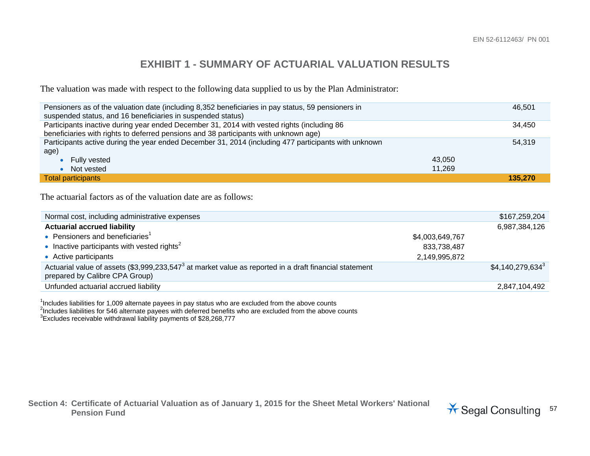## **EXHIBIT 1 - SUMMARY OF ACTUARIAL VALUATION RESULTS**

The valuation was made with respect to the following data supplied to us by the Plan Administrator:

| Pensioners as of the valuation date (including 8,352 beneficiaries in pay status, 59 pensioners in<br>suspended status, and 16 beneficiaries in suspended status) | 46.501  |  |
|-------------------------------------------------------------------------------------------------------------------------------------------------------------------|---------|--|
| Participants inactive during year ended December 31, 2014 with vested rights (including 86                                                                        | 34.450  |  |
| beneficiaries with rights to deferred pensions and 38 participants with unknown age)                                                                              |         |  |
| Participants active during the year ended December 31, 2014 (including 477 participants with unknown                                                              | 54.319  |  |
| age)                                                                                                                                                              |         |  |
| <b>Fully vested</b>                                                                                                                                               | 43.050  |  |
| Not vested                                                                                                                                                        | 11.269  |  |
| <b>Total participants</b>                                                                                                                                         | 135.270 |  |

The actuarial factors as of the valuation date are as follows:

| Normal cost, including administrative expenses                                                                                                       |                 | \$167,259,204                 |
|------------------------------------------------------------------------------------------------------------------------------------------------------|-----------------|-------------------------------|
| <b>Actuarial accrued liability</b>                                                                                                                   |                 | 6,987,384,126                 |
| • Pensioners and beneficiaries <sup>1</sup>                                                                                                          | \$4,003,649,767 |                               |
| • Inactive participants with vested rights <sup>2</sup>                                                                                              | 833,738,487     |                               |
| • Active participants                                                                                                                                | 2,149,995,872   |                               |
| Actuarial value of assets (\$3,999,233,547 <sup>3</sup> at market value as reported in a draft financial statement<br>prepared by Calibre CPA Group) |                 | $$4,140,279,634$ <sup>3</sup> |
| Unfunded actuarial accrued liability                                                                                                                 |                 | 2,847,104,492                 |

<sup>1</sup>Includes liabilities for 1,009 alternate payees in pay status who are excluded from the above counts

<sup>2</sup>Includes liabilities for 546 alternate payees with deferred benefits who are excluded from the above counts

 $3$ Excludes receivable withdrawal liability payments of \$28,268,777

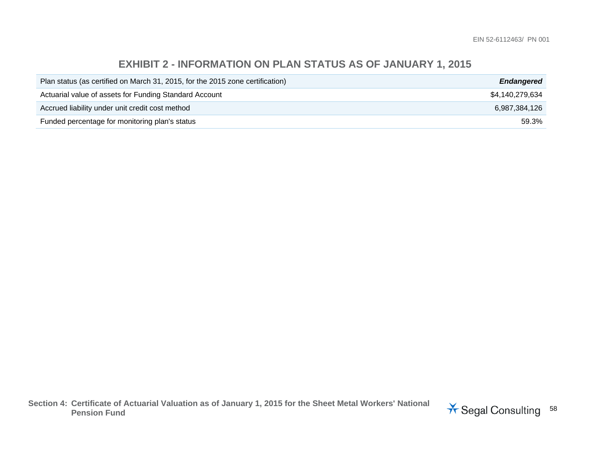## **EXHIBIT 2 - INFORMATION ON PLAN STATUS AS OF JANUARY 1, 2015**

| Plan status (as certified on March 31, 2015, for the 2015 zone certification) | <b>Endangered</b> |
|-------------------------------------------------------------------------------|-------------------|
| Actuarial value of assets for Funding Standard Account                        | \$4,140,279,634   |
| Accrued liability under unit credit cost method                               | 6.987.384.126     |
| Funded percentage for monitoring plan's status                                | 59.3%             |

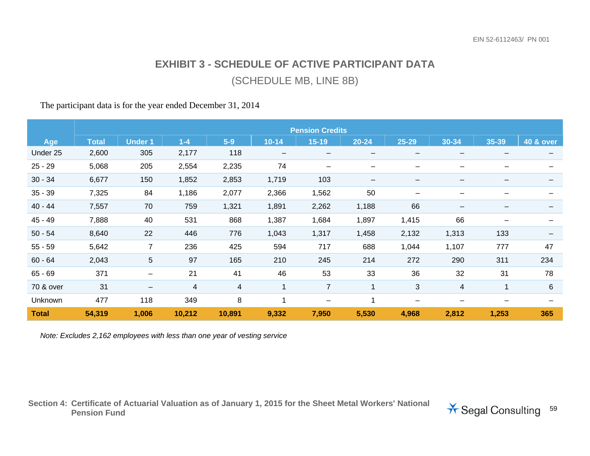# **EXHIBIT 3 - SCHEDULE OF ACTIVE PARTICIPANT DATA** (SCHEDULE MB, LINE 8B)

#### The participant data is for the year ended December 31, 2014

|              | <b>Pension Credits</b> |                          |        |        |                          |                          |                                         |                          |       |       |                          |
|--------------|------------------------|--------------------------|--------|--------|--------------------------|--------------------------|-----------------------------------------|--------------------------|-------|-------|--------------------------|
| Age          | <b>Total</b>           | <b>Under 1</b>           | $1-4$  | $5-9$  | $10 - 14$                | $15 - 19$                | $20 - 24$                               | 25-29                    | 30-34 | 35-39 | 40 & over                |
| Under 25     | 2,600                  | 305                      | 2,177  | 118    | $\overline{\phantom{m}}$ | $\overline{\phantom{m}}$ | $\qquad \qquad \  \  \, -\qquad \qquad$ | $\qquad \qquad$          |       | —     | $\overline{\phantom{m}}$ |
| $25 - 29$    | 5,068                  | 205                      | 2,554  | 2,235  | 74                       | —                        | $\qquad \qquad$                         | —                        |       |       |                          |
| $30 - 34$    | 6,677                  | 150                      | 1,852  | 2,853  | 1,719                    | 103                      | $\qquad \qquad \  \  \, -\qquad \qquad$ | $\qquad \qquad$          |       |       |                          |
| $35 - 39$    | 7,325                  | 84                       | 1,186  | 2,077  | 2,366                    | 1,562                    | 50                                      | $\overline{\phantom{0}}$ |       |       |                          |
| $40 - 44$    | 7,557                  | 70                       | 759    | 1,321  | 1,891                    | 2,262                    | 1,188                                   | 66                       |       |       |                          |
| $45 - 49$    | 7,888                  | 40                       | 531    | 868    | 1,387                    | 1,684                    | 1,897                                   | 1,415                    | 66    |       |                          |
| $50 - 54$    | 8,640                  | 22                       | 446    | 776    | 1,043                    | 1,317                    | 1,458                                   | 2,132                    | 1,313 | 133   |                          |
| $55 - 59$    | 5,642                  | $\overline{7}$           | 236    | 425    | 594                      | 717                      | 688                                     | 1,044                    | 1,107 | 777   | 47                       |
| $60 - 64$    | 2,043                  | 5                        | 97     | 165    | 210                      | 245                      | 214                                     | 272                      | 290   | 311   | 234                      |
| $65 - 69$    | 371                    | —                        | 21     | 41     | 46                       | 53                       | 33                                      | 36                       | 32    | 31    | 78                       |
| 70 & over    | 31                     | $\overline{\phantom{m}}$ | 4      | 4      |                          | $\overline{7}$           | $\overline{1}$                          | 3                        | 4     | 1     | 6                        |
| Unknown      | 477                    | 118                      | 349    | 8      |                          | $\overline{\phantom{m}}$ |                                         | $\overline{\phantom{0}}$ | —     | -     | —                        |
| <b>Total</b> | 54,319                 | 1,006                    | 10,212 | 10,891 | 9,332                    | 7,950                    | 5,530                                   | 4,968                    | 2,812 | 1,253 | 365                      |

*Note: Excludes 2,162 employees with less than one year of vesting service* 

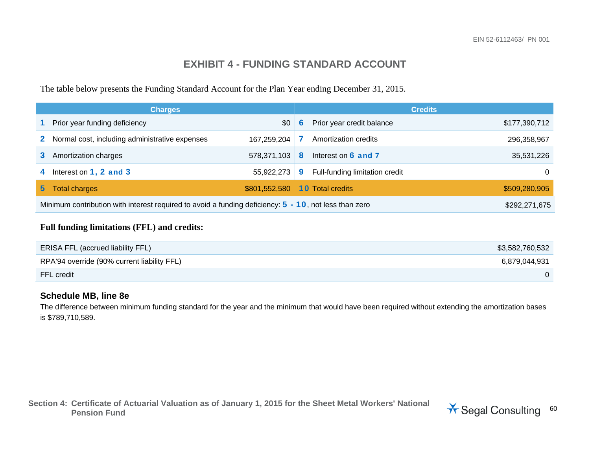## **EXHIBIT 4 - FUNDING STANDARD ACCOUNT**

The table below presents the Funding Standard Account for the Plan Year ending December 31, 2015.

|                                                                                                                           | <b>Charges</b>                                 |               | <b>Credits</b> |                                |               |  |
|---------------------------------------------------------------------------------------------------------------------------|------------------------------------------------|---------------|----------------|--------------------------------|---------------|--|
|                                                                                                                           | Prior year funding deficiency                  | \$0           | 6              | Prior year credit balance      | \$177,390,712 |  |
| $\mathbf{2}^-$                                                                                                            | Normal cost, including administrative expenses | 167.259.204   |                | Amortization credits           | 296,358,967   |  |
|                                                                                                                           | Amortization charges                           | 578,371,103   | 8              | Interest on 6 and 7            | 35,531,226    |  |
| 4                                                                                                                         | Interest on $1, 2$ and $3$                     | 55,922,273    | 9              | Full-funding limitation credit | $\Omega$      |  |
| 5,                                                                                                                        | <b>Total charges</b>                           | \$801,552,580 |                | <b>10 Total credits</b>        | \$509,280,905 |  |
| Minimum contribution with interest required to avoid a funding deficiency: $5 - 10$ , not less than zero<br>\$292,271,675 |                                                |               |                |                                |               |  |

#### **Full funding limitations (FFL) and credits:**

| <b>ERISA FFL (accrued liability FFL)</b>    | \$3,582,760,532 |
|---------------------------------------------|-----------------|
| RPA'94 override (90% current liability FFL) | 6.879.044.931   |
| FFL credit                                  |                 |

#### **Schedule MB, line 8e**

The difference between minimum funding standard for the year and the minimum that would have been required without extending the amortization bases is \$789,710,589.

**Section 4: Certificate of Actuarial Valuation as of January 1, 2015 for the Sheet Metal Workers' National**  Lertificate of Actuarial valuation as of January 1, 2015 for the Sheet Metal Workers National **X** Segal Consulting 60

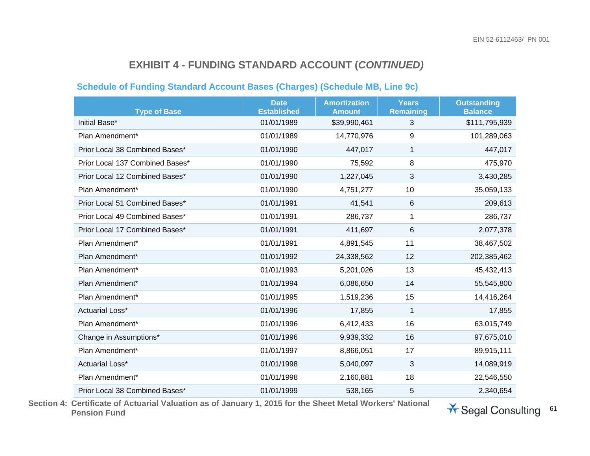#### **Schedule of Funding Standard Account Bases (Charges) (Schedule MB, Line 9c)**

| <b>Type of Base</b>             | <b>Date</b><br><b>Established</b> | <b>Amortization</b><br><b>Amount</b> | <b>Years</b><br><b>Remaining</b> | <b>Outstanding</b><br><b>Balance</b> |
|---------------------------------|-----------------------------------|--------------------------------------|----------------------------------|--------------------------------------|
| Initial Base*                   | 01/01/1989                        | \$39,990,461                         | 3                                | \$111,795,939                        |
| Plan Amendment*                 | 01/01/1989                        | 14,770,976                           | 9                                | 101,289,063                          |
| Prior Local 38 Combined Bases*  | 01/01/1990                        | 447,017                              | 1                                | 447,017                              |
| Prior Local 137 Combined Bases* | 01/01/1990                        | 75,592                               | 8                                | 475,970                              |
| Prior Local 12 Combined Bases*  | 01/01/1990                        | 1,227,045                            | 3                                | 3,430,285                            |
| Plan Amendment*                 | 01/01/1990                        | 4,751,277                            | 10                               | 35,059,133                           |
| Prior Local 51 Combined Bases*  | 01/01/1991                        | 41,541                               | 6                                | 209,613                              |
| Prior Local 49 Combined Bases*  | 01/01/1991                        | 286,737                              | 1                                | 286,737                              |
| Prior Local 17 Combined Bases*  | 01/01/1991                        | 411,697                              | 6                                | 2,077,378                            |
| Plan Amendment*                 | 01/01/1991                        | 4,891,545                            | 11                               | 38,467,502                           |
| Plan Amendment*                 | 01/01/1992                        | 24,338,562                           | 12                               | 202,385,462                          |
| Plan Amendment*                 | 01/01/1993                        | 5,201,026                            | 13                               | 45,432,413                           |
| Plan Amendment*                 | 01/01/1994                        | 6,086,650                            | 14                               | 55,545,800                           |
| Plan Amendment*                 | 01/01/1995                        | 1,519,236                            | 15                               | 14,416,264                           |
| Actuarial Loss*                 | 01/01/1996                        | 17,855                               | 1                                | 17,855                               |
| Plan Amendment*                 | 01/01/1996                        | 6,412,433                            | 16                               | 63,015,749                           |
| Change in Assumptions*          | 01/01/1996                        | 9,939,332                            | 16                               | 97,675,010                           |
| Plan Amendment*                 | 01/01/1997                        | 8,866,051                            | 17                               | 89,915,111                           |
| Actuarial Loss*                 | 01/01/1998                        | 5,040,097                            | 3                                | 14,089,919                           |
| Plan Amendment*                 | 01/01/1998                        | 2,160,881                            | 18                               | 22,546,550                           |
| Prior Local 38 Combined Bases*  | 01/01/1999                        | 538,165                              | 5                                | 2,340,654                            |

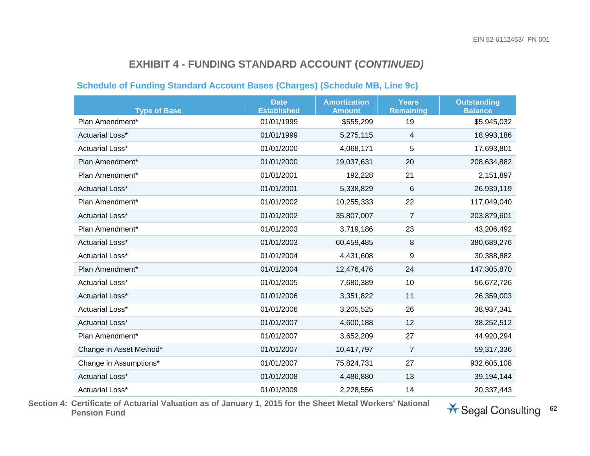#### **Schedule of Funding Standard Account Bases (Charges) (Schedule MB, Line 9c)**

| <b>Type of Base</b>     | <b>Date</b><br><b>Established</b> | <b>Amortization</b><br><b>Amount</b> | <b>Years</b><br><b>Remaining</b> | <b>Outstanding</b><br><b>Balance</b> |
|-------------------------|-----------------------------------|--------------------------------------|----------------------------------|--------------------------------------|
| Plan Amendment*         | 01/01/1999                        | \$555,299                            | 19                               | \$5,945,032                          |
| <b>Actuarial Loss*</b>  | 01/01/1999                        | 5,275,115                            | 4                                | 18,993,186                           |
| Actuarial Loss*         | 01/01/2000                        | 4,068,171                            | 5                                | 17,693,801                           |
| Plan Amendment*         | 01/01/2000                        | 19,037,631                           | 20                               | 208,634,882                          |
| Plan Amendment*         | 01/01/2001                        | 192,228                              | 21                               | 2,151,897                            |
| <b>Actuarial Loss*</b>  | 01/01/2001                        | 5,338,829                            | 6                                | 26,939,119                           |
| Plan Amendment*         | 01/01/2002                        | 10,255,333                           | 22                               | 117,049,040                          |
| <b>Actuarial Loss*</b>  | 01/01/2002                        | 35,807,007                           | $\overline{7}$                   | 203,879,601                          |
| Plan Amendment*         | 01/01/2003                        | 3,719,186                            | 23                               | 43,206,492                           |
| <b>Actuarial Loss*</b>  | 01/01/2003                        | 60,459,485                           | 8                                | 380,689,276                          |
| Actuarial Loss*         | 01/01/2004                        | 4,431,608                            | 9                                | 30,388,882                           |
| Plan Amendment*         | 01/01/2004                        | 12,476,476                           | 24                               | 147,305,870                          |
| Actuarial Loss*         | 01/01/2005                        | 7,680,389                            | 10                               | 56,672,726                           |
| Actuarial Loss*         | 01/01/2006                        | 3,351,822                            | 11                               | 26,359,003                           |
| Actuarial Loss*         | 01/01/2006                        | 3,205,525                            | 26                               | 38,937,341                           |
| <b>Actuarial Loss*</b>  | 01/01/2007                        | 4,600,188                            | 12                               | 38,252,512                           |
| Plan Amendment*         | 01/01/2007                        | 3,652,209                            | 27                               | 44,920,294                           |
| Change in Asset Method* | 01/01/2007                        | 10,417,797                           | $\overline{7}$                   | 59,317,336                           |
| Change in Assumptions*  | 01/01/2007                        | 75,824,731                           | 27                               | 932,605,108                          |
| <b>Actuarial Loss*</b>  | 01/01/2008                        | 4,486,880                            | 13                               | 39,194,144                           |
| Actuarial Loss*         | 01/01/2009                        | 2,228,556                            | 14                               | 20,337,443                           |

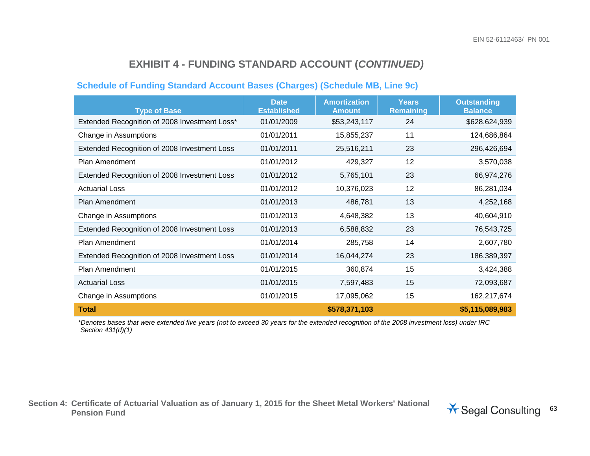#### **Schedule of Funding Standard Account Bases (Charges) (Schedule MB, Line 9c)**

| <b>Type of Base</b>                           | <b>Date</b><br><b>Established</b> | <b>Amortization</b><br><b>Amount</b> | <b>Years</b><br><b>Remaining</b> | <b>Outstanding</b><br><b>Balance</b> |
|-----------------------------------------------|-----------------------------------|--------------------------------------|----------------------------------|--------------------------------------|
| Extended Recognition of 2008 Investment Loss* | 01/01/2009                        | \$53,243,117                         | 24                               | \$628,624,939                        |
| Change in Assumptions                         | 01/01/2011                        | 15,855,237                           | 11                               | 124,686,864                          |
| Extended Recognition of 2008 Investment Loss  | 01/01/2011                        | 25,516,211                           | 23                               | 296,426,694                          |
| Plan Amendment                                | 01/01/2012                        | 429,327                              | 12                               | 3,570,038                            |
| Extended Recognition of 2008 Investment Loss  | 01/01/2012                        | 5,765,101                            | 23                               | 66,974,276                           |
| <b>Actuarial Loss</b>                         | 01/01/2012                        | 10,376,023                           | 12                               | 86,281,034                           |
| Plan Amendment                                | 01/01/2013                        | 486,781                              | 13                               | 4,252,168                            |
| Change in Assumptions                         | 01/01/2013                        | 4,648,382                            | 13                               | 40,604,910                           |
| Extended Recognition of 2008 Investment Loss  | 01/01/2013                        | 6,588,832                            | 23                               | 76,543,725                           |
| Plan Amendment                                | 01/01/2014                        | 285,758                              | 14                               | 2,607,780                            |
| Extended Recognition of 2008 Investment Loss  | 01/01/2014                        | 16,044,274                           | 23                               | 186,389,397                          |
| Plan Amendment                                | 01/01/2015                        | 360,874                              | 15                               | 3,424,388                            |
| <b>Actuarial Loss</b>                         | 01/01/2015                        | 7,597,483                            | 15                               | 72,093,687                           |
| Change in Assumptions                         | 01/01/2015                        | 17,095,062                           | 15                               | 162,217,674                          |
| <b>Total</b>                                  |                                   | \$578,371,103                        |                                  | \$5,115,089,983                      |

*\*Denotes bases that were extended five years (not to exceed 30 years for the extended recognition of the 2008 investment loss) under IRC Section 431(d)(1)* 

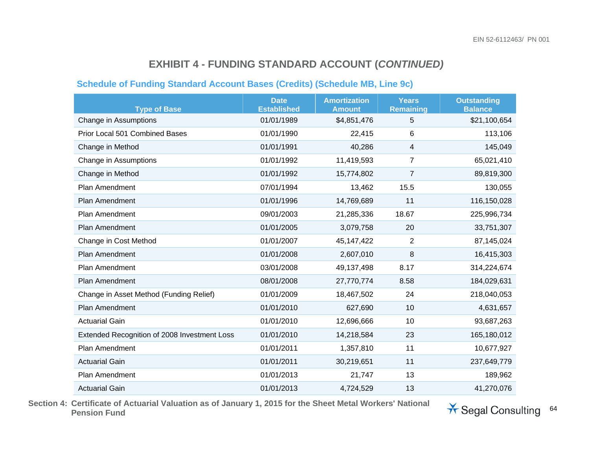#### **Schedule of Funding Standard Account Bases (Credits) (Schedule MB, Line 9c)**

| <b>Type of Base</b>                          | <b>Date</b><br><b>Established</b> | <b>Amortization</b><br><b>Amount</b> | <b>Years</b><br>Remaining | <b>Outstanding</b><br><b>Balance</b> |
|----------------------------------------------|-----------------------------------|--------------------------------------|---------------------------|--------------------------------------|
| Change in Assumptions                        | 01/01/1989                        | \$4,851,476                          | 5                         | \$21,100,654                         |
| <b>Prior Local 501 Combined Bases</b>        | 01/01/1990                        | 22,415                               | 6                         | 113,106                              |
| Change in Method                             | 01/01/1991                        | 40,286                               | 4                         | 145,049                              |
| Change in Assumptions                        | 01/01/1992                        | 11,419,593                           | $\overline{7}$            | 65,021,410                           |
| Change in Method                             | 01/01/1992                        | 15,774,802                           | $\overline{7}$            | 89,819,300                           |
| Plan Amendment                               | 07/01/1994                        | 13,462                               | 15.5                      | 130,055                              |
| Plan Amendment                               | 01/01/1996                        | 14,769,689                           | 11                        | 116,150,028                          |
| Plan Amendment                               | 09/01/2003                        | 21,285,336                           | 18.67                     | 225,996,734                          |
| Plan Amendment                               | 01/01/2005                        | 3,079,758                            | 20                        | 33,751,307                           |
| Change in Cost Method                        | 01/01/2007                        | 45,147,422                           | $\overline{2}$            | 87,145,024                           |
| <b>Plan Amendment</b>                        | 01/01/2008                        | 2,607,010                            | 8                         | 16,415,303                           |
| Plan Amendment                               | 03/01/2008                        | 49,137,498                           | 8.17                      | 314,224,674                          |
| Plan Amendment                               | 08/01/2008                        | 27,770,774                           | 8.58                      | 184,029,631                          |
| Change in Asset Method (Funding Relief)      | 01/01/2009                        | 18,467,502                           | 24                        | 218,040,053                          |
| <b>Plan Amendment</b>                        | 01/01/2010                        | 627,690                              | 10                        | 4,631,657                            |
| <b>Actuarial Gain</b>                        | 01/01/2010                        | 12,696,666                           | 10                        | 93,687,263                           |
| Extended Recognition of 2008 Investment Loss | 01/01/2010                        | 14,218,584                           | 23                        | 165,180,012                          |
| Plan Amendment                               | 01/01/2011                        | 1,357,810                            | 11                        | 10,677,927                           |
| <b>Actuarial Gain</b>                        | 01/01/2011                        | 30,219,651                           | 11                        | 237,649,779                          |
| Plan Amendment                               | 01/01/2013                        | 21,747                               | 13                        | 189,962                              |
| <b>Actuarial Gain</b>                        | 01/01/2013                        | 4,724,529                            | 13                        | 41,270,076                           |

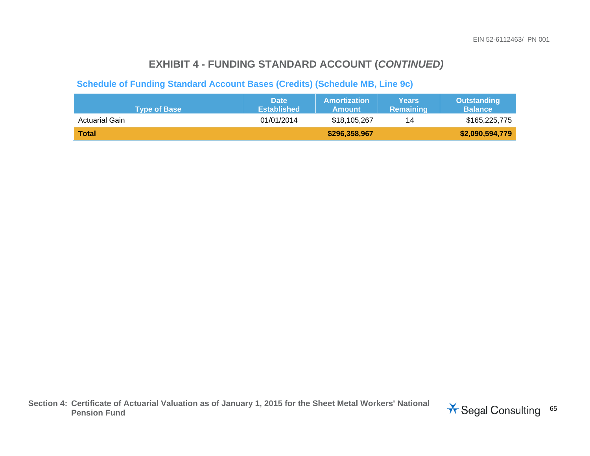#### **Schedule of Funding Standard Account Bases (Credits) (Schedule MB, Line 9c)**

| <b>Type of Base</b> | <b>Date</b><br><b>Established</b> | <b>Amortization</b><br><b>Amount</b> | <b>Years</b><br><b>Remaining</b> | <b>Outstanding</b><br><b>Balance</b> |
|---------------------|-----------------------------------|--------------------------------------|----------------------------------|--------------------------------------|
| Actuarial Gain      | 01/01/2014                        | \$18,105,267                         | 14                               | \$165,225,775                        |
| <b>Total</b>        |                                   | \$296,358,967                        |                                  | \$2,090,594,779                      |

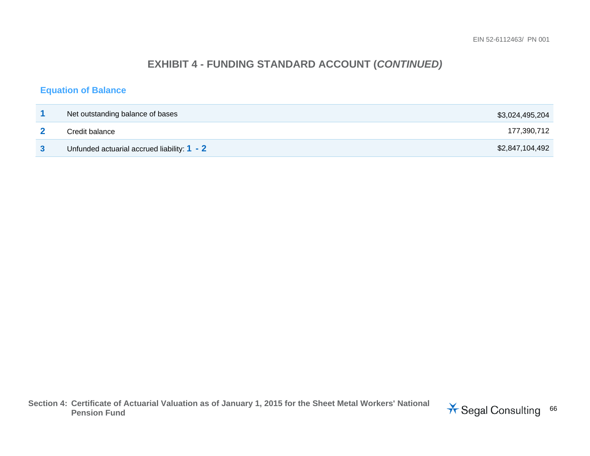#### **Equation of Balance**

| Net outstanding balance of bases              | \$3,024,495,204 |
|-----------------------------------------------|-----------------|
| Credit balance                                | 177,390,712     |
| Unfunded actuarial accrued liability: $1 - 2$ | \$2,847,104,492 |

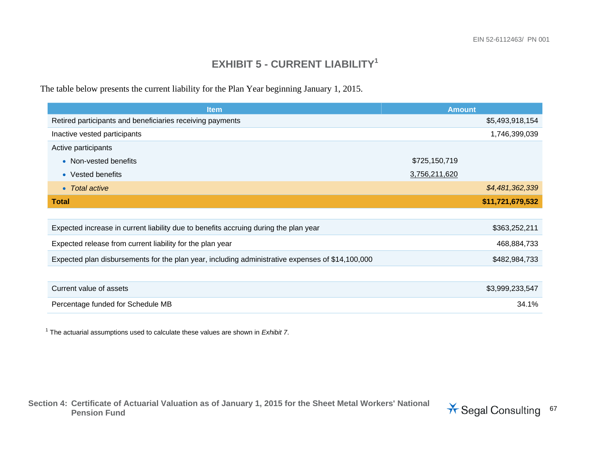## **EXHIBIT 5 - CURRENT LIABILITY<sup>1</sup>**

The table below presents the current liability for the Plan Year beginning January 1, 2015.

| <b>Item</b>                                                                                      | <b>Amount</b>    |
|--------------------------------------------------------------------------------------------------|------------------|
| Retired participants and beneficiaries receiving payments                                        | \$5,493,918,154  |
| Inactive vested participants                                                                     | 1,746,399,039    |
| Active participants                                                                              |                  |
| • Non-vested benefits                                                                            | \$725,150,719    |
| • Vested benefits                                                                                | 3,756,211,620    |
| • Total active                                                                                   | \$4,481,362,339  |
| <b>Total</b>                                                                                     | \$11,721,679,532 |
|                                                                                                  |                  |
| Expected increase in current liability due to benefits accruing during the plan year             | \$363,252,211    |
| Expected release from current liability for the plan year                                        | 468,884,733      |
| Expected plan disbursements for the plan year, including administrative expenses of \$14,100,000 | \$482,984,733    |
|                                                                                                  |                  |
| Current value of assets                                                                          | \$3,999,233,547  |
| Percentage funded for Schedule MB                                                                | 34.1%            |

1 The actuarial assumptions used to calculate these values are shown in *Exhibit 7*.

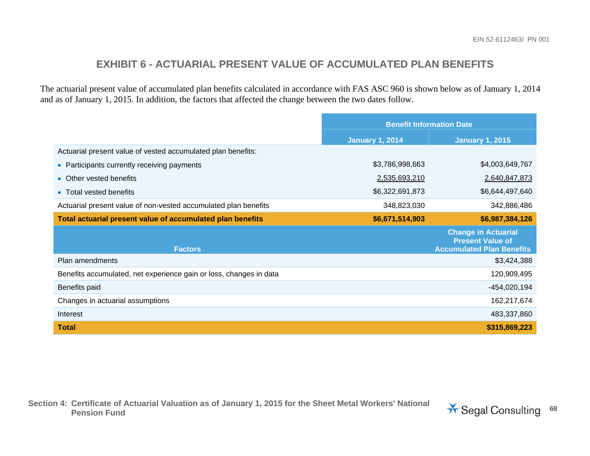### **EXHIBIT 6 - ACTUARIAL PRESENT VALUE OF ACCUMULATED PLAN BENEFITS**

The actuarial present value of accumulated plan benefits calculated in accordance with FAS ASC 960 is shown below as of January 1, 2014 and as of January 1, 2015. In addition, the factors that affected the change between the two dates follow.

|                                                                    | <b>Benefit Information Date</b> |                                                                                           |
|--------------------------------------------------------------------|---------------------------------|-------------------------------------------------------------------------------------------|
|                                                                    | <b>January 1, 2014</b>          | <b>January 1, 2015</b>                                                                    |
| Actuarial present value of vested accumulated plan benefits:       |                                 |                                                                                           |
| • Participants currently receiving payments                        | \$3,786,998,663                 | \$4,003,649,767                                                                           |
| Other vested benefits<br>$\bullet$                                 | 2,535,693,210                   | 2,640,847,873                                                                             |
| • Total vested benefits                                            | \$6,322,691,873                 | \$6,644,497,640                                                                           |
| Actuarial present value of non-vested accumulated plan benefits    | 348,823,030                     | 342,886,486                                                                               |
| Total actuarial present value of accumulated plan benefits         | \$6,671,514,903                 | \$6,987,384,126                                                                           |
| <b>Factors</b>                                                     |                                 | <b>Change in Actuarial</b><br><b>Present Value of</b><br><b>Accumulated Plan Benefits</b> |
| Plan amendments                                                    |                                 | \$3,424,388                                                                               |
| Benefits accumulated, net experience gain or loss, changes in data |                                 | 120,909,495                                                                               |
| Benefits paid                                                      |                                 | $-454,020,194$                                                                            |
| Changes in actuarial assumptions                                   |                                 | 162,217,674                                                                               |
| Interest                                                           |                                 | 483,337,860                                                                               |
| <b>Total</b>                                                       |                                 | \$315,869,223                                                                             |

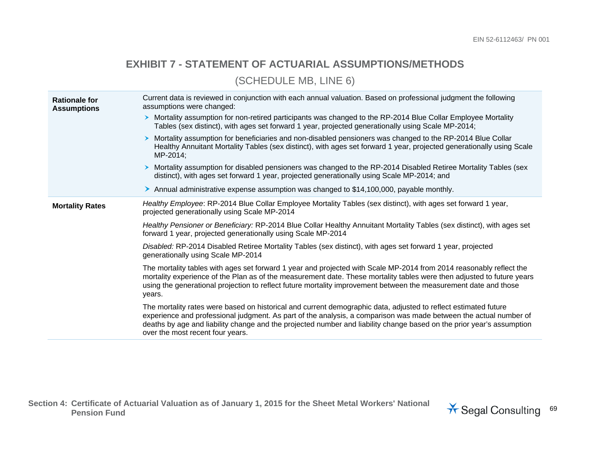## **EXHIBIT 7 - STATEMENT OF ACTUARIAL ASSUMPTIONS/METHODS**

(SCHEDULE MB, LINE 6)

| <b>Rationale for</b><br><b>Assumptions</b> | Current data is reviewed in conjunction with each annual valuation. Based on professional judgment the following<br>assumptions were changed:                                                                                                                                                                                                                                                     |  |  |  |
|--------------------------------------------|---------------------------------------------------------------------------------------------------------------------------------------------------------------------------------------------------------------------------------------------------------------------------------------------------------------------------------------------------------------------------------------------------|--|--|--|
|                                            | > Mortality assumption for non-retired participants was changed to the RP-2014 Blue Collar Employee Mortality<br>Tables (sex distinct), with ages set forward 1 year, projected generationally using Scale MP-2014;                                                                                                                                                                               |  |  |  |
|                                            | Mortality assumption for beneficiaries and non-disabled pensioners was changed to the RP-2014 Blue Collar<br>Healthy Annuitant Mortality Tables (sex distinct), with ages set forward 1 year, projected generationally using Scale<br>MP-2014;                                                                                                                                                    |  |  |  |
|                                            | > Mortality assumption for disabled pensioners was changed to the RP-2014 Disabled Retiree Mortality Tables (sex<br>distinct), with ages set forward 1 year, projected generationally using Scale MP-2014; and                                                                                                                                                                                    |  |  |  |
|                                            | > Annual administrative expense assumption was changed to \$14,100,000, payable monthly.                                                                                                                                                                                                                                                                                                          |  |  |  |
| <b>Mortality Rates</b>                     | Healthy Employee: RP-2014 Blue Collar Employee Mortality Tables (sex distinct), with ages set forward 1 year,<br>projected generationally using Scale MP-2014                                                                                                                                                                                                                                     |  |  |  |
|                                            | Healthy Pensioner or Beneficiary: RP-2014 Blue Collar Healthy Annuitant Mortality Tables (sex distinct), with ages set<br>forward 1 year, projected generationally using Scale MP-2014                                                                                                                                                                                                            |  |  |  |
|                                            | Disabled: RP-2014 Disabled Retiree Mortality Tables (sex distinct), with ages set forward 1 year, projected<br>generationally using Scale MP-2014                                                                                                                                                                                                                                                 |  |  |  |
|                                            | The mortality tables with ages set forward 1 year and projected with Scale MP-2014 from 2014 reasonably reflect the<br>mortality experience of the Plan as of the measurement date. These mortality tables were then adjusted to future years<br>using the generational projection to reflect future mortality improvement between the measurement date and those<br>years.                       |  |  |  |
|                                            | The mortality rates were based on historical and current demographic data, adjusted to reflect estimated future<br>experience and professional judgment. As part of the analysis, a comparison was made between the actual number of<br>deaths by age and liability change and the projected number and liability change based on the prior year's assumption<br>over the most recent four years. |  |  |  |

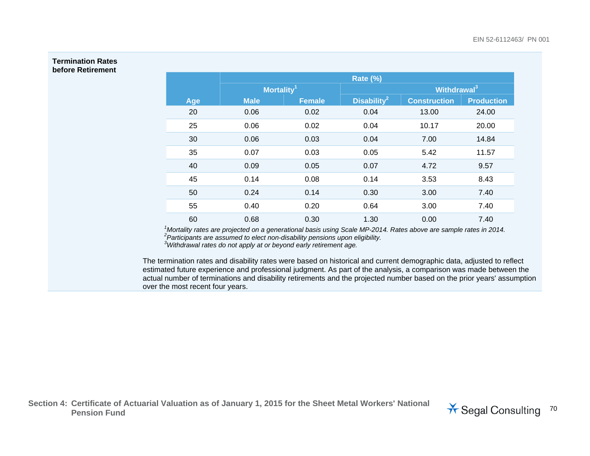#### **Termination Rates before Retirement**

|     | <b>Rate (%)</b>        |               |                         |                     |                   |
|-----|------------------------|---------------|-------------------------|---------------------|-------------------|
|     | Mortality <sup>1</sup> |               | Withdrawal <sup>3</sup> |                     |                   |
| Age | <b>Male</b>            | <b>Female</b> | Disability <sup>2</sup> | <b>Construction</b> | <b>Production</b> |
| 20  | 0.06                   | 0.02          | 0.04                    | 13.00               | 24.00             |
| 25  | 0.06                   | 0.02          | 0.04                    | 10.17               | 20.00             |
| 30  | 0.06                   | 0.03          | 0.04                    | 7.00                | 14.84             |
| 35  | 0.07                   | 0.03          | 0.05                    | 5.42                | 11.57             |
| 40  | 0.09                   | 0.05          | 0.07                    | 4.72                | 9.57              |
| 45  | 0.14                   | 0.08          | 0.14                    | 3.53                | 8.43              |
| 50  | 0.24                   | 0.14          | 0.30                    | 3.00                | 7.40              |
| 55  | 0.40                   | 0.20          | 0.64                    | 3.00                | 7.40              |
| 60  | 0.68                   | 0.30          | 1.30                    | 0.00                | 7.40              |

*1Mortality rates are projected on a generational basis using Scale MP-2014. Rates above are sample rates in 2014. 2Participants are assumed to elect non-disability pensions upon eligibility. 3Withdrawal rates do not apply at or beyond early retirement age.* 

The termination rates and disability rates were based on historical and current demographic data, adjusted to reflect estimated future experience and professional judgment. As part of the analysis, a comparison was made between the actual number of terminations and disability retirements and the projected number based on the prior years' assumption over the most recent four years.

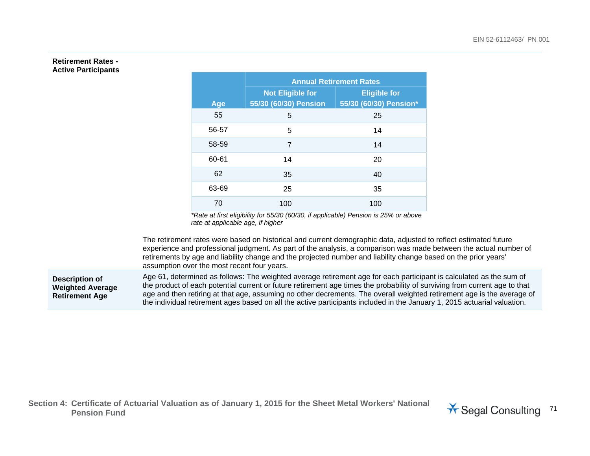#### **Retirement Rates - Active Participants**

|       | <b>Annual Retirement Rates</b> |                        |  |  |  |
|-------|--------------------------------|------------------------|--|--|--|
|       | <b>Not Eligible for</b>        | <b>Eligible for</b>    |  |  |  |
| Age   | 55/30 (60/30) Pension          | 55/30 (60/30) Pension* |  |  |  |
| 55    | 5                              | 25                     |  |  |  |
| 56-57 | 5                              | 14                     |  |  |  |
| 58-59 | 7                              | 14                     |  |  |  |
| 60-61 | 14                             | 20                     |  |  |  |
| 62    | 35                             | 40                     |  |  |  |
| 63-69 | 25                             | 35                     |  |  |  |
| 70    | 100                            | 100                    |  |  |  |

*\*Rate at first eligibility for 55/30 (60/30, if applicable) Pension is 25% or above rate at applicable age, if higher* 

The retirement rates were based on historical and current demographic data, adjusted to reflect estimated future experience and professional judgment. As part of the analysis, a comparison was made between the actual number of retirements by age and liability change and the projected number and liability change based on the prior years' assumption over the most recent four years.

**Description of Weighted Average Retirement Age** 

Age 61, determined as follows: The weighted average retirement age for each participant is calculated as the sum of the product of each potential current or future retirement age times the probability of surviving from current age to that age and then retiring at that age, assuming no other decrements. The overall weighted retirement age is the average of the individual retirement ages based on all the active participants included in the January 1, 2015 actuarial valuation.

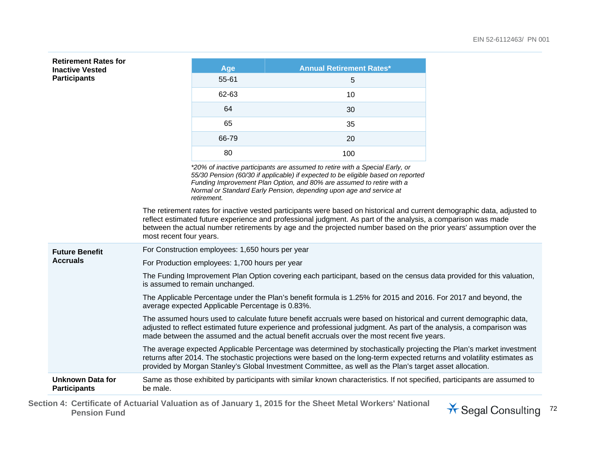| <b>Retirement Rates for</b><br><b>Inactive Vested</b> |                                                                                                                                                                                                                                                                                                                                         | Age                                                                                                                                                                                                                                                                                                                                                              | <b>Annual Retirement Rates*</b>                                                                                                                                                                                                                                                                                                                            |  |  |  |
|-------------------------------------------------------|-----------------------------------------------------------------------------------------------------------------------------------------------------------------------------------------------------------------------------------------------------------------------------------------------------------------------------------------|------------------------------------------------------------------------------------------------------------------------------------------------------------------------------------------------------------------------------------------------------------------------------------------------------------------------------------------------------------------|------------------------------------------------------------------------------------------------------------------------------------------------------------------------------------------------------------------------------------------------------------------------------------------------------------------------------------------------------------|--|--|--|
| <b>Participants</b>                                   |                                                                                                                                                                                                                                                                                                                                         | 55-61                                                                                                                                                                                                                                                                                                                                                            | 5                                                                                                                                                                                                                                                                                                                                                          |  |  |  |
|                                                       |                                                                                                                                                                                                                                                                                                                                         | 62-63                                                                                                                                                                                                                                                                                                                                                            | 10                                                                                                                                                                                                                                                                                                                                                         |  |  |  |
|                                                       |                                                                                                                                                                                                                                                                                                                                         | 64                                                                                                                                                                                                                                                                                                                                                               | 30                                                                                                                                                                                                                                                                                                                                                         |  |  |  |
|                                                       |                                                                                                                                                                                                                                                                                                                                         | 65                                                                                                                                                                                                                                                                                                                                                               | 35                                                                                                                                                                                                                                                                                                                                                         |  |  |  |
|                                                       |                                                                                                                                                                                                                                                                                                                                         | 66-79                                                                                                                                                                                                                                                                                                                                                            | 20                                                                                                                                                                                                                                                                                                                                                         |  |  |  |
|                                                       |                                                                                                                                                                                                                                                                                                                                         | 80                                                                                                                                                                                                                                                                                                                                                               | 100                                                                                                                                                                                                                                                                                                                                                        |  |  |  |
|                                                       |                                                                                                                                                                                                                                                                                                                                         | *20% of inactive participants are assumed to retire with a Special Early, or<br>55/30 Pension (60/30 if applicable) if expected to be eligible based on reported<br>Funding Improvement Plan Option, and 80% are assumed to retire with a<br>Normal or Standard Early Pension, depending upon age and service at<br>retirement.                                  |                                                                                                                                                                                                                                                                                                                                                            |  |  |  |
|                                                       | most recent four years.                                                                                                                                                                                                                                                                                                                 | The retirement rates for inactive vested participants were based on historical and current demographic data, adjusted to<br>reflect estimated future experience and professional judgment. As part of the analysis, a comparison was made<br>between the actual number retirements by age and the projected number based on the prior years' assumption over the |                                                                                                                                                                                                                                                                                                                                                            |  |  |  |
| <b>Future Benefit</b>                                 |                                                                                                                                                                                                                                                                                                                                         | For Construction employees: 1,650 hours per year                                                                                                                                                                                                                                                                                                                 |                                                                                                                                                                                                                                                                                                                                                            |  |  |  |
| <b>Accruals</b>                                       | For Production employees: 1,700 hours per year                                                                                                                                                                                                                                                                                          |                                                                                                                                                                                                                                                                                                                                                                  |                                                                                                                                                                                                                                                                                                                                                            |  |  |  |
|                                                       | The Funding Improvement Plan Option covering each participant, based on the census data provided for this valuation,<br>is assumed to remain unchanged.                                                                                                                                                                                 |                                                                                                                                                                                                                                                                                                                                                                  |                                                                                                                                                                                                                                                                                                                                                            |  |  |  |
|                                                       | The Applicable Percentage under the Plan's benefit formula is 1.25% for 2015 and 2016. For 2017 and beyond, the<br>average expected Applicable Percentage is 0.83%.                                                                                                                                                                     |                                                                                                                                                                                                                                                                                                                                                                  |                                                                                                                                                                                                                                                                                                                                                            |  |  |  |
|                                                       | The assumed hours used to calculate future benefit accruals were based on historical and current demographic data,<br>adjusted to reflect estimated future experience and professional judgment. As part of the analysis, a comparison was<br>made between the assumed and the actual benefit accruals over the most recent five years. |                                                                                                                                                                                                                                                                                                                                                                  |                                                                                                                                                                                                                                                                                                                                                            |  |  |  |
|                                                       |                                                                                                                                                                                                                                                                                                                                         |                                                                                                                                                                                                                                                                                                                                                                  | The average expected Applicable Percentage was determined by stochastically projecting the Plan's market investment<br>returns after 2014. The stochastic projections were based on the long-term expected returns and volatility estimates as<br>provided by Morgan Stanley's Global Investment Committee, as well as the Plan's target asset allocation. |  |  |  |
| <b>Unknown Data for</b><br><b>Participants</b>        | be male.                                                                                                                                                                                                                                                                                                                                |                                                                                                                                                                                                                                                                                                                                                                  | Same as those exhibited by participants with similar known characteristics. If not specified, participants are assumed to                                                                                                                                                                                                                                  |  |  |  |

**Section 4: Certificate of Actuarial Valuation as of January 1, 2015 for the Sheet Metal Workers' National**  Pension Fund **Consulting 72** Pension Fund **Pension Fund Avenue Research Pension Fund** 

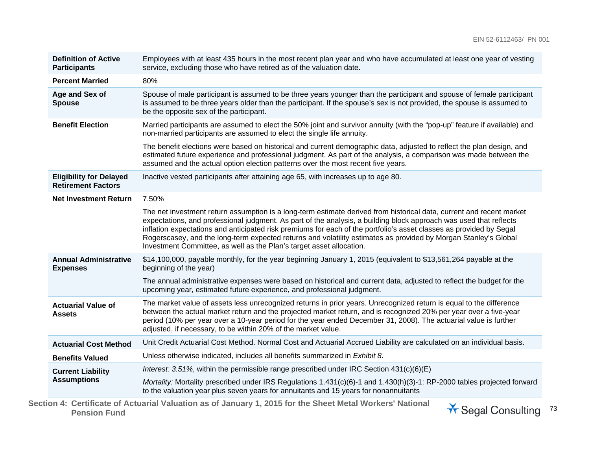| <b>Definition of Active</b><br><b>Participants</b>          | Employees with at least 435 hours in the most recent plan year and who have accumulated at least one year of vesting<br>service, excluding those who have retired as of the valuation date.                                                                                                                                                                                                                                                                                                                                                                  |  |  |
|-------------------------------------------------------------|--------------------------------------------------------------------------------------------------------------------------------------------------------------------------------------------------------------------------------------------------------------------------------------------------------------------------------------------------------------------------------------------------------------------------------------------------------------------------------------------------------------------------------------------------------------|--|--|
| <b>Percent Married</b>                                      | 80%                                                                                                                                                                                                                                                                                                                                                                                                                                                                                                                                                          |  |  |
| Age and Sex of<br><b>Spouse</b>                             | Spouse of male participant is assumed to be three years younger than the participant and spouse of female participant<br>is assumed to be three years older than the participant. If the spouse's sex is not provided, the spouse is assumed to<br>be the opposite sex of the participant.                                                                                                                                                                                                                                                                   |  |  |
| <b>Benefit Election</b>                                     | Married participants are assumed to elect the 50% joint and survivor annuity (with the "pop-up" feature if available) and<br>non-married participants are assumed to elect the single life annuity.                                                                                                                                                                                                                                                                                                                                                          |  |  |
|                                                             | The benefit elections were based on historical and current demographic data, adjusted to reflect the plan design, and<br>estimated future experience and professional judgment. As part of the analysis, a comparison was made between the<br>assumed and the actual option election patterns over the most recent five years.                                                                                                                                                                                                                               |  |  |
| <b>Eligibility for Delayed</b><br><b>Retirement Factors</b> | Inactive vested participants after attaining age 65, with increases up to age 80.                                                                                                                                                                                                                                                                                                                                                                                                                                                                            |  |  |
| <b>Net Investment Return</b>                                | 7.50%                                                                                                                                                                                                                                                                                                                                                                                                                                                                                                                                                        |  |  |
|                                                             | The net investment return assumption is a long-term estimate derived from historical data, current and recent market<br>expectations, and professional judgment. As part of the analysis, a building block approach was used that reflects<br>inflation expectations and anticipated risk premiums for each of the portfolio's asset classes as provided by Segal<br>Rogerscasey, and the long-term expected returns and volatility estimates as provided by Morgan Stanley's Global<br>Investment Committee, as well as the Plan's target asset allocation. |  |  |
| <b>Annual Administrative</b><br><b>Expenses</b>             | \$14,100,000, payable monthly, for the year beginning January 1, 2015 (equivalent to \$13,561,264 payable at the<br>beginning of the year)                                                                                                                                                                                                                                                                                                                                                                                                                   |  |  |
|                                                             | The annual administrative expenses were based on historical and current data, adjusted to reflect the budget for the<br>upcoming year, estimated future experience, and professional judgment.                                                                                                                                                                                                                                                                                                                                                               |  |  |
| <b>Actuarial Value of</b><br><b>Assets</b>                  | The market value of assets less unrecognized returns in prior years. Unrecognized return is equal to the difference<br>between the actual market return and the projected market return, and is recognized 20% per year over a five-year<br>period (10% per year over a 10-year period for the year ended December 31, 2008). The actuarial value is further<br>adjusted, if necessary, to be within 20% of the market value.                                                                                                                                |  |  |
| <b>Actuarial Cost Method</b>                                | Unit Credit Actuarial Cost Method. Normal Cost and Actuarial Accrued Liability are calculated on an individual basis.                                                                                                                                                                                                                                                                                                                                                                                                                                        |  |  |
| <b>Benefits Valued</b>                                      | Unless otherwise indicated, includes all benefits summarized in Exhibit 8.                                                                                                                                                                                                                                                                                                                                                                                                                                                                                   |  |  |
| <b>Current Liability</b>                                    | Interest: 3.51%, within the permissible range prescribed under IRC Section $431(c)(6)(E)$                                                                                                                                                                                                                                                                                                                                                                                                                                                                    |  |  |
| <b>Assumptions</b>                                          | Mortality: Mortality prescribed under IRS Regulations 1.431(c)(6)-1 and 1.430(h)(3)-1: RP-2000 tables projected forward<br>to the valuation year plus seven years for annuitants and 15 years for nonannuitants                                                                                                                                                                                                                                                                                                                                              |  |  |
|                                                             |                                                                                                                                                                                                                                                                                                                                                                                                                                                                                                                                                              |  |  |

**Section 4: Certificate of Actuarial Valuation as of January 1, 2015 for the Sheet Metal Workers' National**  Pension Fund **Consulting 73**<br>Pension Fund

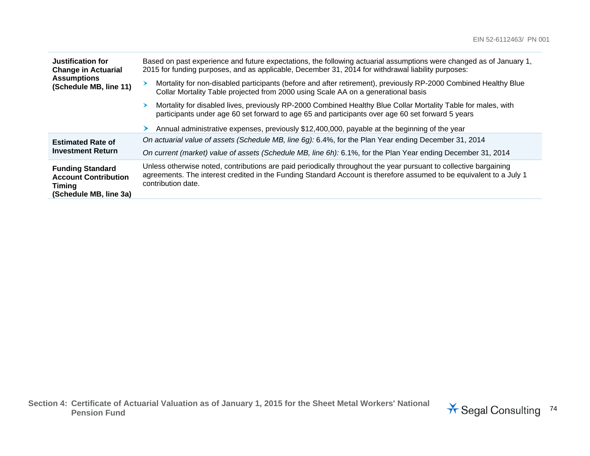| Justification for<br><b>Change in Actuarial</b><br><b>Assumptions</b><br>(Schedule MB, line 11)   | Based on past experience and future expectations, the following actuarial assumptions were changed as of January 1,<br>2015 for funding purposes, and as applicable, December 31, 2014 for withdrawal liability purposes:                                      |  |  |
|---------------------------------------------------------------------------------------------------|----------------------------------------------------------------------------------------------------------------------------------------------------------------------------------------------------------------------------------------------------------------|--|--|
|                                                                                                   | Mortality for non-disabled participants (before and after retirement), previously RP-2000 Combined Healthy Blue<br>Collar Mortality Table projected from 2000 using Scale AA on a generational basis                                                           |  |  |
|                                                                                                   | Mortality for disabled lives, previously RP-2000 Combined Healthy Blue Collar Mortality Table for males, with<br>⋗<br>participants under age 60 set forward to age 65 and participants over age 60 set forward 5 years                                         |  |  |
|                                                                                                   | Annual administrative expenses, previously \$12,400,000, payable at the beginning of the year                                                                                                                                                                  |  |  |
| <b>Estimated Rate of</b><br><b>Investment Return</b>                                              | On actuarial value of assets (Schedule MB, line 6g): 6.4%, for the Plan Year ending December 31, 2014                                                                                                                                                          |  |  |
|                                                                                                   | On current (market) value of assets (Schedule MB, line 6h): 6.1%, for the Plan Year ending December 31, 2014                                                                                                                                                   |  |  |
| <b>Funding Standard</b><br><b>Account Contribution</b><br><b>Timing</b><br>(Schedule MB, line 3a) | Unless otherwise noted, contributions are paid periodically throughout the year pursuant to collective bargaining<br>agreements. The interest credited in the Funding Standard Account is therefore assumed to be equivalent to a July 1<br>contribution date. |  |  |

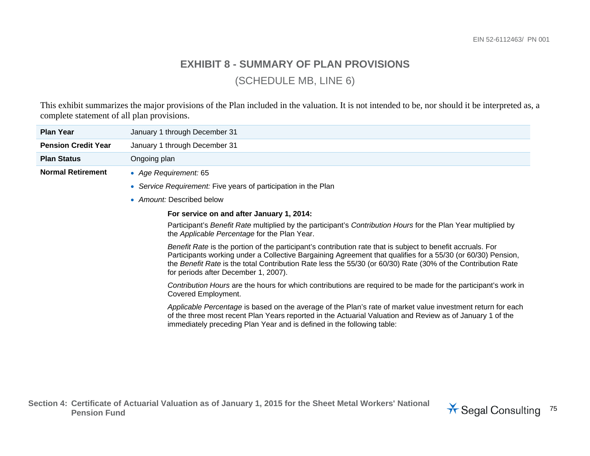## **EXHIBIT 8 - SUMMARY OF PLAN PROVISIONS** (SCHEDULE MB, LINE 6)

This exhibit summarizes the major provisions of the Plan included in the valuation. It is not intended to be, nor should it be interpreted as, a complete statement of all plan provisions.

| <b>Plan Year</b>                                                                                                                                                                                                                                                                                                                                                                                                                                                                                                            | January 1 through December 31                                                                                                                                 |  |                                                                                                                                                                                                                                                                                                    |
|-----------------------------------------------------------------------------------------------------------------------------------------------------------------------------------------------------------------------------------------------------------------------------------------------------------------------------------------------------------------------------------------------------------------------------------------------------------------------------------------------------------------------------|---------------------------------------------------------------------------------------------------------------------------------------------------------------|--|----------------------------------------------------------------------------------------------------------------------------------------------------------------------------------------------------------------------------------------------------------------------------------------------------|
| <b>Pension Credit Year</b>                                                                                                                                                                                                                                                                                                                                                                                                                                                                                                  | January 1 through December 31                                                                                                                                 |  |                                                                                                                                                                                                                                                                                                    |
| <b>Plan Status</b>                                                                                                                                                                                                                                                                                                                                                                                                                                                                                                          | Ongoing plan                                                                                                                                                  |  |                                                                                                                                                                                                                                                                                                    |
| <b>Normal Retirement</b>                                                                                                                                                                                                                                                                                                                                                                                                                                                                                                    | • Age Requirement: 65                                                                                                                                         |  |                                                                                                                                                                                                                                                                                                    |
|                                                                                                                                                                                                                                                                                                                                                                                                                                                                                                                             | • Service Requirement: Five years of participation in the Plan                                                                                                |  |                                                                                                                                                                                                                                                                                                    |
|                                                                                                                                                                                                                                                                                                                                                                                                                                                                                                                             | • Amount: Described below                                                                                                                                     |  |                                                                                                                                                                                                                                                                                                    |
| For service on and after January 1, 2014:                                                                                                                                                                                                                                                                                                                                                                                                                                                                                   |                                                                                                                                                               |  |                                                                                                                                                                                                                                                                                                    |
|                                                                                                                                                                                                                                                                                                                                                                                                                                                                                                                             | Participant's Benefit Rate multiplied by the participant's Contribution Hours for the Plan Year multiplied by<br>the Applicable Percentage for the Plan Year. |  |                                                                                                                                                                                                                                                                                                    |
| Benefit Rate is the portion of the participant's contribution rate that is subject to benefit accruals. For<br>Participants working under a Collective Bargaining Agreement that qualifies for a 55/30 (or 60/30) Pension,<br>the Benefit Rate is the total Contribution Rate less the 55/30 (or 60/30) Rate (30% of the Contribution Rate<br>for periods after December 1, 2007).<br>Contribution Hours are the hours for which contributions are required to be made for the participant's work in<br>Covered Employment. |                                                                                                                                                               |  |                                                                                                                                                                                                                                                                                                    |
|                                                                                                                                                                                                                                                                                                                                                                                                                                                                                                                             |                                                                                                                                                               |  | Applicable Percentage is based on the average of the Plan's rate of market value investment return for each<br>of the three most recent Plan Years reported in the Actuarial Valuation and Review as of January 1 of the<br>immediately preceding Plan Year and is defined in the following table: |

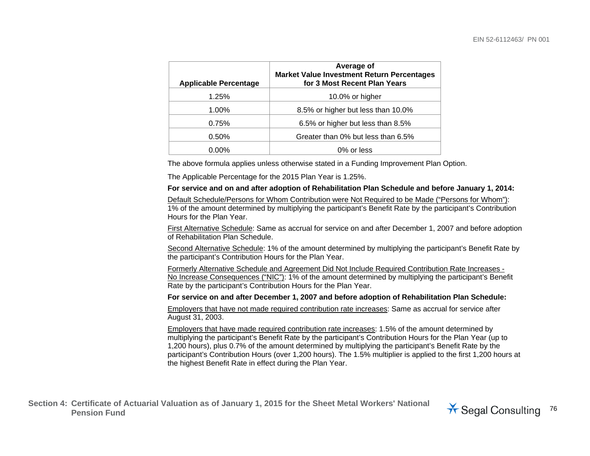| <b>Applicable Percentage</b> | Average of<br><b>Market Value Investment Return Percentages</b><br>for 3 Most Recent Plan Years |
|------------------------------|-------------------------------------------------------------------------------------------------|
| 1.25%                        | 10.0% or higher                                                                                 |
| 1.00%                        | 8.5% or higher but less than 10.0%                                                              |
| 0.75%                        | 6.5% or higher but less than 8.5%                                                               |
| 0.50%                        | Greater than 0% but less than 6.5%                                                              |
| 0.00%                        | 0% or less                                                                                      |

The above formula applies unless otherwise stated in a Funding Improvement Plan Option.

The Applicable Percentage for the 2015 Plan Year is 1.25%.

## **For service and on and after adoption of Rehabilitation Plan Schedule and before January 1, 2014:**

Default Schedule/Persons for Whom Contribution were Not Required to be Made ("Persons for Whom"): 1% of the amount determined by multiplying the participant's Benefit Rate by the participant's Contribution Hours for the Plan Year.

First Alternative Schedule: Same as accrual for service on and after December 1, 2007 and before adoption of Rehabilitation Plan Schedule.

Second Alternative Schedule: 1% of the amount determined by multiplying the participant's Benefit Rate by the participant's Contribution Hours for the Plan Year.

Formerly Alternative Schedule and Agreement Did Not Include Required Contribution Rate Increases - No Increase Consequences ("NIC"): 1% of the amount determined by multiplying the participant's Benefit Rate by the participant's Contribution Hours for the Plan Year.

**For service on and after December 1, 2007 and before adoption of Rehabilitation Plan Schedule:**

Employers that have not made required contribution rate increases: Same as accrual for service after August 31, 2003.

Employers that have made required contribution rate increases: 1.5% of the amount determined by multiplying the participant's Benefit Rate by the participant's Contribution Hours for the Plan Year (up to 1,200 hours), plus 0.7% of the amount determined by multiplying the participant's Benefit Rate by the participant's Contribution Hours (over 1,200 hours). The 1.5% multiplier is applied to the first 1,200 hours at the highest Benefit Rate in effect during the Plan Year.

**Section 4: Certificate of Actuarial Valuation as of January 1, 2015 for the Sheet Metal Workers' National**  Pension Fund<br>Pension Fund

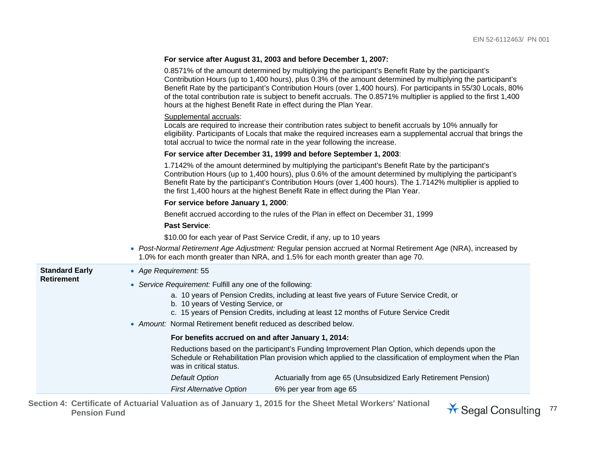|                       | For service after August 31, 2003 and before December 1, 2007:                                                                                                                                                                                                                                                                                                                                                                                                                                                                   |
|-----------------------|----------------------------------------------------------------------------------------------------------------------------------------------------------------------------------------------------------------------------------------------------------------------------------------------------------------------------------------------------------------------------------------------------------------------------------------------------------------------------------------------------------------------------------|
|                       | 0.8571% of the amount determined by multiplying the participant's Benefit Rate by the participant's<br>Contribution Hours (up to 1,400 hours), plus 0.3% of the amount determined by multiplying the participant's<br>Benefit Rate by the participant's Contribution Hours (over 1,400 hours). For participants in 55/30 Locals, 80%<br>of the total contribution rate is subject to benefit accruals. The 0.8571% multiplier is applied to the first 1,400<br>hours at the highest Benefit Rate in effect during the Plan Year. |
|                       | Supplemental accruals:<br>Locals are required to increase their contribution rates subject to benefit accruals by 10% annually for<br>eligibility. Participants of Locals that make the required increases earn a supplemental accrual that brings the<br>total accrual to twice the normal rate in the year following the increase.                                                                                                                                                                                             |
|                       | For service after December 31, 1999 and before September 1, 2003:                                                                                                                                                                                                                                                                                                                                                                                                                                                                |
|                       | 1.7142% of the amount determined by multiplying the participant's Benefit Rate by the participant's<br>Contribution Hours (up to 1,400 hours), plus 0.6% of the amount determined by multiplying the participant's<br>Benefit Rate by the participant's Contribution Hours (over 1,400 hours). The 1.7142% multiplier is applied to<br>the first 1,400 hours at the highest Benefit Rate in effect during the Plan Year.                                                                                                         |
|                       | For service before January 1, 2000:                                                                                                                                                                                                                                                                                                                                                                                                                                                                                              |
|                       | Benefit accrued according to the rules of the Plan in effect on December 31, 1999                                                                                                                                                                                                                                                                                                                                                                                                                                                |
|                       | <b>Past Service:</b>                                                                                                                                                                                                                                                                                                                                                                                                                                                                                                             |
|                       | \$10.00 for each year of Past Service Credit, if any, up to 10 years                                                                                                                                                                                                                                                                                                                                                                                                                                                             |
|                       | • Post-Normal Retirement Age Adjustment: Regular pension accrued at Normal Retirement Age (NRA), increased by<br>1.0% for each month greater than NRA, and 1.5% for each month greater than age 70.                                                                                                                                                                                                                                                                                                                              |
| <b>Standard Early</b> | • Age Requirement: 55                                                                                                                                                                                                                                                                                                                                                                                                                                                                                                            |
| <b>Retirement</b>     | • Service Requirement: Fulfill any one of the following:                                                                                                                                                                                                                                                                                                                                                                                                                                                                         |
|                       | a. 10 years of Pension Credits, including at least five years of Future Service Credit, or<br>b. 10 years of Vesting Service, or<br>c. 15 years of Pension Credits, including at least 12 months of Future Service Credit                                                                                                                                                                                                                                                                                                        |
|                       | • Amount: Normal Retirement benefit reduced as described below.                                                                                                                                                                                                                                                                                                                                                                                                                                                                  |
|                       | For benefits accrued on and after January 1, 2014:                                                                                                                                                                                                                                                                                                                                                                                                                                                                               |
|                       | Reductions based on the participant's Funding Improvement Plan Option, which depends upon the<br>Schedule or Rehabilitation Plan provision which applied to the classification of employment when the Plan<br>was in critical status.                                                                                                                                                                                                                                                                                            |
|                       | Actuarially from age 65 (Unsubsidized Early Retirement Pension)<br><b>Default Option</b>                                                                                                                                                                                                                                                                                                                                                                                                                                         |
|                       | 6% per year from age 65<br><b>First Alternative Option</b>                                                                                                                                                                                                                                                                                                                                                                                                                                                                       |

**Section 4: Certificate of Actuarial Valuation as of January 1, 2015 for the Sheet Metal Workers' National** 

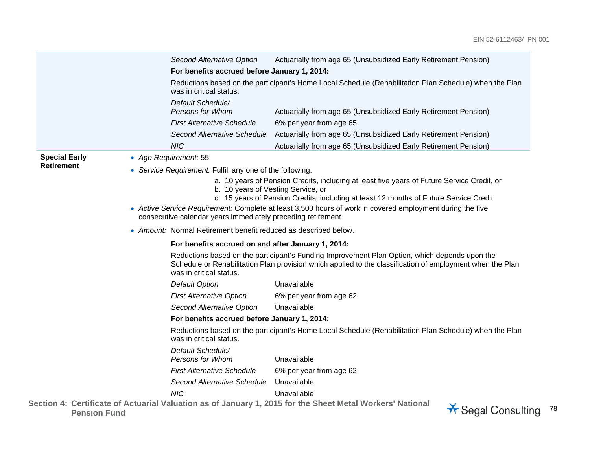|                      | <b>Second Alternative Option</b><br>Actuarially from age 65 (Unsubsidized Early Retirement Pension)                                                                                                                                   |
|----------------------|---------------------------------------------------------------------------------------------------------------------------------------------------------------------------------------------------------------------------------------|
|                      | For benefits accrued before January 1, 2014:                                                                                                                                                                                          |
|                      | Reductions based on the participant's Home Local Schedule (Rehabilitation Plan Schedule) when the Plan<br>was in critical status.                                                                                                     |
|                      | Default Schedule/<br>Persons for Whom<br>Actuarially from age 65 (Unsubsidized Early Retirement Pension)                                                                                                                              |
|                      | <b>First Alternative Schedule</b><br>6% per year from age 65                                                                                                                                                                          |
|                      | Second Alternative Schedule<br>Actuarially from age 65 (Unsubsidized Early Retirement Pension)                                                                                                                                        |
|                      | <b>NIC</b><br>Actuarially from age 65 (Unsubsidized Early Retirement Pension)                                                                                                                                                         |
| <b>Special Early</b> | • Age Requirement: 55                                                                                                                                                                                                                 |
| <b>Retirement</b>    | Service Requirement: Fulfill any one of the following:                                                                                                                                                                                |
|                      | a. 10 years of Pension Credits, including at least five years of Future Service Credit, or<br>b. 10 years of Vesting Service, or<br>c. 15 years of Pension Credits, including at least 12 months of Future Service Credit             |
|                      | • Active Service Requirement: Complete at least 3,500 hours of work in covered employment during the five<br>consecutive calendar years immediately preceding retirement                                                              |
|                      | • Amount: Normal Retirement benefit reduced as described below.                                                                                                                                                                       |
|                      | For benefits accrued on and after January 1, 2014:                                                                                                                                                                                    |
|                      | Reductions based on the participant's Funding Improvement Plan Option, which depends upon the<br>Schedule or Rehabilitation Plan provision which applied to the classification of employment when the Plan<br>was in critical status. |
|                      | <b>Default Option</b><br>Unavailable                                                                                                                                                                                                  |
|                      | <b>First Alternative Option</b><br>6% per year from age 62                                                                                                                                                                            |
|                      | Unavailable<br><b>Second Alternative Option</b>                                                                                                                                                                                       |
|                      | For benefits accrued before January 1, 2014:                                                                                                                                                                                          |
|                      | Reductions based on the participant's Home Local Schedule (Rehabilitation Plan Schedule) when the Plan<br>was in critical status.                                                                                                     |
|                      | Default Schedule/<br>Unavailable<br>Persons for Whom                                                                                                                                                                                  |
|                      | <b>First Alternative Schedule</b><br>6% per year from age 62                                                                                                                                                                          |
|                      | Second Alternative Schedule<br>Unavailable                                                                                                                                                                                            |
|                      | <b>NIC</b><br>Unavailable                                                                                                                                                                                                             |
| <b>Pension Fund</b>  | Section 4: Certificate of Actuarial Valuation as of January 1, 2015 for the Sheet Metal Workers' National<br>* Segal Consulting 78                                                                                                    |

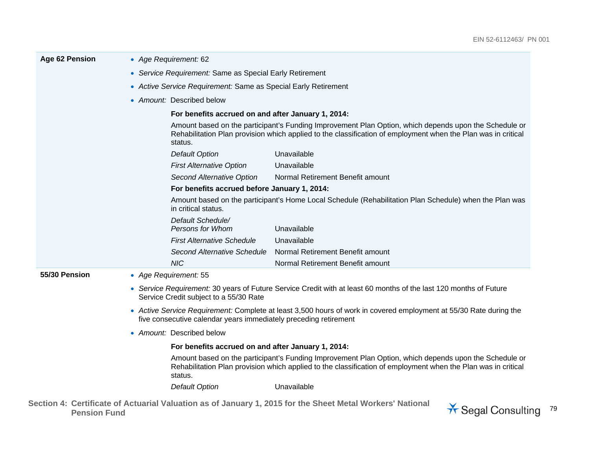| Age 62 Pension | • Age Requirement: 62                                                                                                                                                                                                             |                                                                                                                                                                                                                                   |                                                                                                        |  |
|----------------|-----------------------------------------------------------------------------------------------------------------------------------------------------------------------------------------------------------------------------------|-----------------------------------------------------------------------------------------------------------------------------------------------------------------------------------------------------------------------------------|--------------------------------------------------------------------------------------------------------|--|
|                | • Service Requirement: Same as Special Early Retirement                                                                                                                                                                           |                                                                                                                                                                                                                                   |                                                                                                        |  |
|                | • Active Service Requirement: Same as Special Early Retirement                                                                                                                                                                    |                                                                                                                                                                                                                                   |                                                                                                        |  |
|                | • Amount: Described below                                                                                                                                                                                                         |                                                                                                                                                                                                                                   |                                                                                                        |  |
|                |                                                                                                                                                                                                                                   | For benefits accrued on and after January 1, 2014:                                                                                                                                                                                |                                                                                                        |  |
|                |                                                                                                                                                                                                                                   | Amount based on the participant's Funding Improvement Plan Option, which depends upon the Schedule or<br>Rehabilitation Plan provision which applied to the classification of employment when the Plan was in critical<br>status. |                                                                                                        |  |
|                |                                                                                                                                                                                                                                   | <b>Default Option</b>                                                                                                                                                                                                             | Unavailable                                                                                            |  |
|                |                                                                                                                                                                                                                                   | <b>First Alternative Option</b>                                                                                                                                                                                                   | Unavailable                                                                                            |  |
|                |                                                                                                                                                                                                                                   | <b>Second Alternative Option</b>                                                                                                                                                                                                  | Normal Retirement Benefit amount                                                                       |  |
|                |                                                                                                                                                                                                                                   | For benefits accrued before January 1, 2014:                                                                                                                                                                                      |                                                                                                        |  |
|                |                                                                                                                                                                                                                                   | in critical status.                                                                                                                                                                                                               | Amount based on the participant's Home Local Schedule (Rehabilitation Plan Schedule) when the Plan was |  |
|                |                                                                                                                                                                                                                                   | Default Schedule/<br>Persons for Whom                                                                                                                                                                                             | Unavailable                                                                                            |  |
|                |                                                                                                                                                                                                                                   | <b>First Alternative Schedule</b>                                                                                                                                                                                                 | Unavailable                                                                                            |  |
|                |                                                                                                                                                                                                                                   | Second Alternative Schedule                                                                                                                                                                                                       | Normal Retirement Benefit amount                                                                       |  |
|                |                                                                                                                                                                                                                                   | <b>NIC</b>                                                                                                                                                                                                                        | Normal Retirement Benefit amount                                                                       |  |
| 55/30 Pension  |                                                                                                                                                                                                                                   | • Age Requirement: 55                                                                                                                                                                                                             |                                                                                                        |  |
|                | • Service Requirement: 30 years of Future Service Credit with at least 60 months of the last 120 months of Future<br>Service Credit subject to a 55/30 Rate                                                                       |                                                                                                                                                                                                                                   |                                                                                                        |  |
|                | • Active Service Requirement: Complete at least 3,500 hours of work in covered employment at 55/30 Rate during the<br>five consecutive calendar years immediately preceding retirement                                            |                                                                                                                                                                                                                                   |                                                                                                        |  |
|                | • Amount: Described below                                                                                                                                                                                                         |                                                                                                                                                                                                                                   |                                                                                                        |  |
|                | For benefits accrued on and after January 1, 2014:                                                                                                                                                                                |                                                                                                                                                                                                                                   |                                                                                                        |  |
|                | Amount based on the participant's Funding Improvement Plan Option, which depends upon the Schedule or<br>Rehabilitation Plan provision which applied to the classification of employment when the Plan was in critical<br>status. |                                                                                                                                                                                                                                   |                                                                                                        |  |
|                |                                                                                                                                                                                                                                   | <b>Default Option</b>                                                                                                                                                                                                             | Unavailable                                                                                            |  |
|                |                                                                                                                                                                                                                                   |                                                                                                                                                                                                                                   | and out Andreal at Material and and the commode AAAE from the Atlantic Material Minister Mathematic    |  |

**Section 4: Certificate of Actuarial Valuation as of January 1, 2015 for the Sheet Metal Workers' National**  Pension Fund **Consulting 79**<br>Pension Fund

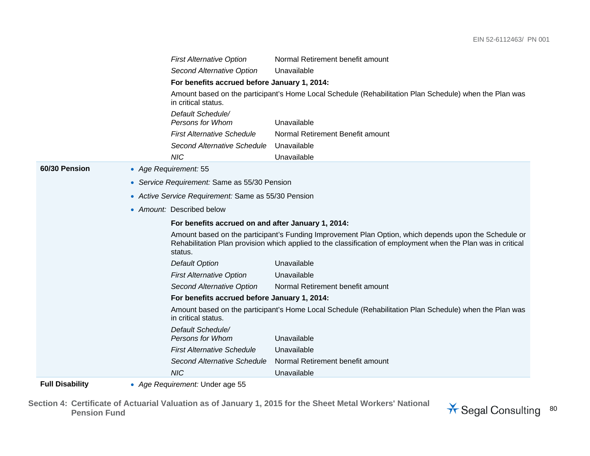|                           |  | <b>First Alternative Option</b>                                                                                               | Normal Retirement benefit amount                                                                                                                                                                                       |
|---------------------------|--|-------------------------------------------------------------------------------------------------------------------------------|------------------------------------------------------------------------------------------------------------------------------------------------------------------------------------------------------------------------|
|                           |  | Second Alternative Option                                                                                                     | Unavailable                                                                                                                                                                                                            |
|                           |  | For benefits accrued before January 1, 2014:                                                                                  |                                                                                                                                                                                                                        |
|                           |  | Amount based on the participant's Home Local Schedule (Rehabilitation Plan Schedule) when the Plan was<br>in critical status. |                                                                                                                                                                                                                        |
|                           |  | Default Schedule/<br>Persons for Whom                                                                                         | Unavailable                                                                                                                                                                                                            |
|                           |  | <b>First Alternative Schedule</b>                                                                                             | Normal Retirement Benefit amount                                                                                                                                                                                       |
|                           |  | Second Alternative Schedule                                                                                                   | Unavailable                                                                                                                                                                                                            |
|                           |  | <b>NIC</b>                                                                                                                    | Unavailable                                                                                                                                                                                                            |
| 60/30 Pension             |  | • Age Requirement: 55                                                                                                         |                                                                                                                                                                                                                        |
|                           |  | • Service Requirement: Same as 55/30 Pension                                                                                  |                                                                                                                                                                                                                        |
|                           |  | • Active Service Requirement: Same as 55/30 Pension                                                                           |                                                                                                                                                                                                                        |
| • Amount: Described below |  |                                                                                                                               |                                                                                                                                                                                                                        |
|                           |  | For benefits accrued on and after January 1, 2014:                                                                            |                                                                                                                                                                                                                        |
|                           |  | status.                                                                                                                       | Amount based on the participant's Funding Improvement Plan Option, which depends upon the Schedule or<br>Rehabilitation Plan provision which applied to the classification of employment when the Plan was in critical |
|                           |  | <b>Default Option</b>                                                                                                         | Unavailable                                                                                                                                                                                                            |
|                           |  | <b>First Alternative Option</b>                                                                                               | Unavailable                                                                                                                                                                                                            |
|                           |  | Second Alternative Option                                                                                                     | Normal Retirement benefit amount                                                                                                                                                                                       |
|                           |  | For benefits accrued before January 1, 2014:                                                                                  |                                                                                                                                                                                                                        |
|                           |  | in critical status.                                                                                                           | Amount based on the participant's Home Local Schedule (Rehabilitation Plan Schedule) when the Plan was                                                                                                                 |
|                           |  | Default Schedule/<br><b>Persons for Whom</b>                                                                                  | Unavailable                                                                                                                                                                                                            |
|                           |  | <b>First Alternative Schedule</b>                                                                                             | Unavailable                                                                                                                                                                                                            |
|                           |  | Second Alternative Schedule                                                                                                   | Normal Retirement benefit amount                                                                                                                                                                                       |
|                           |  | <b>NIC</b>                                                                                                                    | Unavailable                                                                                                                                                                                                            |
| <b>Full Disability</b>    |  | • Age Requirement: Under age 55                                                                                               |                                                                                                                                                                                                                        |

**Section 4: Certificate of Actuarial Valuation as of January 1, 2015 for the Sheet Metal Workers' National** 

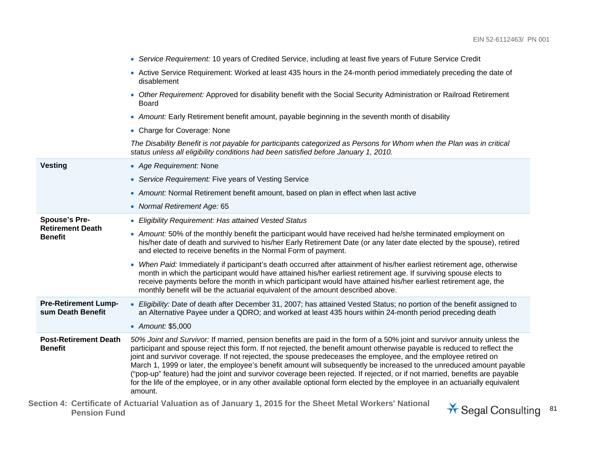|                                                  | • Service Requirement: 10 years of Credited Service, including at least five years of Future Service Credit                                                                                                                                                                                                                                                                                                                                                                                                                                                                                                                                                                                                                                                           |
|--------------------------------------------------|-----------------------------------------------------------------------------------------------------------------------------------------------------------------------------------------------------------------------------------------------------------------------------------------------------------------------------------------------------------------------------------------------------------------------------------------------------------------------------------------------------------------------------------------------------------------------------------------------------------------------------------------------------------------------------------------------------------------------------------------------------------------------|
|                                                  | • Active Service Requirement: Worked at least 435 hours in the 24-month period immediately preceding the date of<br>disablement                                                                                                                                                                                                                                                                                                                                                                                                                                                                                                                                                                                                                                       |
|                                                  | • Other Requirement: Approved for disability benefit with the Social Security Administration or Railroad Retirement<br><b>Board</b>                                                                                                                                                                                                                                                                                                                                                                                                                                                                                                                                                                                                                                   |
|                                                  | • Amount: Early Retirement benefit amount, payable beginning in the seventh month of disability                                                                                                                                                                                                                                                                                                                                                                                                                                                                                                                                                                                                                                                                       |
|                                                  | • Charge for Coverage: None                                                                                                                                                                                                                                                                                                                                                                                                                                                                                                                                                                                                                                                                                                                                           |
|                                                  | The Disability Benefit is not payable for participants categorized as Persons for Whom when the Plan was in critical<br>status unless all eligibility conditions had been satisfied before January 1, 2010.                                                                                                                                                                                                                                                                                                                                                                                                                                                                                                                                                           |
| <b>Vesting</b>                                   | • Age Requirement: None                                                                                                                                                                                                                                                                                                                                                                                                                                                                                                                                                                                                                                                                                                                                               |
|                                                  | • Service Requirement: Five years of Vesting Service                                                                                                                                                                                                                                                                                                                                                                                                                                                                                                                                                                                                                                                                                                                  |
|                                                  | • Amount: Normal Retirement benefit amount, based on plan in effect when last active                                                                                                                                                                                                                                                                                                                                                                                                                                                                                                                                                                                                                                                                                  |
|                                                  | • Normal Retirement Age: 65                                                                                                                                                                                                                                                                                                                                                                                                                                                                                                                                                                                                                                                                                                                                           |
| <b>Spouse's Pre-</b>                             | • Eligibility Requirement: Has attained Vested Status                                                                                                                                                                                                                                                                                                                                                                                                                                                                                                                                                                                                                                                                                                                 |
| <b>Retirement Death</b><br><b>Benefit</b>        | • Amount: 50% of the monthly benefit the participant would have received had he/she terminated employment on<br>his/her date of death and survived to his/her Early Retirement Date (or any later date elected by the spouse), retired<br>and elected to receive benefits in the Normal Form of payment.                                                                                                                                                                                                                                                                                                                                                                                                                                                              |
|                                                  | • When Paid: Immediately if participant's death occurred after attainment of his/her earliest retirement age, otherwise<br>month in which the participant would have attained his/her earliest retirement age. If surviving spouse elects to<br>receive payments before the month in which participant would have attained his/her earliest retirement age, the<br>monthly benefit will be the actuarial equivalent of the amount described above.                                                                                                                                                                                                                                                                                                                    |
| <b>Pre-Retirement Lump-</b><br>sum Death Benefit | • Eligibility: Date of death after December 31, 2007; has attained Vested Status; no portion of the benefit assigned to<br>an Alternative Payee under a QDRO; and worked at least 435 hours within 24-month period preceding death                                                                                                                                                                                                                                                                                                                                                                                                                                                                                                                                    |
|                                                  | • Amount: \$5,000                                                                                                                                                                                                                                                                                                                                                                                                                                                                                                                                                                                                                                                                                                                                                     |
| <b>Post-Retirement Death</b><br><b>Benefit</b>   | 50% Joint and Survivor: If married, pension benefits are paid in the form of a 50% joint and survivor annuity unless the<br>participant and spouse reject this form. If not rejected, the benefit amount otherwise payable is reduced to reflect the<br>joint and survivor coverage. If not rejected, the spouse predeceases the employee, and the employee retired on<br>March 1, 1999 or later, the employee's benefit amount will subsequently be increased to the unreduced amount payable<br>("pop-up" feature) had the joint and survivor coverage been rejected. If rejected, or if not married, benefits are payable<br>for the life of the employee, or in any other available optional form elected by the employee in an actuarially equivalent<br>amount. |
|                                                  | ction 1: Cartificate of Actuarial Valuation as of January 1, 2015 for the Sheet Metal Workers' National                                                                                                                                                                                                                                                                                                                                                                                                                                                                                                                                                                                                                                                               |

**Section 4: Certificate of Actuarial Valuation as of January 1, 2015 for the Sheet Metal Workers' National**  Pension Fund **Consulting 81**<br>Pension Fund

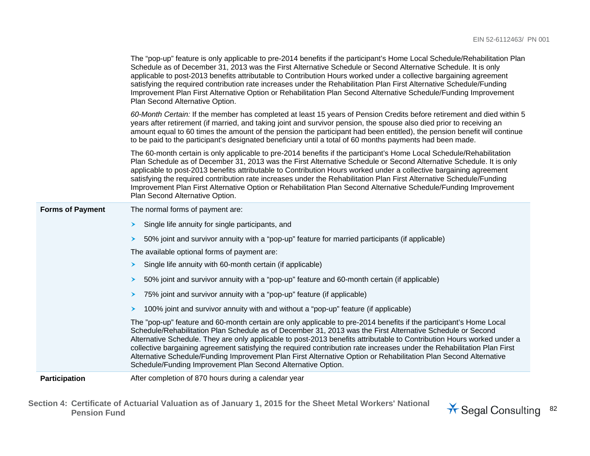|                         | The "pop-up" feature is only applicable to pre-2014 benefits if the participant's Home Local Schedule/Rehabilitation Plan<br>Schedule as of December 31, 2013 was the First Alternative Schedule or Second Alternative Schedule. It is only<br>applicable to post-2013 benefits attributable to Contribution Hours worked under a collective bargaining agreement<br>satisfying the required contribution rate increases under the Rehabilitation Plan First Alternative Schedule/Funding<br>Improvement Plan First Alternative Option or Rehabilitation Plan Second Alternative Schedule/Funding Improvement<br>Plan Second Alternative Option.                          |
|-------------------------|---------------------------------------------------------------------------------------------------------------------------------------------------------------------------------------------------------------------------------------------------------------------------------------------------------------------------------------------------------------------------------------------------------------------------------------------------------------------------------------------------------------------------------------------------------------------------------------------------------------------------------------------------------------------------|
|                         | 60-Month Certain: If the member has completed at least 15 years of Pension Credits before retirement and died within 5<br>years after retirement (if married, and taking joint and survivor pension, the spouse also died prior to receiving an<br>amount equal to 60 times the amount of the pension the participant had been entitled), the pension benefit will continue<br>to be paid to the participant's designated beneficiary until a total of 60 months payments had been made.                                                                                                                                                                                  |
|                         | The 60-month certain is only applicable to pre-2014 benefits if the participant's Home Local Schedule/Rehabilitation<br>Plan Schedule as of December 31, 2013 was the First Alternative Schedule or Second Alternative Schedule. It is only<br>applicable to post-2013 benefits attributable to Contribution Hours worked under a collective bargaining agreement<br>satisfying the required contribution rate increases under the Rehabilitation Plan First Alternative Schedule/Funding<br>Improvement Plan First Alternative Option or Rehabilitation Plan Second Alternative Schedule/Funding Improvement<br>Plan Second Alternative Option.                          |
| <b>Forms of Payment</b> | The normal forms of payment are:                                                                                                                                                                                                                                                                                                                                                                                                                                                                                                                                                                                                                                          |
|                         | Single life annuity for single participants, and<br>≻                                                                                                                                                                                                                                                                                                                                                                                                                                                                                                                                                                                                                     |
|                         | 50% joint and survivor annuity with a "pop-up" feature for married participants (if applicable)<br>➤                                                                                                                                                                                                                                                                                                                                                                                                                                                                                                                                                                      |
|                         | The available optional forms of payment are:                                                                                                                                                                                                                                                                                                                                                                                                                                                                                                                                                                                                                              |
|                         | Single life annuity with 60-month certain (if applicable)<br>≻                                                                                                                                                                                                                                                                                                                                                                                                                                                                                                                                                                                                            |
|                         | 50% joint and survivor annuity with a "pop-up" feature and 60-month certain (if applicable)<br>➤                                                                                                                                                                                                                                                                                                                                                                                                                                                                                                                                                                          |
|                         | 75% joint and survivor annuity with a "pop-up" feature (if applicable)<br>➤                                                                                                                                                                                                                                                                                                                                                                                                                                                                                                                                                                                               |
|                         | 100% joint and survivor annuity with and without a "pop-up" feature (if applicable)<br>≻                                                                                                                                                                                                                                                                                                                                                                                                                                                                                                                                                                                  |
|                         | The "pop-up" feature and 60-month certain are only applicable to pre-2014 benefits if the participant's Home Local<br>Schedule/Rehabilitation Plan Schedule as of December 31, 2013 was the First Alternative Schedule or Second<br>Alternative Schedule. They are only applicable to post-2013 benefits attributable to Contribution Hours worked under a<br>collective bargaining agreement satisfying the required contribution rate increases under the Rehabilitation Plan First<br>Alternative Schedule/Funding Improvement Plan First Alternative Option or Rehabilitation Plan Second Alternative<br>Schedule/Funding Improvement Plan Second Alternative Option. |
| <b>Participation</b>    | After completion of 870 hours during a calendar year                                                                                                                                                                                                                                                                                                                                                                                                                                                                                                                                                                                                                      |

**Section 4: Certificate of Actuarial Valuation as of January 1, 2015 for the Sheet Metal Workers' National**  Pension Fund **Consulting 82** Pension Fund **Regal Consulting** 82

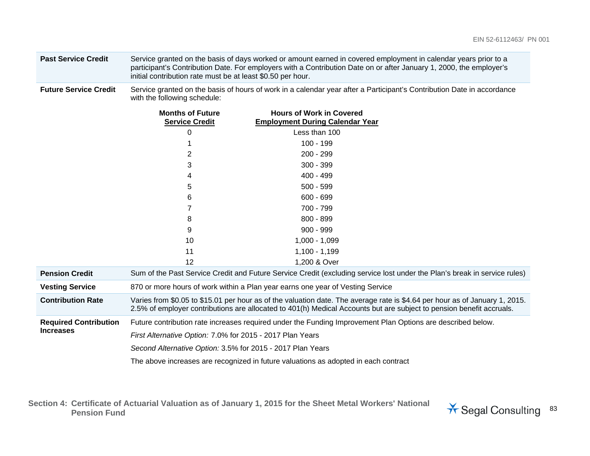| <b>Past Service Credit</b> | Service granted on the basis of days worked or amount earned in covered employment in calendar years prior to a     |
|----------------------------|---------------------------------------------------------------------------------------------------------------------|
|                            | participant's Contribution Date. For employers with a Contribution Date on or after January 1, 2000, the employer's |
|                            | initial contribution rate must be at least \$0.50 per hour.                                                         |

Future Service Credit Service granted on the basis of hours of work in a calendar year after a Participant's Contribution Date in accordance with the following schedule:

|                              | <b>Months of Future</b><br><b>Service Credit</b>                                                                                                                                                                                                    | <b>Hours of Work in Covered</b><br><b>Employment During Calendar Year</b>                                                 |  |
|------------------------------|-----------------------------------------------------------------------------------------------------------------------------------------------------------------------------------------------------------------------------------------------------|---------------------------------------------------------------------------------------------------------------------------|--|
|                              | 0                                                                                                                                                                                                                                                   | Less than 100                                                                                                             |  |
|                              |                                                                                                                                                                                                                                                     | 100 - 199                                                                                                                 |  |
|                              | 2                                                                                                                                                                                                                                                   | $200 - 299$                                                                                                               |  |
|                              | 3                                                                                                                                                                                                                                                   | $300 - 399$                                                                                                               |  |
|                              | 4                                                                                                                                                                                                                                                   | 400 - 499                                                                                                                 |  |
|                              | 5                                                                                                                                                                                                                                                   | $500 - 599$                                                                                                               |  |
|                              | 6                                                                                                                                                                                                                                                   | $600 - 699$                                                                                                               |  |
|                              |                                                                                                                                                                                                                                                     | 700 - 799                                                                                                                 |  |
|                              | 8                                                                                                                                                                                                                                                   | $800 - 899$                                                                                                               |  |
|                              | 9                                                                                                                                                                                                                                                   | $900 - 999$                                                                                                               |  |
|                              | 10                                                                                                                                                                                                                                                  | $1,000 - 1,099$                                                                                                           |  |
|                              | 11                                                                                                                                                                                                                                                  | $1,100 - 1,199$                                                                                                           |  |
|                              | 12                                                                                                                                                                                                                                                  | 1,200 & Over                                                                                                              |  |
| <b>Pension Credit</b>        |                                                                                                                                                                                                                                                     | Sum of the Past Service Credit and Future Service Credit (excluding service lost under the Plan's break in service rules) |  |
| <b>Vesting Service</b>       | 870 or more hours of work within a Plan year earns one year of Vesting Service                                                                                                                                                                      |                                                                                                                           |  |
| <b>Contribution Rate</b>     | Varies from \$0.05 to \$15.01 per hour as of the valuation date. The average rate is \$4.64 per hour as of January 1, 2015.<br>2.5% of employer contributions are allocated to 401(h) Medical Accounts but are subject to pension benefit accruals. |                                                                                                                           |  |
| <b>Required Contribution</b> |                                                                                                                                                                                                                                                     | Future contribution rate increases required under the Funding Improvement Plan Options are described below.               |  |
| <b>Increases</b>             | First Alternative Option: 7.0% for 2015 - 2017 Plan Years                                                                                                                                                                                           |                                                                                                                           |  |
|                              | Second Alternative Option: 3.5% for 2015 - 2017 Plan Years                                                                                                                                                                                          |                                                                                                                           |  |
|                              |                                                                                                                                                                                                                                                     | The above increases are recognized in future valuations as adopted in each contract                                       |  |

**Section 4: Certificate of Actuarial Valuation as of January 1, 2015 for the Sheet Metal Workers' National**